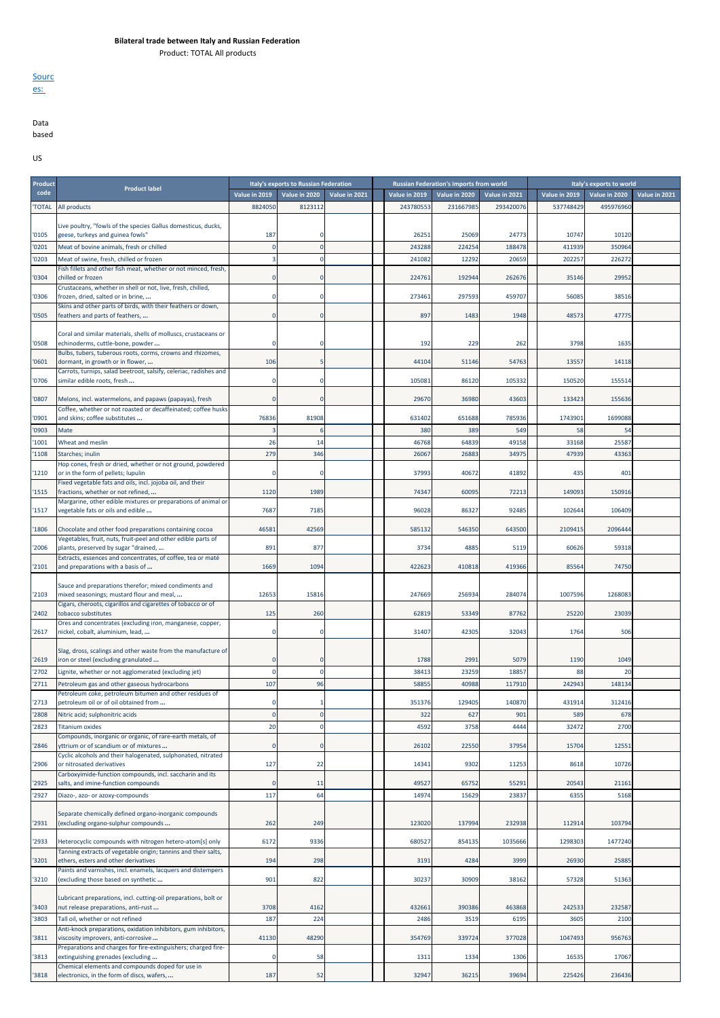## **Bilateral trade between Italy and Russian Federation**

Product: TOTAL All products

**Sourc** es:

## Data based

US

| Product        |                                                                                                                                                                |               | Italy's exports to Russian Federation |               |                | <b>Russian Federation's imports from world</b> |                |                | Italy's exports to world |               |
|----------------|----------------------------------------------------------------------------------------------------------------------------------------------------------------|---------------|---------------------------------------|---------------|----------------|------------------------------------------------|----------------|----------------|--------------------------|---------------|
| code           | <b>Product label</b>                                                                                                                                           | Value in 2019 | Value in 2020                         | Value in 2021 | Value in 2019  | Value in 2020                                  | Value in 2021  | Value in 2019  | Value in 2020            | Value in 2021 |
| 'TOTAL         | All products                                                                                                                                                   | 8824050       | 8123112                               |               | 243780553      | 231667985                                      | 293420076      | 537748429      | 495976960                |               |
|                |                                                                                                                                                                |               |                                       |               |                |                                                |                |                |                          |               |
| '0105          | Live poultry, "fowls of the species Gallus domesticus, ducks,<br>geese, turkeys and guinea fowls"                                                              | 187           | о                                     |               | 26251          | 25069                                          | 24773          | 10747          | 10120                    |               |
| '0201          | Meat of bovine animals, fresh or chilled                                                                                                                       |               | $\mathbf{0}$                          |               | 243288         | 224254                                         | 188478         | 411939         | 350964                   |               |
| '0203          | Meat of swine, fresh, chilled or frozen                                                                                                                        |               | n                                     |               | 241082         | 12292                                          | 20659          | 20225          | 226272                   |               |
|                | Fish fillets and other fish meat, whether or not minced, fresh,                                                                                                |               |                                       |               |                |                                                |                |                |                          |               |
| '0304          | chilled or frozen                                                                                                                                              |               |                                       |               | 224761         | 192944                                         | 262676         | 35146          | 29952                    |               |
| '0306          | Crustaceans, whether in shell or not, live, fresh, chilled,<br>frozen, dried, salted or in brine,                                                              |               |                                       |               | 273461         | 297593                                         | 459707         | 56085          | 38516                    |               |
|                | Skins and other parts of birds, with their feathers or down,                                                                                                   |               |                                       |               |                |                                                |                |                |                          |               |
| '0505          | feathers and parts of feathers,                                                                                                                                |               | $\Omega$                              |               | 897            | 1483                                           | 1948           | 4857           | 47775                    |               |
| '0508          | Coral and similar materials, shells of molluscs, crustaceans or<br>echinoderms, cuttle-bone, powder                                                            |               |                                       |               | 192            | 229                                            | 262            | 3798           | 1635                     |               |
| '0601          | Bulbs, tubers, tuberous roots, corms, crowns and rhizomes,<br>dormant, in growth or in flower,                                                                 | 106           |                                       |               | 44104          | 51146                                          | 54763          | 1355           | 14118                    |               |
| '0706          | Carrots, turnips, salad beetroot, salsify, celeriac, radishes and<br>similar edible roots, fresh                                                               |               | $\Omega$                              |               | 105081         | 86120                                          | 105332         | 150520         | 155514                   |               |
|                |                                                                                                                                                                |               |                                       |               |                |                                                |                |                |                          |               |
| '0807          | Melons, incl. watermelons, and papaws (papayas), fresh<br>Coffee, whether or not roasted or decaffeinated; coffee husks                                        |               | $\Omega$                              |               | 29670          | 36980                                          | 43603          | 133423         | 155636                   |               |
| '0901          | and skins; coffee substitutes                                                                                                                                  | 76836         | 81908                                 |               | 631402         | 651688                                         | 785936         | 1743901        | 1699088                  |               |
| '0903          | Mate                                                                                                                                                           |               |                                       |               | 380            | 389                                            | 549            | 58             | 54                       |               |
| '1001          | Wheat and meslin                                                                                                                                               | 26            | 14                                    |               | 46768          | 64839                                          | 49158          | 33168          | 25587                    |               |
| '1108          | Starches; inulin                                                                                                                                               | 279           | 346                                   |               | 2606           | 26883                                          | 3497           | 47939          | 43363                    |               |
| '1210          | Hop cones, fresh or dried, whether or not ground, powdered<br>or in the form of pellets; lupulin<br>Fixed vegetable fats and oils, incl. jojoba oil, and their |               | $\Omega$                              |               | 37993          | 40672                                          | 41892          | 435            | 401                      |               |
| '1515          | fractions, whether or not refined,                                                                                                                             | 1120          | 1989                                  |               | 74347          | 60095                                          | 72213          | 14909          | 150916                   |               |
| '1517          | Margarine, other edible mixtures or preparations of animal or<br>vegetable fats or oils and edible                                                             | 7687          | 7185                                  |               | 96028          | 86327                                          | 92485          | 102644         | 106409                   |               |
| '1806          | Chocolate and other food preparations containing cocoa                                                                                                         | 4658          | 42569                                 |               | 585132         | 546350                                         | 643500         | 210941         | 2096444                  |               |
| '2006          | Vegetables, fruit, nuts, fruit-peel and other edible parts of<br>plants, preserved by sugar "drained,                                                          | 891           | 877                                   |               | 3734           | 4885                                           | 5119           | 60626          | 59318                    |               |
|                | Extracts, essences and concentrates, of coffee, tea or maté                                                                                                    |               |                                       |               |                |                                                |                |                |                          |               |
| '2101          | and preparations with a basis of                                                                                                                               | 1669          | 1094                                  |               | 422623         | 410818                                         | 419366         | 85564          | 74750                    |               |
| '2103          | Sauce and preparations therefor; mixed condiments and<br>mixed seasonings; mustard flour and meal,                                                             | 1265          | 15816                                 |               | 247669         | 256934                                         | 284074         | 1007596        | 1268083                  |               |
| '2402          | Cigars, cheroots, cigarillos and cigarettes of tobacco or of<br>tobacco substitutes                                                                            | 125           | 260                                   |               | 62819          | 53349                                          | 87762          | 25220          | 23039                    |               |
| '2617          | Ores and concentrates (excluding iron, manganese, copper,<br>nickel, cobalt, aluminium, lead,                                                                  |               | $\mathbf 0$                           |               | 31407          | 42305                                          | 32043          | 1764           | 506                      |               |
|                |                                                                                                                                                                |               |                                       |               |                |                                                |                |                |                          |               |
|                | Slag, dross, scalings and other waste from the manufacture of                                                                                                  |               |                                       |               |                |                                                |                |                |                          |               |
| '2619          | iron or steel (excluding granulated                                                                                                                            |               | n<br>$\Omega$                         |               | 1788           | 2991                                           | 5079           | 1190           | 1049                     |               |
| '2702<br>'2711 | Lignite, whether or not agglomerated (excluding jet)<br>Petroleum gas and other gaseous hydrocarbons                                                           | 107           | 96                                    |               | 38413<br>5885  | 23259<br>40988                                 | 1885<br>117910 | 88<br>242943   | 20<br>148134             |               |
|                | Petroleum coke, petroleum bitumen and other residues of                                                                                                        |               |                                       |               |                |                                                |                |                |                          |               |
| '2713          | petroleum oil or of oil obtained from                                                                                                                          |               |                                       |               | 351376         | 129405                                         | 140870         | 431914         | 312416                   |               |
| '2808          | Nitric acid; sulphonitric acids                                                                                                                                |               |                                       |               | 322            | 627                                            | 901            | 589            | 678                      |               |
| '2823          | <b>Titanium oxides</b>                                                                                                                                         | 20            | n                                     |               | 459            | 3758                                           | 4444           | 32472          | 2700                     |               |
| '2846          | Compounds, inorganic or organic, of rare-earth metals, of<br>yttrium or of scandium or of mixtures                                                             |               | $\Omega$                              |               | 26102          | 22550                                          | 37954          | 15704          | 12551                    |               |
| '2906          | Cyclic alcohols and their halogenated, sulphonated, nitrated<br>or nitrosated derivatives                                                                      | 127           | 22                                    |               | 14341          | 9302                                           | 11253          | 8618           | 10726                    |               |
|                | Carboxyimide-function compounds, incl. saccharin and its                                                                                                       |               |                                       |               |                |                                                |                |                |                          |               |
| '2925          | salts, and imine-function compounds                                                                                                                            |               | 11                                    |               | 49527          | 65752                                          | 5529           | 20543          | 21161                    |               |
| '2927          | Diazo-, azo- or azoxy-compounds                                                                                                                                | 117           | 64                                    |               | 14974          | 15629                                          | 2383           | 6355           | 5168                     |               |
| '2931          | Separate chemically defined organo-inorganic compounds<br>(excluding organo-sulphur compounds                                                                  | 262           | 249                                   |               | 123020         | 137994                                         | 232938         | 112914         | 103794                   |               |
| '2933          | Heterocyclic compounds with nitrogen hetero-atom[s] only                                                                                                       | 6172          | 9336                                  |               | 680527         | 854135                                         | 1035666        | 1298303        | 1477240                  |               |
| '3201          | Tanning extracts of vegetable origin; tannins and their salts,<br>ethers, esters and other derivatives                                                         | 194           | 298                                   |               | 3191           | 4284                                           | 3999           | 26930          | 25885                    |               |
| '3210          | Paints and varnishes, incl. enamels, lacquers and distempers<br>(excluding those based on synthetic                                                            | 901           | 822                                   |               | 30237          | 30909                                          | 38162          | 57328          | 51363                    |               |
|                | Lubricant preparations, incl. cutting-oil preparations, bolt or                                                                                                |               |                                       |               |                |                                                |                |                |                          |               |
| '3403<br>'3803 | nut release preparations, anti-rust<br>Tall oil, whether or not refined                                                                                        | 3708<br>187   | 4162<br>224                           |               | 432661<br>2486 | 390386<br>3519                                 | 463868<br>6195 | 242533<br>3605 | 232587<br>2100           |               |
|                | Anti-knock preparations, oxidation inhibitors, gum inhibitors,                                                                                                 |               |                                       |               |                |                                                |                |                |                          |               |
| '3811          | viscosity improvers, anti-corrosive<br>Preparations and charges for fire-extinguishers; charged fire-                                                          | 4113          | 48290                                 |               | 354769         | 339724                                         | 377028         | 1047493        | 956763                   |               |
| '3813          | extinguishing grenades (excluding<br>Chemical elements and compounds doped for use in                                                                          |               | 58                                    |               | 1311           | 1334                                           | 1306           | 16535          | 17067                    |               |
| '3818          | electronics, in the form of discs, wafers,                                                                                                                     | 187           | 52                                    |               | 32947          | 36215                                          | 39694          | 225426         | 236436                   |               |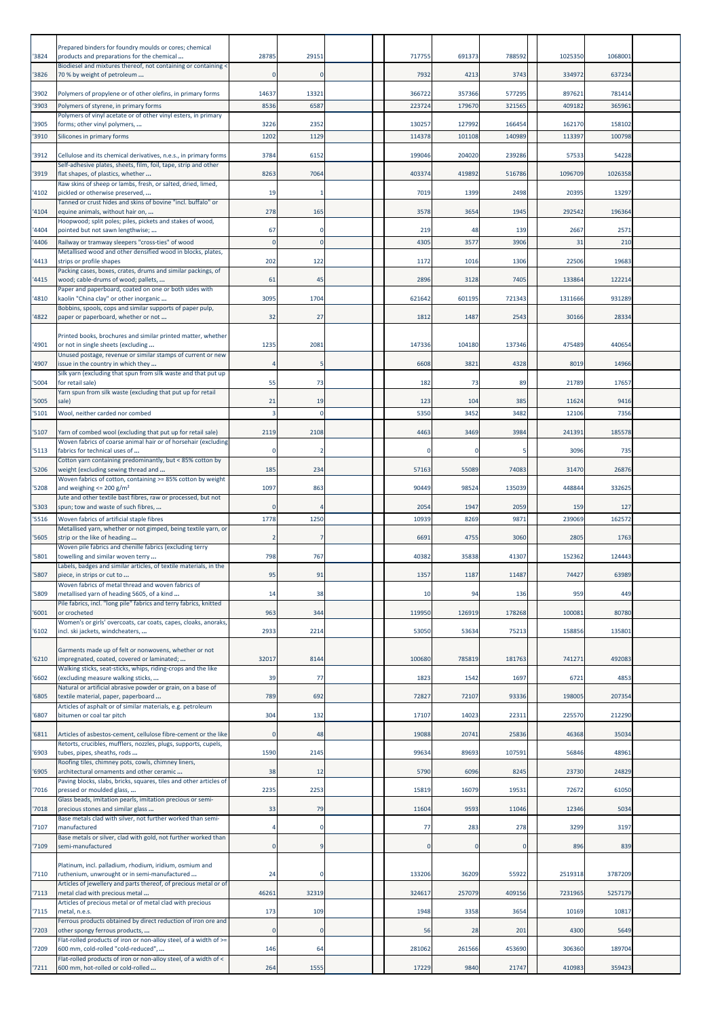| 3824          | Prepared binders for foundry moulds or cores; chemical<br>products and preparations for the chemical<br>Biodiesel and mixtures thereof, not containing or containing < | 2878        | 29151        | 717755           | 691373           | 788592           | 1025350          | 1068001          |  |
|---------------|------------------------------------------------------------------------------------------------------------------------------------------------------------------------|-------------|--------------|------------------|------------------|------------------|------------------|------------------|--|
| 3826          | 70 % by weight of petroleum                                                                                                                                            |             | $\Omega$     | 7932             | 4213             | 3743             | 334972           | 637234           |  |
| '3902         | Polymers of propylene or of other olefins, in primary forms                                                                                                            | 14637       | 13321        | 366722           | 357366           | 577295           | 897621           | 781414           |  |
| 3903          | Polymers of styrene, in primary forms<br>Polymers of vinyl acetate or of other vinyl esters, in primary                                                                | 8536        | 6587         | 223724           | 179670           | 321565           | 409182           | 365961           |  |
| 3905<br>'3910 | forms; other vinyl polymers,<br>Silicones in primary forms                                                                                                             | 3226<br>120 | 2352<br>1129 | 130257<br>114378 | 127992<br>101108 | 166454<br>140989 | 162170<br>113397 | 158102<br>100798 |  |
| '3912         | Cellulose and its chemical derivatives, n.e.s., in primary forms                                                                                                       | 3784        | 6152         | 199046           | 204020           | 239286           | 57533            | 54228            |  |
| 3919          | Self-adhesive plates, sheets, film, foil, tape, strip and other<br>flat shapes, of plastics, whether                                                                   | 8263        | 7064         | 403374           | 419892           | 516786           | 1096709          | 1026358          |  |
|               | Raw skins of sheep or lambs, fresh, or salted, dried, limed,                                                                                                           |             |              |                  |                  |                  |                  |                  |  |
| 4102          | pickled or otherwise preserved,<br>Tanned or crust hides and skins of bovine "incl. buffalo" or                                                                        | 19          |              | 7019             | 1399             | 2498             | 20395            | 13297            |  |
| 4104          | equine animals, without hair on,<br>Hoopwood; split poles; piles, pickets and stakes of wood,                                                                          | 278         | 165          | 3578             | 3654             | 1945             | 292542           | 196364           |  |
| 4404<br>4406  | pointed but not sawn lengthwise;<br>Railway or tramway sleepers "cross-ties" of wood                                                                                   | 67          | 0<br>n       | 219<br>4305      | 48<br>3577       | 139<br>3906      | 2667<br>31       | 2571<br>210      |  |
| 4413          | Metallised wood and other densified wood in blocks, plates,<br>strips or profile shapes                                                                                | 202         | 122          | 1172             | 1016             | 1306             | 22506            | 19683            |  |
|               | Packing cases, boxes, crates, drums and similar packings, of                                                                                                           |             |              |                  |                  |                  |                  |                  |  |
| 4415          | wood; cable-drums of wood; pallets,<br>Paper and paperboard, coated on one or both sides with                                                                          | 61          | 45           | 2896             | 3128             | 7405             | 133864           | 122214           |  |
| 4810          | kaolin "China clay" or other inorganic<br>Bobbins, spools, cops and similar supports of paper pulp,                                                                    | 3095        | 1704         | 621642           | 601195           | 721343           | 1311666          | 931289           |  |
| 4822          | paper or paperboard, whether or not                                                                                                                                    | 32          | 27           | 1812             | 1487             | 2543             | 30166            | 28334            |  |
| 4901          | Printed books, brochures and similar printed matter, whether<br>or not in single sheets (excluding<br>Unused postage, revenue or similar stamps of current or new      | 1235        | 2081         | 147336           | 104180           | 137346           | 475489           | 440654           |  |
| 4907          | issue in the country in which they<br>Silk yarn (excluding that spun from silk waste and that put up                                                                   |             |              | 6608             | 3821             | 4328             | 8019             | 14966            |  |
| 5004          | for retail sale)<br>Yarn spun from silk waste (excluding that put up for retail                                                                                        | 55          | 73           | 182              | 73               | 89               | 21789            | 17657            |  |
| '5005         | sale)                                                                                                                                                                  | 21          | 19           | 123              | 104              | 385              | 11624            | 9416             |  |
| 5101          | Wool, neither carded nor combed                                                                                                                                        |             | $\Omega$     | 5350             | 3452             | 3482             | 12106            | 7356             |  |
| 5107          | Yarn of combed wool (excluding that put up for retail sale)<br>Woven fabrics of coarse animal hair or of horsehair (excluding                                          | 2119        | 2108         | 4463             | 3469             | 3984             | 241391           | 185578           |  |
| '5113         | fabrics for technical uses of<br>Cotton yarn containing predominantly, but < 85% cotton by                                                                             |             | 2            | -0               | $\Omega$         | 5                | 3096             | 735              |  |
| 5206          | weight (excluding sewing thread and<br>Woven fabrics of cotton, containing >= 85% cotton by weight                                                                     | 185         | 234          | 57163            | 55089            | 74083            | 31470            | 26876            |  |
| '5208         | and weighing $\leq$ 200 g/m <sup>2</sup><br>Jute and other textile bast fibres, raw or processed, but not                                                              | 1097        | 863          | 90449            | 98524            | 135039           | 448844           | 332625           |  |
| '5303         | spun; tow and waste of such fibres,                                                                                                                                    |             |              | 2054             | 1947             | 2059             | 159              | 127              |  |
| 5516          | Woven fabrics of artificial staple fibres<br>Metallised yarn, whether or not gimped, being textile yarn, or                                                            | 1778        | 1250         | 10939            | 8269             | 9871             | 239069           | 162572           |  |
| 5605          | strip or the like of heading<br>Woven pile fabrics and chenille fabrics (excluding terry                                                                               |             | 7            | 6691             | 4755             | 3060             | 2805             | 1763             |  |
| 5801          | towelling and similar woven terry<br>Labels, badges and similar articles, of textile materials, in the                                                                 | 798         | 767          | 40382            | 35838            | 41307            | 152362           | 124443           |  |
| 5807          | piece, in strips or cut to.<br>Woven fabrics of metal thread and woven fabrics of                                                                                      | 95          | 91           | 1357             | 1187             | 11487            | 74427            | 63989            |  |
| '5809         | metallised yarn of heading 5605, of a kind<br>Pile fabrics, incl. "long pile" fabrics and terry fabrics, knitted                                                       | 14          | 38           | 10               | 94               | 136              | 959              | 449              |  |
| 6001          | or crocheted<br>Women's or girls' overcoats, car coats, capes, cloaks, anoraks,                                                                                        | 963         | 344          | 119950           | 126919           | 178268           | 100081           | 80780            |  |
| 6102          | incl. ski jackets, windcheaters,                                                                                                                                       | 2933        | 2214         | 53050            | 53634            | 75213            | 158856           | 135801           |  |
| 6210          | Garments made up of felt or nonwovens, whether or not<br>impregnated, coated, covered or laminated;                                                                    | 3201        | 8144         | 100680           | 785819           | 181763           | 741271           | 492083           |  |
| 6602          | Walking sticks, seat-sticks, whips, riding-crops and the like<br>(excluding measure walking sticks,                                                                    | 39          | 77           | 1823             | 1542             | 1697             | 6721             | 4853             |  |
| 6805          | Natural or artificial abrasive powder or grain, on a base of<br>textile material, paper, paperboard                                                                    | 789         | 692          | 72827            | 72107            | 93336            | 198005           | 207354           |  |
| 6807          | Articles of asphalt or of similar materials, e.g. petroleum<br>bitumen or coal tar pitch                                                                               | 304         | 132          | 17107            | 14023            | 22311            | 225570           | 212290           |  |
| 6811          | Articles of asbestos-cement, cellulose fibre-cement or the like                                                                                                        |             | 48           | 19088            | 20741            | 25836            | 46368            | 35034            |  |
| 6903          | Retorts, crucibles, mufflers, nozzles, plugs, supports, cupels,<br>tubes, pipes, sheaths, rods                                                                         | 1590        | 2145         | 99634            | 89693            | 107591           | 56846            | 48961            |  |
| '6905         | Roofing tiles, chimney pots, cowls, chimney liners,<br>architectural ornaments and other ceramic                                                                       | 38          | 12           | 5790             | 6096             | 8245             | 23730            | 24829            |  |
| 7016          | Paving blocks, slabs, bricks, squares, tiles and other articles of<br>pressed or moulded glass,                                                                        | 2235        | 2253         | 15819            | 16079            | 19531            | 72672            | 61050            |  |
| 7018          | Glass beads, imitation pearls, imitation precious or semi-<br>precious stones and similar glass                                                                        | 33          | 79           | 11604            | 9593             | 11046            | 12346            | 5034             |  |
| 7107          | Base metals clad with silver, not further worked than semi-<br>manufactured                                                                                            |             | $\Omega$     | 77               | 283              | 278              | 3299             | 3197             |  |
| 7109          | Base metals or silver, clad with gold, not further worked than<br>semi-manufactured                                                                                    |             | 9            | $\Omega$         | $\Omega$         | 0                | 896              | 839              |  |
| 7110          | Platinum, incl. palladium, rhodium, iridium, osmium and<br>ruthenium, unwrought or in semi-manufactured                                                                | 24          | $\Omega$     | 133206           | 36209            | 55922            | 2519318          | 3787209          |  |
| 7113          | Articles of jewellery and parts thereof, of precious metal or of<br>metal clad with precious metal                                                                     | 46261       | 32319        | 324617           | 257079           | 409156           | 7231965          | 5257179          |  |
|               | Articles of precious metal or of metal clad with precious                                                                                                              | 173         | 109          | 1948             | 3358             | 3654             | 10169            | 10817            |  |
| 7115          | metal, n.e.s.<br>Ferrous products obtained by direct reduction of iron ore and                                                                                         |             |              |                  |                  |                  |                  |                  |  |
| 7203          | other spongy ferrous products,<br>Flat-rolled products of iron or non-alloy steel, of a width of >=                                                                    |             | $\mathbf{0}$ | 56               | 28               | 201              | 4300             | 5649             |  |
| '7209         | 600 mm, cold-rolled "cold-reduced",<br>Flat-rolled products of iron or non-alloy steel, of a width of <                                                                | 146         | 64           | 281062           | 261566           | 453690           | 306360           | 189704           |  |
| '7211         | 600 mm, hot-rolled or cold-rolled                                                                                                                                      | 264         | 1555         | 17229            | 9840             | 21747            | 410983           | 359423           |  |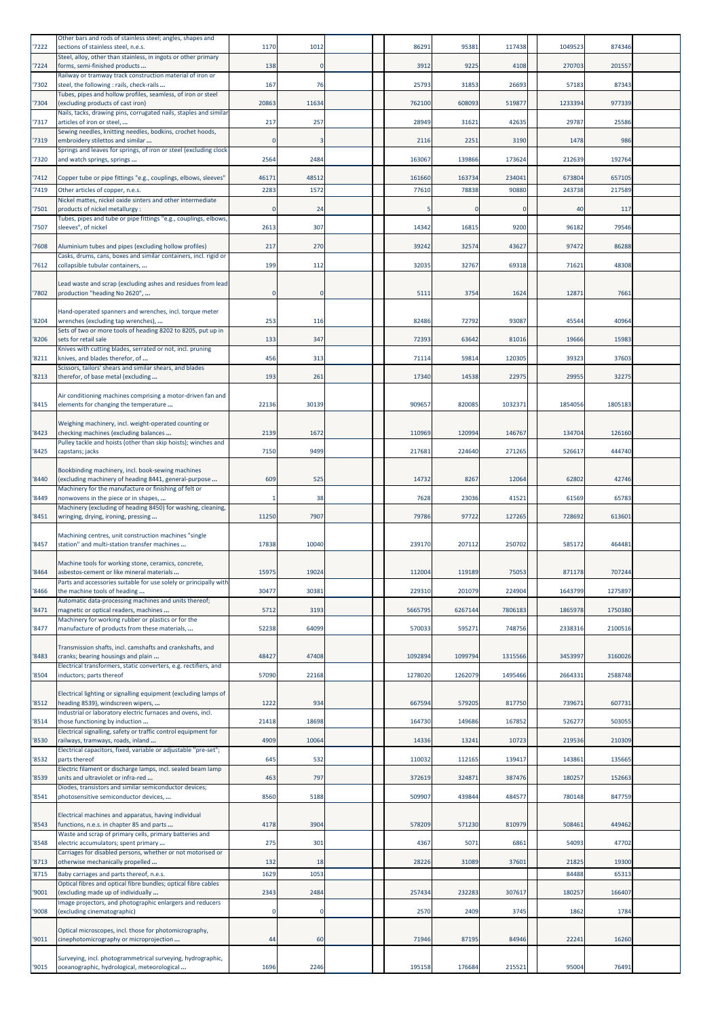| '7222 | Other bars and rods of stainless steel; angles, shapes and<br>sections of stainless steel, n.e.s.          | 1170  | 1012         | 86291   | 95381    | 117438   | 1049523 | 874346  |  |
|-------|------------------------------------------------------------------------------------------------------------|-------|--------------|---------|----------|----------|---------|---------|--|
| '7224 | Steel, alloy, other than stainless, in ingots or other primary<br>forms, semi-finished products            | 138   | $\mathbf{0}$ | 3912    | 9225     | 4108     | 270703  | 201557  |  |
|       | Railway or tramway track construction material of iron or                                                  |       |              |         |          |          |         |         |  |
| '7302 | steel, the following : rails, check-rails<br>Tubes, pipes and hollow profiles, seamless, of iron or steel  | 167   | 76           | 25793   | 31853    | 26693    | 57183   | 87343   |  |
| '7304 | (excluding products of cast iron)<br>Nails, tacks, drawing pins, corrugated nails, staples and similar     | 20863 | 11634        | 762100  | 608093   | 519877   | 1233394 | 977339  |  |
| '7317 | articles of iron or steel,<br>Sewing needles, knitting needles, bodkins, crochet hoods,                    | 217   | 257          | 28949   | 31621    | 42635    | 29787   | 25586   |  |
| '7319 | embroidery stilettos and similar<br>Springs and leaves for springs, of iron or steel (excluding clock      |       | 3            | 2116    | 2251     | 3190     | 1478    | 986     |  |
| '7320 | and watch springs, springs                                                                                 | 2564  | 2484         | 163067  | 139866   | 173624   | 212639  | 192764  |  |
| '7412 | Copper tube or pipe fittings "e.g., couplings, elbows, sleeves"                                            | 46171 | 48512        | 161660  | 163734   | 234041   | 673804  | 657105  |  |
| 7419  | Other articles of copper, n.e.s.<br>Nickel mattes, nickel oxide sinters and other intermediate             | 2283  | 1572         | 77610   | 78838    | 90880    | 243738  | 217589  |  |
| '7501 | products of nickel metallurgy :                                                                            |       | 24           |         | $\Omega$ | $\Omega$ | 40      | 117     |  |
| '7507 | Tubes, pipes and tube or pipe fittings "e.g., couplings, elbows,<br>sleeves", of nickel                    | 2613  | 307          | 14342   | 16815    | 9200     | 96182   | 79546   |  |
| '7608 | Aluminium tubes and pipes (excluding hollow profiles)                                                      | 217   | 270          | 39242   | 32574    | 43627    | 97472   | 86288   |  |
| 7612  | Casks, drums, cans, boxes and similar containers, incl. rigid or<br>collapsible tubular containers,        | 199   | 112          | 32035   | 32767    | 69318    | 71621   | 48308   |  |
|       | Lead waste and scrap (excluding ashes and residues from lead                                               |       |              |         |          |          |         |         |  |
| '7802 | production "heading No 2620",                                                                              |       | 0            | 5111    | 3754     | 1624     | 12871   | 7661    |  |
| '8204 | Hand-operated spanners and wrenches, incl. torque meter<br>wrenches (excluding tap wrenches),              | 253   | 116          | 82486   | 72792    | 93087    | 45544   | 40964   |  |
| '8206 | Sets of two or more tools of heading 8202 to 8205, put up in<br>sets for retail sale                       | 133   | 347          | 72393   | 63642    | 81016    | 19666   | 15983   |  |
| '8211 | Knives with cutting blades, serrated or not, incl. pruning<br>knives, and blades therefor, of              | 456   | 313          | 71114   | 59814    | 120305   | 39323   | 37603   |  |
| 8213  | Scissors, tailors' shears and similar shears, and blades<br>therefor, of base metal (excluding             | 193   | 261          | 17340   | 14538    | 22975    | 29955   | 32275   |  |
|       |                                                                                                            |       |              |         |          |          |         |         |  |
| '8415 | Air conditioning machines comprising a motor-driven fan and<br>elements for changing the temperature       | 22136 | 30139        | 909657  | 820085   | 1032371  | 1854056 | 1805183 |  |
| 8423  | Weighing machinery, incl. weight-operated counting or<br>checking machines (excluding balances             | 2139  | 1672         | 110969  | 120994   | 146767   | 134704  | 126160  |  |
|       | Pulley tackle and hoists (other than skip hoists); winches and                                             |       |              |         |          |          |         |         |  |
| '8425 | capstans; jacks                                                                                            | 7150  | 9499         | 217681  | 224640   | 271265   | 526617  | 444740  |  |
| '8440 | Bookbinding machinery, incl. book-sewing machines<br>(excluding machinery of heading 8441, general-purpose | 609   | 525          | 14732   | 8267     | 12064    | 62802   | 42746   |  |
| 8449  | Machinery for the manufacture or finishing of felt or<br>nonwovens in the piece or in shapes,              |       | 38           | 7628    | 23036    | 41521    | 61569   | 65783   |  |
| '8451 | Machinery (excluding of heading 8450) for washing, cleaning,<br>wringing, drying, ironing, pressing        | 11250 | 7907         | 79786   | 97722    | 127265   | 728692  | 613601  |  |
|       | Machining centres, unit construction machines "single                                                      |       |              |         |          |          |         |         |  |
| '8457 | station" and multi-station transfer machines                                                               | 17838 | 10040        | 239170  | 207112   | 250702   | 585172  | 464481  |  |
| '8464 | Machine tools for working stone, ceramics, concrete,<br>asbestos-cement or like mineral materials          | 15975 | 19024        | 112004  | 119189   | 75053    | 871178  | 707244  |  |
| 8466  | Parts and accessories suitable for use solely or principally with<br>the machine tools of heading          | 30477 | 30381        | 229310  | 201079   | 224904   | 1643799 | 1275897 |  |
|       | Automatic data-processing machines and units thereof;                                                      |       |              |         |          |          |         |         |  |
| 8471  | magnetic or optical readers, machines<br>Machinery for working rubber or plastics or for the               | 5712  | 3193         | 5665795 | 6267144  | 7806183  | 1865978 | 1750380 |  |
| 8477  | manufacture of products from these materials,                                                              | 52238 | 64099        | 570033  | 595271   | 748756   | 2338316 | 2100516 |  |
| 8483  | Transmission shafts, incl. camshafts and crankshafts, and<br>cranks; bearing housings and plain            | 48427 | 47408        | 1092894 | 1099794  | 1315566  | 3453997 | 3160026 |  |
| 8504  | Electrical transformers, static converters, e.g. rectifiers, and<br>inductors; parts thereof               | 57090 | 22168        | 1278020 | 1262079  | 1495466  | 2664331 | 2588748 |  |
|       | Electrical lighting or signalling equipment (excluding lamps of                                            |       |              |         |          |          |         |         |  |
| '8512 | heading 8539), windscreen wipers,<br>Industrial or laboratory electric furnaces and ovens, incl.           | 1222  | 934          | 667594  | 579205   | 817750   | 739671  | 607731  |  |
| 8514  | those functioning by induction<br>Electrical signalling, safety or traffic control equipment for           | 21418 | 18698        | 164730  | 149686   | 167852   | 526277  | 503055  |  |
| 8530  | railways, tramways, roads, inland<br>Electrical capacitors, fixed, variable or adjustable "pre-set";       | 4909  | 10064        | 14336   | 13241    | 10723    | 219536  | 210309  |  |
| 8532  |                                                                                                            |       |              |         |          |          |         | 135665  |  |
| 8539  | parts thereof                                                                                              | 645   | 532          | 110032  | 112165   | 139417   | 143861  |         |  |
|       | Electric filament or discharge lamps, incl. sealed beam lamp<br>units and ultraviolet or infra-red         | 463   | 797          | 372619  | 324871   | 387476   | 180257  | 152663  |  |
| '8541 | Diodes, transistors and similar semiconductor devices;<br>photosensitive semiconductor devices,            | 8560  | 5188         | 509907  | 439844   | 484577   | 780148  | 847759  |  |
|       | Electrical machines and apparatus, having individual                                                       |       |              |         |          |          |         |         |  |
| 8543  | functions, n.e.s. in chapter 85 and parts<br>Waste and scrap of primary cells, primary batteries and       | 4178  | 3904         | 578209  | 571230   | 810979   | 508461  | 449462  |  |
| '8548 | electric accumulators; spent primary<br>Carriages for disabled persons, whether or not motorised or        | 275   | 301          | 4367    | 5071     | 6861     | 54093   | 47702   |  |
| '8713 | otherwise mechanically propelled                                                                           | 132   | 18           | 28226   | 31089    | 37601    | 21825   | 19300   |  |
| 8715  | Baby carriages and parts thereof, n.e.s.<br>Optical fibres and optical fibre bundles; optical fibre cables | 1629  | 1053         |         |          |          | 84488   | 65313   |  |
| 9001  | (excluding made up of individually<br>Image projectors, and photographic enlargers and reducers            | 2343  | 2484         | 257434  | 232283   | 307617   | 180257  | 166407  |  |
| '9008 | (excluding cinematographic)                                                                                |       | O            | 2570    | 2409     | 3745     | 1862    | 1784    |  |
| '9011 | Optical microscopes, incl. those for photomicrography,<br>cinephotomicrography or microprojection          | 44    | 60           | 71946   | 87195    | 84946    | 22241   | 16260   |  |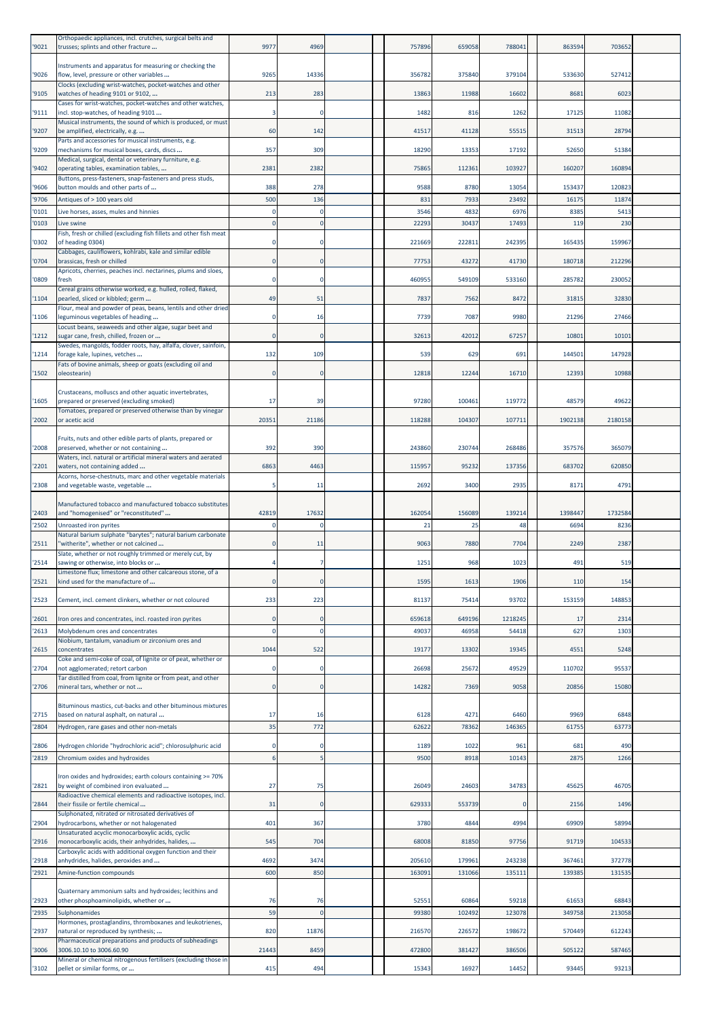| '9021          | Orthopaedic appliances, incl. crutches, surgical belts and<br>trusses; splints and other fracture                                     | 9977        | 4969           |  | 757896           | 659058           | 788041           | 863594           | 703652           |  |
|----------------|---------------------------------------------------------------------------------------------------------------------------------------|-------------|----------------|--|------------------|------------------|------------------|------------------|------------------|--|
| '9026          | Instruments and apparatus for measuring or checking the<br>flow, level, pressure or other variables                                   | 9265        | 14336          |  | 356782           | 375840           | 379104           | 533630           | 527412           |  |
| '9105          | Clocks (excluding wrist-watches, pocket-watches and other<br>watches of heading 9101 or 9102,                                         | 213         | 283            |  | 13863            | 11988            | 16602            | 8681             | 6023             |  |
| '9111          | Cases for wrist-watches, pocket-watches and other watches,<br>incl. stop-watches, of heading 9101                                     |             |                |  | 1482             | 816              | 1262             | 17125            | 11082            |  |
| '9207          | Musical instruments, the sound of which is produced, or must<br>be amplified, electrically, e.g.                                      | 60          | 142            |  | 41517            | 41128            | 55515            | 31513            | 28794            |  |
| '9209          | Parts and accessories for musical instruments, e.g.<br>mechanisms for musical boxes, cards, discs                                     | 357         | 309            |  | 18290            | 13353            | 17192            | 52650            | 51384            |  |
|                | Medical, surgical, dental or veterinary furniture, e.g.                                                                               |             |                |  |                  |                  |                  |                  |                  |  |
| '9402          | operating tables, examination tables,<br>Buttons, press-fasteners, snap-fasteners and press studs,                                    | 2381        | 2382           |  | 75865            | 112361           | 103927           | 160207           | 160894           |  |
| '9606<br>'9706 | button moulds and other parts of<br>Antiques of > 100 years old                                                                       | 388<br>500  | 278<br>136     |  | 9588<br>831      | 8780<br>7933     | 13054<br>23492   | 153437<br>16175  | 120823<br>11874  |  |
| '0101          | Live horses, asses, mules and hinnies                                                                                                 |             | 0              |  | 3546             | 4832             | 6976             | 8385             | 5413             |  |
| '0103          | Live swine<br>Fish, fresh or chilled (excluding fish fillets and other fish meat                                                      |             | $\Omega$       |  | 22293            | 30437            | 17493            | 119              | 230              |  |
| '0302          | of heading 0304)<br>Cabbages, cauliflowers, kohlrabi, kale and similar edible                                                         |             |                |  | 221669           | 222811           | 242395           | 165435           | 159967           |  |
| '0704          | brassicas, fresh or chilled<br>Apricots, cherries, peaches incl. nectarines, plums and sloes,                                         |             |                |  | 77753            | 43272            | 41730            | 180718           | 212296           |  |
| '0809          | fresh<br>Cereal grains otherwise worked, e.g. hulled, rolled, flaked,                                                                 |             |                |  | 460955           | 549109           | 533160           | 285782           | 230052           |  |
| '1104          | pearled, sliced or kibbled; germ<br>Flour, meal and powder of peas, beans, lentils and other dried                                    | 49          | 51             |  | 7837             | 7562             | 8472             | 31815            | 32830            |  |
| '1106          | leguminous vegetables of heading<br>Locust beans, seaweeds and other algae, sugar beet and                                            | $\Omega$    | 16             |  | 7739             | 7087             | 9980             | 21296            | 27466            |  |
| '1212          | sugar cane, fresh, chilled, frozen or<br>Swedes, mangolds, fodder roots, hay, alfalfa, clover, sainfoin,                              | $\Omega$    | $\Omega$       |  | 32613            | 42012            | 67257            | 10801            | 10101            |  |
| '1214          | forage kale, lupines, vetches<br>Fats of bovine animals, sheep or goats (excluding oil and                                            | 132         | 109            |  | 539              | 629              | 691              | 144501           | 147928           |  |
| '1502          | oleostearin)                                                                                                                          |             |                |  | 12818            | 12244            | 16710            | 12393            | 10988            |  |
| '1605          | Crustaceans, molluscs and other aquatic invertebrates,<br>prepared or preserved (excluding smoked)                                    | 17          | 39             |  | 97280            | 100461           | 119772           | 48579            | 49622            |  |
| '2002          | Tomatoes, prepared or preserved otherwise than by vinegar<br>or acetic acid                                                           | 20351       | 21186          |  | 118288           | 104307           | 107711           | 1902138          | 2180158          |  |
| '2008          | Fruits, nuts and other edible parts of plants, prepared or<br>preserved, whether or not containing                                    | 392         | 390            |  | 243860           | 230744           | 268486           | 357576           | 365079           |  |
| '2201          | Waters, incl. natural or artificial mineral waters and aerated<br>waters, not containing added                                        | 6863        | 4463           |  | 115957           | 95232            | 137356           | 683702           | 620850           |  |
| '2308          | Acorns, horse-chestnuts, marc and other vegetable materials<br>and vegetable waste, vegetable                                         |             | 11             |  | 2692             | 3400             | 2935             | 8171             | 4791             |  |
|                | Manufactured tobacco and manufactured tobacco substitutes                                                                             |             |                |  |                  |                  |                  |                  |                  |  |
| '2403          | and "homogenised" or "reconstituted"                                                                                                  | 42819       | 17632          |  | 162054           | 156089           | 139214           | 1398447          | 1732584          |  |
| '2502          | Unroasted iron pyrites<br>Natural barium sulphate "barytes"; natural barium carbonate<br>'witherite", whether or not calcined         |             | $\Omega$       |  | 21<br>9063       | 25               | 48<br>7704       | 6694             | 8236             |  |
| '2511<br>'2514 | Slate, whether or not roughly trimmed or merely cut, by                                                                               |             | 11             |  | 1251             | 7880<br>968      | 1023             | 2249<br>491      | 2387<br>519      |  |
| '2521          | sawing or otherwise, into blocks or<br>Limestone flux; limestone and other calcareous stone, of a<br>kind used for the manufacture of | $\Omega$    | 0              |  | 1595             | 1613             | 1906             | 110              | 154              |  |
| '2523          | Cement, incl. cement clinkers, whether or not coloured                                                                                | 233         | 223            |  | 81137            | 75414            | 93702            | 153159           | 148853           |  |
| '2601          | Iron ores and concentrates, incl. roasted iron pyrites                                                                                | $\Omega$    | $\Omega$       |  | 659618           | 649196           | 1218245          | 17               | 2314             |  |
| '2613          | Molybdenum ores and concentrates                                                                                                      |             | $\Omega$       |  | 49037            | 46958            | 54418            | 627              | 1303             |  |
| '2615          | Niobium, tantalum, vanadium or zirconium ores and<br>concentrates                                                                     | 1044        | 522            |  | 19177            | 13302            | 19345            | 4551             | 5248             |  |
| '2704          | Coke and semi-coke of coal, of lignite or of peat, whether or<br>not agglomerated; retort carbon                                      |             | $\Omega$       |  | 26698            | 25672            | 49529            | 110702           | 95537            |  |
| '2706          | Tar distilled from coal, from lignite or from peat, and other<br>mineral tars, whether or not                                         | $\mathbf 0$ | $\mathbf 0$    |  | 14282            | 7369             | 9058             | 20856            | 15080            |  |
|                | Bituminous mastics, cut-backs and other bituminous mixtures                                                                           |             |                |  |                  |                  |                  |                  |                  |  |
| '2715<br>'2804 | based on natural asphalt, on natural<br>Hydrogen, rare gases and other non-metals                                                     | 17<br>35    | 16<br>772      |  | 6128<br>62622    | 4271<br>78362    | 6460<br>146365   | 9969<br>61755    | 6848<br>63773    |  |
| '2806          | Hydrogen chloride "hydrochloric acid"; chlorosulphuric acid                                                                           |             | $\Omega$       |  | 1189             | 1022             | 961              | 681              | 490              |  |
| '2819          | Chromium oxides and hydroxides                                                                                                        |             |                |  | 9500             | 8918             | 10143            | 2875             | 1266             |  |
| '2821          | Iron oxides and hydroxides; earth colours containing >= 70%<br>by weight of combined iron evaluated                                   | 27          | 75             |  | 26049            | 24603            | 34783            | 45625            | 46705            |  |
| '2844          | Radioactive chemical elements and radioactive isotopes, incl.<br>their fissile or fertile chemical                                    | 31          | $\Omega$       |  | 629333           | 553739           | $\sqrt{ }$       | 2156             | 1496             |  |
| '2904          | Sulphonated, nitrated or nitrosated derivatives of<br>hydrocarbons, whether or not halogenated                                        | 401         | 367            |  | 3780             | 4844             | 4994             | 69909            | 58994            |  |
| '2916          | Unsaturated acyclic monocarboxylic acids, cyclic<br>monocarboxylic acids, their anhydrides, halides,                                  | 545         | 704            |  | 68008            | 81850            | 97756            | 91719            | 104533           |  |
|                | Carboxylic acids with additional oxygen function and their                                                                            |             |                |  |                  |                  |                  |                  |                  |  |
| '2918<br>'2921 | anhydrides, halides, peroxides and<br>Amine-function compounds                                                                        | 4692<br>600 | 3474<br>850    |  | 205610<br>163091 | 179961<br>131066 | 243238<br>135111 | 367461<br>139385 | 372778<br>131535 |  |
|                | Quaternary ammonium salts and hydroxides; lecithins and                                                                               |             |                |  |                  |                  |                  |                  |                  |  |
| '2923<br>'2935 | other phosphoaminolipids, whether or<br><b>Sulphonamides</b>                                                                          | 76<br>59    | 76<br>$\Omega$ |  | 52551<br>99380   | 60864<br>102492  | 59218<br>123078  | 61653<br>349758  | 68843<br>213058  |  |
| '2937          | Hormones, prostaglandins, thromboxanes and leukotrienes,<br>natural or reproduced by synthesis;                                       | 820         | 11876          |  | 216570           | 226572           | 198672           | 570449           | 612243           |  |
| '3006          | Pharmaceutical preparations and products of subheadings<br>3006.10.10 to 3006.60.90                                                   | 21443       | 8459           |  | 472800           | 381427           | 386506           | 505122           | 587465           |  |
| '3102          | Mineral or chemical nitrogenous fertilisers (excluding those in<br>pellet or similar forms, or                                        | 415         | 494            |  | 15343            | 16927            | 14452            | 93445            | 93213            |  |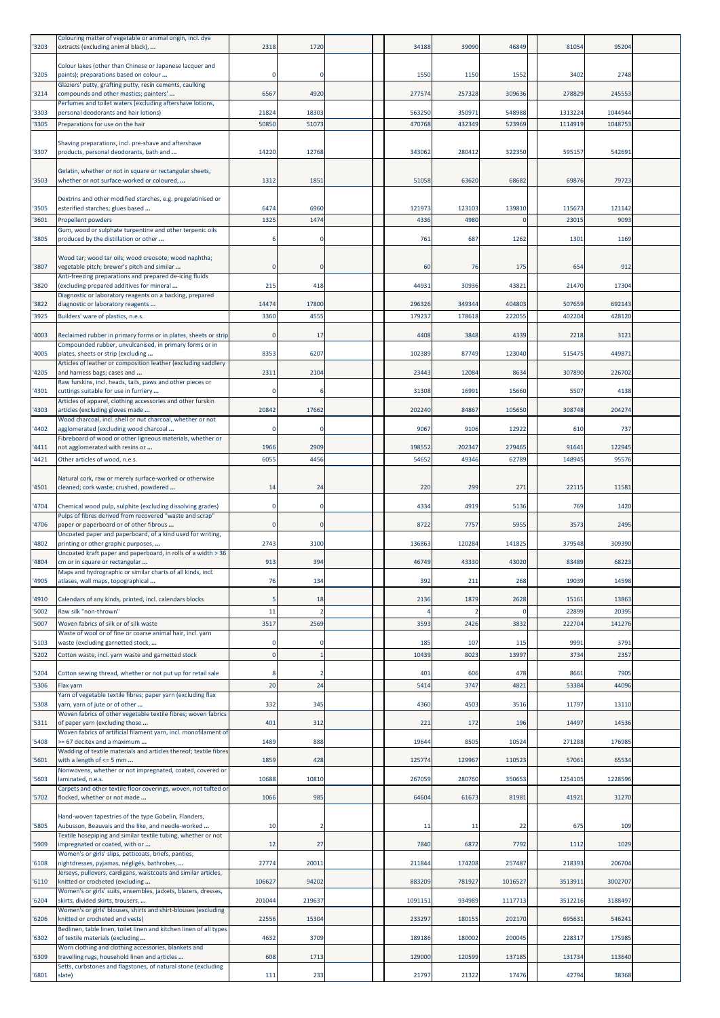| '3203          | Colouring matter of vegetable or animal origin, incl. dye<br>extracts (excluding animal black),                            | 2318           | 1720           | 34188            | 39090                  | 46849            | 81054              | 95204              |  |
|----------------|----------------------------------------------------------------------------------------------------------------------------|----------------|----------------|------------------|------------------------|------------------|--------------------|--------------------|--|
| '3205          | Colour lakes (other than Chinese or Japanese lacquer and<br>paints); preparations based on colour                          | $\Omega$       | $\Omega$       | 1550             | 1150                   | 1552             | 3402               | 2748               |  |
| '3214          | Glaziers' putty, grafting putty, resin cements, caulking<br>compounds and other mastics; painters'                         | 6567           | 4920           | 277574           | 257328                 | 309636           | 278829             | 245553             |  |
|                | Perfumes and toilet waters (excluding aftershave lotions,                                                                  |                |                |                  |                        |                  |                    |                    |  |
| '3303<br>'3305 | personal deodorants and hair lotions)<br>Preparations for use on the hair                                                  | 21824<br>50850 | 18303<br>51073 | 563250<br>470768 | 350971<br>432349       | 548988<br>523969 | 1313224<br>1114919 | 1044944<br>1048753 |  |
|                | Shaving preparations, incl. pre-shave and aftershave                                                                       |                |                |                  |                        |                  |                    |                    |  |
| '3307          | products, personal deodorants, bath and                                                                                    | 14220          | 12768          | 343062           | 280412                 | 322350           | 595157             | 542691             |  |
| '3503          | Gelatin, whether or not in square or rectangular sheets,<br>whether or not surface-worked or coloured,                     | 1312           | 1851           | 51058            | 63620                  | 68682            | 69876              | 79723              |  |
|                | Dextrins and other modified starches, e.g. pregelatinised or                                                               |                |                |                  |                        |                  |                    |                    |  |
| '3505          | esterified starches; glues based                                                                                           | 6474           | 6960           | 121973           | 123103                 | 139810           | 115673             | 121142             |  |
| '3601          | Propellent powders<br>Gum, wood or sulphate turpentine and other terpenic oils                                             | 1325           | 1474           | 4336             | 4980                   | $\Omega$         | 2301               | 9093               |  |
| '3805          | produced by the distillation or other                                                                                      |                | $\Omega$       | 761              | 687                    | 1262             | 1301               | 1169               |  |
| '3807          | Wood tar; wood tar oils; wood creosote; wood naphtha;<br>vegetable pitch; brewer's pitch and similar                       | $\Omega$       | $\Omega$       | 60               | 76                     | 175              | 654                | 912                |  |
| '3820          | Anti-freezing preparations and prepared de-icing fluids<br>(excluding prepared additives for mineral                       | 215            | 418            | 44931            | 30936                  | 43821            | 21470              | 17304              |  |
| '3822          | Diagnostic or laboratory reagents on a backing, prepared<br>diagnostic or laboratory reagents                              | 14474          | 17800          | 296326           | 349344                 | 404803           | 507659             | 692143             |  |
| '3925          | Builders' ware of plastics, n.e.s.                                                                                         | 3360           | 455            | 179237           | 178618                 | 222055           | 402204             | 428120             |  |
| '4003          | Reclaimed rubber in primary forms or in plates, sheets or strip<br>Compounded rubber, unvulcanised, in primary forms or in | $\Omega$       | 17             | 4408             | 3848                   | 4339             | 2218               | 3121               |  |
| '4005          | plates, sheets or strip (excluding                                                                                         | 8353           | 6207           | 102389           | 87749                  | 123040           | 515475             | 449871             |  |
| '4205          | Articles of leather or composition leather (excluding saddlery<br>and harness bags; cases and                              | 2311           | 2104           | 23443            | 12084                  | 8634             | 307890             | 226702             |  |
| '4301          | Raw furskins, incl. heads, tails, paws and other pieces or<br>cuttings suitable for use in furriery                        |                |                | 31308            | 16991                  | 15660            | 5507               | 4138               |  |
| '4303          | Articles of apparel, clothing accessories and other furskin<br>articles (excluding gloves made                             | 20842          | 17662          | 202240           | 84867                  | 105650           | 308748             | 204274             |  |
| '4402          | Wood charcoal, incl. shell or nut charcoal, whether or not<br>agglomerated (excluding wood charcoal                        | $\Omega$       | $\Omega$       | 9067             | 9106                   | 12922            | 610                | 737                |  |
| '4411          | Fibreboard of wood or other ligneous materials, whether or<br>not agglomerated with resins or                              | 1966           | 2909           | 198552           | 202347                 | 279465           | 91641              | 122945             |  |
| '4421          | Other articles of wood, n.e.s.                                                                                             | 6055           | 4456           | 54652            | 49346                  | 62789            | 148945             | 95576              |  |
| '4501          | Natural cork, raw or merely surface-worked or otherwise<br>cleaned; cork waste; crushed, powdered                          | 14             | 24             | 220              | 299                    | 271              | 22115              | 11581              |  |
|                |                                                                                                                            | $\Omega$       | $\mathbf 0$    | 4334             | 4919                   | 5136             | 769                | 1420               |  |
| '4704          | Chemical wood pulp, sulphite (excluding dissolving grades)<br>Pulps of fibres derived from recovered "waste and scrap"     |                |                |                  |                        |                  |                    |                    |  |
| '4706          | paper or paperboard or of other fibrous<br>Uncoated paper and paperboard, of a kind used for writing,                      | $\Omega$       | $\Omega$       | 8722             | 7757                   | 5955             | 3573               | 2495               |  |
| '4802          | printing or other graphic purposes,<br>Uncoated kraft paper and paperboard, in rolls of a width > 36                       | 2743           | 3100           | 136863           | 120284                 | 141825           | 379548             | 309390             |  |
| '4804          | cm or in square or rectangular<br>Maps and hydrographic or similar charts of all kinds, incl.                              | 913            | 394            | 46749            | 43330                  | 43020            | 83489              | 68223              |  |
| '4905          | atlases, wall maps, topographical                                                                                          | 76             | 134            | 392              | 211                    | 268              | 19039              | 14598              |  |
| '4910<br>'5002 | Calendars of any kinds, printed, incl. calendars blocks<br>Raw silk "non-thrown"                                           | 5<br>11        | 18             | 2136             | 1879<br>$\overline{2}$ | 2628<br>$\Omega$ | 15161<br>22899     | 13863<br>20395     |  |
| '5007          | Woven fabrics of silk or of silk waste                                                                                     | 3517           | 2569           | 3593             | 2426                   | 3832             | 222704             | 141276             |  |
| '5103          | Waste of wool or of fine or coarse animal hair, incl. yarn<br>waste (excluding garnetted stock,                            | $\Omega$       | $\Omega$       | 185              | 107                    | 115              | 9991               | 3791               |  |
| '5202          | Cotton waste, incl. yarn waste and garnetted stock                                                                         | $\Omega$       |                | 10439            | 8023                   | 13997            | 3734               | 2357               |  |
| '5204          | Cotton sewing thread, whether or not put up for retail sale                                                                |                |                | 401              | 606                    | 478              | 8661               | 7905               |  |
| '5306          | Flax varn                                                                                                                  | 20             | 24             | 5414             | 3747                   | 4821             | 53384              | 44096              |  |
| '5308          | Yarn of vegetable textile fibres; paper yarn (excluding flax<br>yarn, yarn of jute or of other                             | 332            | 345            | 4360             | 4503                   | 3516             | 11797              | 13110              |  |
| '5311          | Woven fabrics of other vegetable textile fibres; woven fabrics<br>of paper yarn (excluding those                           | 401            | 312            | 221              | 172                    | 196              | 14497              | 14536              |  |
| '5408          | Woven fabrics of artificial filament yarn, incl. monofilament of<br>>= 67 decitex and a maximum                            | 1489           | 888            | 19644            | 8505                   | 10524            | 271288             | 176985             |  |
| '5601          | Wadding of textile materials and articles thereof; textile fibres<br>with a length of $\leq$ 5 mm                          | 1859           | 428            | 125774           | 129967                 | 110523           | 57061              | 65534              |  |
| '5603          | Nonwovens, whether or not impregnated, coated, covered or<br>laminated, n.e.s.                                             | 10688          | 10810          | 267059           | 280760                 | 350653           | 1254105            | 1228596            |  |
| '5702          | Carpets and other textile floor coverings, woven, not tufted or<br>flocked, whether or not made                            | 1066           | 985            | 64604            | 61673                  | 81981            | 41921              | 31270              |  |
|                | Hand-woven tapestries of the type Gobelin, Flanders,                                                                       |                |                |                  |                        |                  |                    |                    |  |
| '5805          | Aubusson, Beauvais and the like, and needle-worked<br>Textile hosepiping and similar textile tubing, whether or not        | 10             |                | 11               | 11                     | 22               | 675                | 109                |  |
| '5909          | impregnated or coated, with or<br>Women's or girls' slips, petticoats, briefs, panties,                                    | 12             | 27             | 7840             | 6872                   | 7792             | 1112               | 1029               |  |
| '6108          | nightdresses, pyjamas, négligés, bathrobes,<br>Jerseys, pullovers, cardigans, waistcoats and similar articles,             | 27774          | 20011          | 211844           | 174208                 | 257487           | 218393             | 206704             |  |
| '6110          | knitted or crocheted (excluding<br>Women's or girls' suits, ensembles, jackets, blazers, dresses,                          | 106627         | 94202          | 883209           | 781927                 | 1016527          | 3513911            | 3002707            |  |
| '6204          | skirts, divided skirts, trousers,<br>Women's or girls' blouses, shirts and shirt-blouses (excluding                        | 201044         | 219637         | 1091151          | 934989                 | 1117713          | 3512216            | 3188497            |  |
| '6206          | knitted or crocheted and vests)<br>Bedlinen, table linen, toilet linen and kitchen linen of all types                      | 22556          | 15304          | 233297           | 180155                 | 202170           | 695631             | 546241             |  |
| '6302          | of textile materials (excluding                                                                                            | 4632           | 3709           | 189186           | 180002                 | 200045           | 228317             | 175985             |  |
| '6309          | Worn clothing and clothing accessories, blankets and<br>travelling rugs, household linen and articles                      | 608            | 1713           | 129000           | 120599                 | 137185           | 131734             | 113640             |  |
| '6801          | Setts, curbstones and flagstones, of natural stone (excluding<br>slate)                                                    | 111            | 233            | 21797            | 21322                  | 17476            | 42794              | 38368              |  |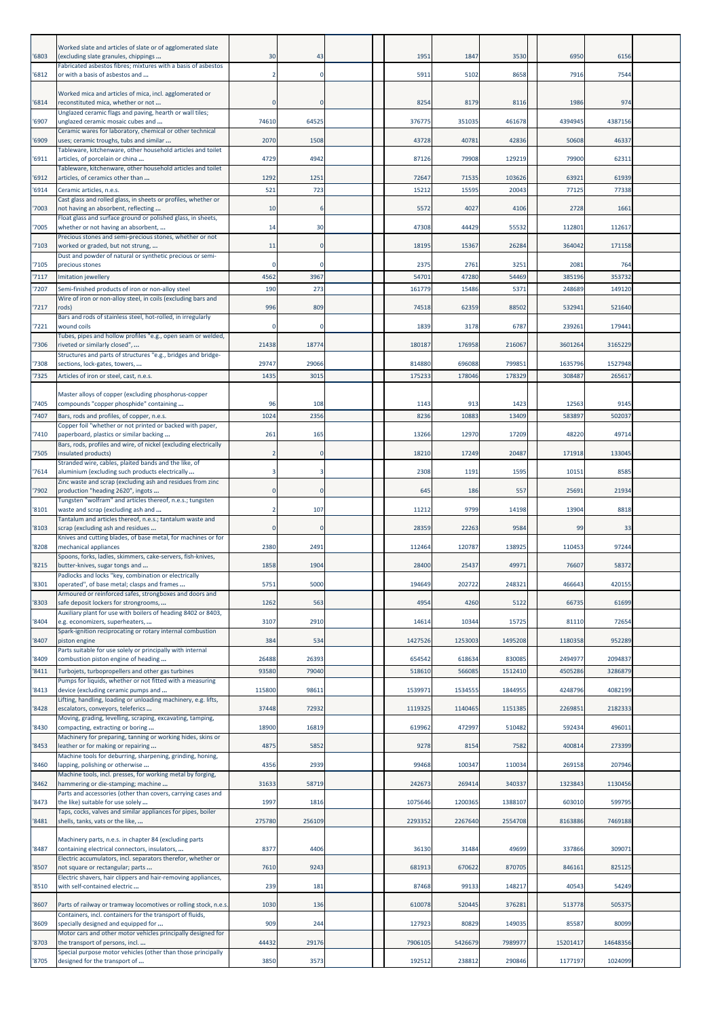| 6803          | Worked slate and articles of slate or of agglomerated slate<br>(excluding slate granules, chippings<br>Fabricated asbestos fibres; mixtures with a basis of asbestos | 30             | 43             | 1951             | 1847             | 3530              | 6950               | 6156               |  |
|---------------|----------------------------------------------------------------------------------------------------------------------------------------------------------------------|----------------|----------------|------------------|------------------|-------------------|--------------------|--------------------|--|
| 6812          | or with a basis of asbestos and                                                                                                                                      |                | $\Omega$       | 5911             | 5102             | 8658              | 7916               | 7544               |  |
| 6814          | Worked mica and articles of mica, incl. agglomerated or<br>reconstituted mica, whether or not<br>Unglazed ceramic flags and paving, hearth or wall tiles;            |                | 0              | 8254             | 8179             | 8116              | 1986               | 974                |  |
| 6907          | unglazed ceramic mosaic cubes and<br>Ceramic wares for laboratory, chemical or other technical                                                                       | 74610          | 64525          | 376775           | 351035           | 461678            | 4394945            | 4387156            |  |
| '6909         | uses; ceramic troughs, tubs and similar                                                                                                                              | 2070           | 1508           | 43728            | 40781            | 42836             | 50608              | 46337              |  |
| '6911         | Tableware, kitchenware, other household articles and toilet<br>articles, of porcelain or china                                                                       | 4729           | 4942           | 87126            | 79908            | 129219            | 79900              | 62311              |  |
| 6912          | Tableware, kitchenware, other household articles and toilet<br>articles, of ceramics other than                                                                      | 1292           | 1251           | 72647            | 71535            | 103626            | 63921              | 61939              |  |
| 6914          | Ceramic articles, n.e.s.                                                                                                                                             | 521            | 723            | 15212            | 15595            | 20043             | 77125              | 77338              |  |
| 7003          | Cast glass and rolled glass, in sheets or profiles, whether or<br>not having an absorbent, reflecting                                                                | 10             | 6              | 5572             | 4027             | 4106              | 2728               | 1661               |  |
| '7005         | Float glass and surface ground or polished glass, in sheets,<br>whether or not having an absorbent,                                                                  | 14             | 30             | 47308            | 44429            | 55532             | 112801             | 112617             |  |
| '7103         | Precious stones and semi-precious stones, whether or not<br>worked or graded, but not strung,                                                                        | 11             | $\mathbf{0}$   | 18195            | 15367            | 26284             | 364042             | 171158             |  |
| '7105         | Dust and powder of natural or synthetic precious or semi-<br>precious stones                                                                                         |                |                | 2375             | 2761             | 3251              | 2081               | 764                |  |
| 7117          | Imitation jewellery                                                                                                                                                  | 4562           | 3967           | 54701            | 47280            | 54469             | 385196             | 353732             |  |
| '7207         | Semi-finished products of iron or non-alloy steel<br>Wire of iron or non-alloy steel, in coils (excluding bars and                                                   | 190            | 273            | 161779           | 15486            | 5371              | 248689             | 149120             |  |
| '7217         | rods)                                                                                                                                                                | 996            | 809            | 74518            | 62359            | 88502             | 532941             | 521640             |  |
| '7221         | Bars and rods of stainless steel, hot-rolled, in irregularly<br>wound coils<br>Tubes, pipes and hollow profiles "e.g., open seam or welded,                          |                | 0              | 1839             | 3178             | 6787              | 239261             | 179441             |  |
| '7306         | riveted or similarly closed",                                                                                                                                        | 21438          | 18774          | 180187           | 176958           | 216067            | 3601264            | 3165229            |  |
| '7308         | Structures and parts of structures "e.g., bridges and bridge-<br>sections, lock-gates, towers,                                                                       | 29747          | 29066          | 814880           | 696088           | 799851            | 1635796            | 1527948            |  |
| '7325         | Articles of iron or steel, cast, n.e.s.                                                                                                                              | 1435           | 3015           | 175233           | 178046           | 178329            | 308487             | 265617             |  |
|               | Master alloys of copper (excluding phosphorus-copper                                                                                                                 |                |                |                  |                  |                   |                    |                    |  |
| '7405         | compounds "copper phosphide" containing                                                                                                                              | 96             | 108            | 1143             | 913              | 1423              | 12563              | 9145               |  |
| 7407          | Bars, rods and profiles, of copper, n.e.s.<br>Copper foil "whether or not printed or backed with paper,                                                              | 1024           | 2356           | 8236             | 10883            | 13409             | 583897             | 502037             |  |
| '7410         | paperboard, plastics or similar backing<br>Bars, rods, profiles and wire, of nickel (excluding electrically                                                          | 261            | 165            | 13266            | 12970            | 17209             | 48220              | 49714              |  |
| '7505         | insulated products)                                                                                                                                                  |                |                | 18210            | 17249            | 20487             | 171918             | 133045             |  |
| 7614          | Stranded wire, cables, plaited bands and the like, of<br>aluminium (excluding such products electrically                                                             |                |                | 2308             | 1191             | 1595              | 10151              | 8585               |  |
| 7902          | Zinc waste and scrap (excluding ash and residues from zinc<br>production "heading 2620", ingots                                                                      |                | $\Omega$       | 645              | 186              | 557               | 25691              | 21934              |  |
| '8101         | Tungsten "wolfram" and articles thereof, n.e.s.; tungsten<br>waste and scrap (excluding ash and                                                                      |                | 107            | 11212            | 9799             | 14198             | 13904              | 8818               |  |
|               | Tantalum and articles thereof, n.e.s.; tantalum waste and                                                                                                            |                |                |                  |                  |                   |                    |                    |  |
| '8103         | scrap (excluding ash and residues<br>Knives and cutting blades, of base metal, for machines or for                                                                   |                | $\mathbf{0}$   | 28359            | 22263            | 9584              | 99                 | 33                 |  |
| '8208         | mechanical appliances<br>Spoons, forks, ladles, skimmers, cake-servers, fish-knives,                                                                                 | 2380           | 2491           | 112464           | 120787           | 138925            | 110453             | 97244              |  |
| '8215         | butter-knives, sugar tongs and<br>Padlocks and locks "key, combination or electrically                                                                               | 1858           | 1904           | 28400            | 25437            | 49971             | 76607              | 58372              |  |
| '8301         | operated", of base metal; clasps and frames                                                                                                                          | 5751           | 5000           | 194649           | 202722           | 248321            | 466643             | 420155             |  |
| 8303          | Armoured or reinforced safes, strongboxes and doors and<br>safe deposit lockers for strongrooms,                                                                     | 1262           | 563            | 4954             | 4260             | 5122              | 66735              | 61699              |  |
| 8404          | Auxiliary plant for use with boilers of heading 8402 or 8403,<br>e.g. economizers, superheaters,                                                                     | 3107           | 2910           | 14614            | 10344            | 15725             | 81110              | 72654              |  |
| '8407         | Spark-ignition reciprocating or rotary internal combustion<br>piston engine                                                                                          | 384            | 534            | 1427526          | 1253003          | 1495208           | 1180358            | 952289             |  |
|               | Parts suitable for use solely or principally with internal                                                                                                           |                |                |                  |                  |                   |                    |                    |  |
| '8409<br>8411 | combustion piston engine of heading<br>Turbojets, turbopropellers and other gas turbines                                                                             | 26488<br>93580 | 26393<br>79040 | 654542<br>518610 | 618634<br>566085 | 830085<br>1512410 | 2494977<br>4505286 | 2094837<br>3286879 |  |
|               | Pumps for liquids, whether or not fitted with a measuring                                                                                                            |                |                |                  |                  |                   |                    |                    |  |
| 8413          | device (excluding ceramic pumps and<br>Lifting, handling, loading or unloading machinery, e.g. lifts,                                                                | 115800         | 98611          | 1539971          | 1534555          | 1844955           | 4248796            | 4082199            |  |
| 8428          | escalators, conveyors, teleferics<br>Moving, grading, levelling, scraping, excavating, tamping,                                                                      | 37448          | 72932          | 1119325          | 1140465          | 1151385           | 2269851            | 2182333            |  |
| '8430         | compacting, extracting or boring<br>Machinery for preparing, tanning or working hides, skins or                                                                      | 18900          | 16819          | 619962           | 472997           | 510482            | 592434             | 496011             |  |
| 8453          | leather or for making or repairing<br>Machine tools for deburring, sharpening, grinding, honing,                                                                     | 4875           | 5852           | 9278             | 8154             | 7582              | 400814             | 273399             |  |
| 8460          | lapping, polishing or otherwise                                                                                                                                      | 4356           | 2939           | 99468            | 100347           | 110034            | 269158             | 207946             |  |
| 8462          | Machine tools, incl. presses, for working metal by forging,<br>hammering or die-stamping; machine                                                                    | 31633          | 58719          | 242673           | 269414           | 340337            | 1323843            | 1130456            |  |
| 8473          | Parts and accessories (other than covers, carrying cases and<br>the like) suitable for use solely                                                                    | 1997           | 1816           | 1075646          | 1200365          | 1388107           | 603010             | 599795             |  |
| 8481          | Taps, cocks, valves and similar appliances for pipes, boiler<br>shells, tanks, vats or the like,                                                                     | 275780         | 256109         | 2293352          | 2267640          | 2554708           | 8163886            | 7469188            |  |
| 8487          | Machinery parts, n.e.s. in chapter 84 (excluding parts<br>containing electrical connectors, insulators,                                                              | 837            | 4406           | 36130            | 31484            | 49699             | 337866             | 309071             |  |
| 8507          | Electric accumulators, incl. separators therefor, whether or<br>not square or rectangular; parts                                                                     | 7610           | 9243           | 681913           | 670622           | 870705            | 846161             | 825125             |  |
| '8510         | Electric shavers, hair clippers and hair-removing appliances,<br>with self-contained electric                                                                        | 239            | 181            | 87468            | 99133            | 148217            | 40543              | 54249              |  |
| '8607         | Parts of railway or tramway locomotives or rolling stock, n.e.s                                                                                                      | 1030           | 136            | 610078           | 520445           | 376281            | 513778             | 505375             |  |
| '8609         | Containers, incl. containers for the transport of fluids,<br>specially designed and equipped for                                                                     | 909            | 244            | 127923           | 80829            | 149035            | 85587              | 80099              |  |
| '8703         | Motor cars and other motor vehicles principally designed for<br>the transport of persons, incl.                                                                      | 44432          | 29176          | 7906105          | 5426679          | 7989977           | 15201417           | 14648356           |  |
|               | Special purpose motor vehicles (other than those principally                                                                                                         |                |                |                  |                  |                   |                    |                    |  |
| '8705         | designed for the transport of                                                                                                                                        | 3850           | 3573           | 192512           | 238812           | 290846            | 1177197            | 1024099            |  |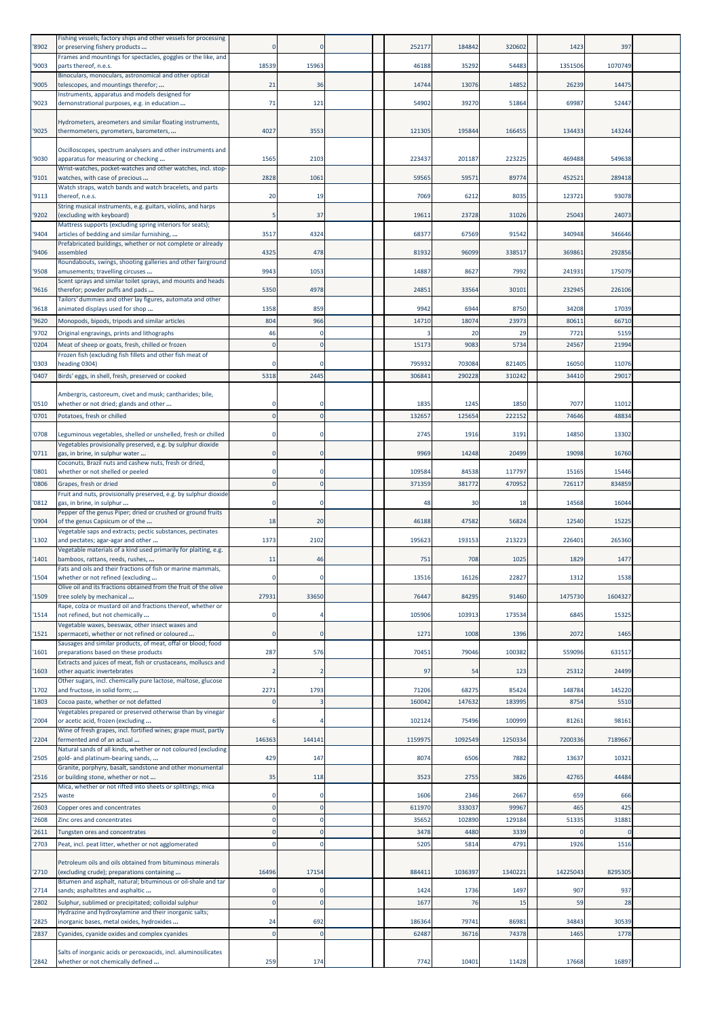| '8902          | Fishing vessels; factory ships and other vessels for processing<br>or preserving fishery products              |                      |                  | 252177          | 184842           | 320602          | 1423            | 397           |  |
|----------------|----------------------------------------------------------------------------------------------------------------|----------------------|------------------|-----------------|------------------|-----------------|-----------------|---------------|--|
| '9003          | Frames and mountings for spectacles, goggles or the like, and<br>parts thereof, n.e.s.                         | 18539                | 15963            | 46188           | 35292            | 54483           | 1351506         | 1070749       |  |
| '9005          | Binoculars, monoculars, astronomical and other optical<br>telescopes, and mountings therefor;                  | 21                   | 36               | 14744           | 13076            | 14852           | 26239           | 14475         |  |
| '9023          | Instruments, apparatus and models designed for<br>demonstrational purposes, e.g. in education                  | 71                   | 121              | 54902           | 39270            | 51864           | 69987           | 52447         |  |
|                | Hydrometers, areometers and similar floating instruments,                                                      |                      |                  |                 |                  |                 |                 |               |  |
| '9025          | thermometers, pyrometers, barometers,                                                                          | 4027                 | 3553             | 121305          | 195844           | 166455          | 134433          | 143244        |  |
| '9030          | Oscilloscopes, spectrum analysers and other instruments and<br>apparatus for measuring or checking             | 1565                 | 2103             | 223437          | 201187           | 223225          | 469488          | 549638        |  |
| '9101          | Wrist-watches, pocket-watches and other watches, incl. stop-<br>watches, with case of precious                 | 2828                 | 1061             | 59565           | 59571            | 89774           | 452521          | 289418        |  |
| '9113          | Watch straps, watch bands and watch bracelets, and parts                                                       |                      |                  | 7069            | 6212             | 8035            | 123721          | 93078         |  |
|                | thereof, n.e.s.<br>String musical instruments, e.g. guitars, violins, and harps                                | 20                   | 19               |                 |                  |                 |                 |               |  |
| '9202          | (excluding with keyboard)<br>Mattress supports (excluding spring interiors for seats);                         |                      | 37               | 19611           | 23728            | 31026           | 25043           | 24073         |  |
| '9404          | articles of bedding and similar furnishing,<br>Prefabricated buildings, whether or not complete or already     | 3517                 | 4324             | 68377           | 67569            | 91542           | 340948          | 346646        |  |
| '9406          | assembled<br>Roundabouts, swings, shooting galleries and other fairground                                      | 4325                 | 478              | 81932           | 96099            | 338517          | 369861          | 292856        |  |
| '9508          | amusements; travelling circuses<br>Scent sprays and similar toilet sprays, and mounts and heads                | 9943                 | 1053             | 14887           | 8627             | 7992            | 241931          | 175079        |  |
| '9616          | therefor; powder puffs and pads<br>Tailors' dummies and other lay figures, automata and other                  | 5350                 | 4978             | 24851           | 33564            | 30101           | 232945          | 226106        |  |
| '9618          | animated displays used for shop                                                                                | 1358                 | 859              | 9942            | 6944             | 8750            | 34208           | 17039         |  |
| '9620<br>'9702 | Monopods, bipods, tripods and similar articles<br>Original engravings, prints and lithographs                  | 804<br>46            | 966<br>0         | 14710           | 18074<br>20      | 23973<br>29     | 80611<br>7721   | 66710<br>5159 |  |
| '0204          | Meat of sheep or goats, fresh, chilled or frozen<br>Frozen fish (excluding fish fillets and other fish meat of |                      | $\Omega$         | 15173           | 9083             | 5734            | 24567           | 21994         |  |
| '0303          | heading 0304)                                                                                                  |                      |                  | 795932          | 703084           | 821405          | 16050           | 11076         |  |
| '0407          | Birds' eggs, in shell, fresh, preserved or cooked                                                              | 5318                 | 2445             | 306841          | 290228           | 310242          | 34410           | 29017         |  |
| '0510          | Ambergris, castoreum, civet and musk; cantharides; bile,<br>whether or not dried; glands and other             |                      |                  | 1835            | 1245             | 1850            | 7077            | 11012         |  |
| '0701          | Potatoes, fresh or chilled                                                                                     | $\Omega$             | $\Omega$         | 132657          | 12565            | 222152          | 7464            | 48834         |  |
| '0708          | Leguminous vegetables, shelled or unshelled, fresh or chilled                                                  |                      | $\Omega$         | 2745            | 1916             | 3191            | 14850           | 13302         |  |
| '0711          | Vegetables provisionally preserved, e.g. by sulphur dioxide<br>gas, in brine, in sulphur water                 |                      |                  | 9969            | 14248            | 20499           | 19098           | 16760         |  |
| '0801          | Coconuts, Brazil nuts and cashew nuts, fresh or dried,<br>whether or not shelled or peeled                     |                      | 0                | 109584          | 84538            | 117797          | 15165           | 15446         |  |
| '0806          | Grapes, fresh or dried<br>Fruit and nuts, provisionally preserved, e.g. by sulphur dioxide                     | $\Omega$             | $\Omega$         | 371359          | 381772           | 470952          | 726117          | 834859        |  |
| '0812          | gas, in brine, in sulphur<br>Pepper of the genus Piper; dried or crushed or ground fruits                      | $\Omega$             | $\Omega$         | 48              | 30               | 18              | 14568           | 16044         |  |
| '0904          | of the genus Capsicum or of the<br>Vegetable saps and extracts; pectic substances, pectinates                  | 18                   | 20               | 46188           | 47582            | 56824           | 12540           | 15225         |  |
| '1302          | and pectates; agar-agar and other<br>Vegetable materials of a kind used primarily for plaiting, e.g.           | 1373                 | 2102             | 195623          | 193153           | 213223          | 226401          | 265360        |  |
| '1401          | bamboos, rattans, reeds, rushes,                                                                               | 11                   | 46               | 751             | 708              | 1025            | 1829            | 1477          |  |
| '1504          | Fats and oils and their fractions of fish or marine mammals,<br>whether or not refined (excluding              |                      |                  | 13516           | 1612             | 22827           | 1312            | 1538          |  |
| '1509          | Olive oil and its fractions obtained from the fruit of the olive<br>tree solely by mechanical                  | 27931                | 33650            | 76447           | 84295            | 91460           | 1475730         | 1604327       |  |
| '1514          | Rape, colza or mustard oil and fractions thereof, whether or<br>not refined, but not chemically                |                      |                  | 105906          | 103913           | 173534          | 6845            | 15325         |  |
| '1521          | Vegetable waxes, beeswax, other insect waxes and<br>spermaceti, whether or not refined or coloured             |                      | $\Omega$         | 1271            | 1008             | 1396            | 2072            | 1465          |  |
| '1601          | Sausages and similar products, of meat, offal or blood; food<br>preparations based on these products           | 287                  | 576              | 70451           | 79046            | 100382          | 559096          | 631517        |  |
| '1603          | Extracts and juices of meat, fish or crustaceans, molluscs and<br>other aquatic invertebrates                  |                      |                  | 97              | 54               | 123             | 25312           | 24499         |  |
| '1702          | Other sugars, incl. chemically pure lactose, maltose, glucose<br>and fructose, in solid form;                  | 2271                 | 1793             | 71206           | 68275            | 85424           | 148784          | 145220        |  |
| '1803          | Cocoa paste, whether or not defatted<br>Vegetables prepared or preserved otherwise than by vinegar             |                      |                  | 160042          | 147632           | 183995          | 8754            | 5510          |  |
| '2004          | or acetic acid, frozen (excluding                                                                              |                      |                  | 102124          | 75496            | 100999          | 81261           | 98161         |  |
| '2204          | Wine of fresh grapes, incl. fortified wines; grape must, partly<br>fermented and of an actual                  | 146363               | 144141           | 1159975         | 1092549          | 1250334         | 7200336         | 7189667       |  |
| '2505          | Natural sands of all kinds, whether or not coloured (excluding<br>gold- and platinum-bearing sands,            | 429                  | 147              | 8074            | 6506             | 7882            | 13637           | 10321         |  |
| '2516          | Granite, porphyry, basalt, sandstone and other monumental<br>or building stone, whether or not                 | 35                   | 118              | 3523            | 2755             | 3826            | 42765           | 44484         |  |
| '2525          | Mica, whether or not rifted into sheets or splittings; mica<br>waste                                           |                      | 0                | 1606            | 2346             | 2667            | 65 <sup>c</sup> | 666           |  |
| '2603<br>'2608 | Copper ores and concentrates<br>Zinc ores and concentrates                                                     | $\Omega$<br>$\Omega$ | $\mathbf 0$<br>0 | 611970<br>35652 | 333037<br>102890 | 99967<br>129184 | 465<br>51335    | 425<br>31881  |  |
| '2611          | Tungsten ores and concentrates                                                                                 | $\Omega$             | $\mathbf 0$      | 3478            | 4480             | 3339            |                 |               |  |
| '2703          | Peat, incl. peat litter, whether or not agglomerated                                                           |                      |                  | 5205            | 5814             | 4791            | 1926            | 1516          |  |
| '2710          | Petroleum oils and oils obtained from bituminous minerals<br>(excluding crude); preparations containing        | 16496                | 17154            | 884411          | 1036397          | 1340221         | 14225043        | 8295305       |  |
|                | Bitumen and asphalt, natural; bituminous or oil-shale and tar                                                  |                      | $\Omega$         |                 | 1736             | 1497            | 907             | 937           |  |
| '2714<br>'2802 | sands; asphaltites and asphaltic<br>Sulphur, sublimed or precipitated; colloidal sulphur                       |                      | $\Omega$         | 1424<br>1677    | 76               | 15              | 59              | 28            |  |
| '2825          | Hydrazine and hydroxylamine and their inorganic salts;<br>inorganic bases, metal oxides, hydroxides            | 24                   | 692              | 186364          | 79741            | 86981           | 34843           | 30539         |  |
| '2837          | Cyanides, cyanide oxides and complex cyanides                                                                  | $\Omega$             | $\mathbf 0$      | 62487           | 36716            | 74378           | 1465            | 1778          |  |
| '2842          | Salts of inorganic acids or peroxoacids, incl. aluminosilicates<br>whether or not chemically defined           | 259                  | 174              | 7742            | 10401            | 11428           | 17668           | 16897         |  |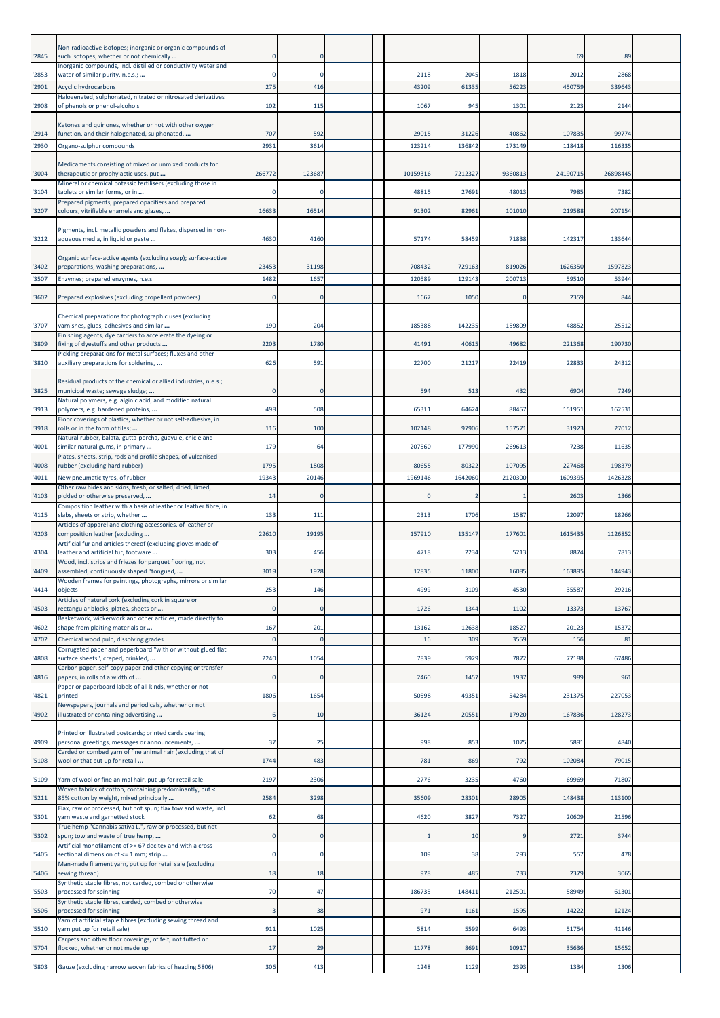| '2845         | Non-radioactive isotopes; inorganic or organic compounds of<br>such isotopes, whether or not chemically                                                          |          | $\Omega$                   |               |               |               | 69            | 89            |  |
|---------------|------------------------------------------------------------------------------------------------------------------------------------------------------------------|----------|----------------------------|---------------|---------------|---------------|---------------|---------------|--|
| '2853         | Inorganic compounds, incl. distilled or conductivity water and<br>water of similar purity, n.e.s.;                                                               |          |                            | 2118          | 2045          | 1818          | 2012          | 2868          |  |
| 2901          | Acyclic hydrocarbons                                                                                                                                             | 275      | 416                        | 43209         | 61335         | 56223         | 450759        | 33964         |  |
| '2908         | Halogenated, sulphonated, nitrated or nitrosated derivatives<br>of phenols or phenol-alcohols                                                                    | 102      | 115                        | 1067          | 945           | 1301          | 2123          | 2144          |  |
| '2914         | Ketones and quinones, whether or not with other oxygen<br>function, and their halogenated, sulphonated,                                                          | 707      | 592                        | 29015         | 31226         | 40862         | 107835        | 99774         |  |
| '2930         | Organo-sulphur compounds                                                                                                                                         | 2931     | 3614                       | 123214        | 136842        | 173149        | 118418        | 116335        |  |
| '3004         | Medicaments consisting of mixed or unmixed products for<br>therapeutic or prophylactic uses, put<br>Mineral or chemical potassic fertilisers (excluding those in | 26677    | 123687                     | 10159316      | 7212327       | 9360813       | 24190715      | 26898445      |  |
| 3104          | tablets or similar forms, or in                                                                                                                                  |          |                            | 48815         | 27691         | 48013         | 7985          | 7382          |  |
| '3207         | Prepared pigments, prepared opacifiers and prepared<br>colours, vitrifiable enamels and glazes,                                                                  | 16633    | 16514                      | 91302         | 82961         | 101010        | 219588        | 207154        |  |
| 3212          | Pigments, incl. metallic powders and flakes, dispersed in non-<br>aqueous media, in liquid or paste                                                              | 4630     | 4160                       | 57174         | 58459         | 71838         | 142317        | 133644        |  |
| '3402         | Organic surface-active agents (excluding soap); surface-active<br>preparations, washing preparations,                                                            | 23453    | 31198                      | 708432        | 729163        | 819026        | 1626350       | 1597823       |  |
| 3507          | Enzymes; prepared enzymes, n.e.s.                                                                                                                                | 1482     | 1657                       | 120589        | 129143        | 200713        | 59510         | 53944         |  |
|               |                                                                                                                                                                  |          |                            |               |               |               |               |               |  |
| '3602         | Prepared explosives (excluding propellent powders)                                                                                                               |          | $\Omega$                   | 1667          | 1050          | $\Omega$      | 2359          | 844           |  |
| '3707         | Chemical preparations for photographic uses (excluding<br>varnishes, glues, adhesives and similar<br>Finishing agents, dye carriers to accelerate the dyeing or  | 190      | 204                        | 185388        | 142235        | 159809        | 48852         | 25512         |  |
| 3809          | fixing of dyestuffs and other products                                                                                                                           | 2203     | 1780                       | 41491         | 40615         | 49682         | 221368        | 190730        |  |
| '3810         | Pickling preparations for metal surfaces; fluxes and other<br>auxiliary preparations for soldering,                                                              | 626      | 591                        | 22700         | 21217         | 22419         | 22833         | 24312         |  |
| '3825         | Residual products of the chemical or allied industries, n.e.s.;<br>municipal waste; sewage sludge;                                                               |          | 0                          | 594           | 513           | 432           | 6904          | 7249          |  |
| 3913          | Natural polymers, e.g. alginic acid, and modified natural<br>polymers, e.g. hardened proteins,                                                                   | 498      | 508                        | 65311         | 64624         | 88457         | 151951        | 162531        |  |
| '3918         | Floor coverings of plastics, whether or not self-adhesive, in<br>rolls or in the form of tiles;                                                                  | 116      | 100                        | 102148        | 97906         | 157571        | 31923         | 27012         |  |
|               | Natural rubber, balata, gutta-percha, guayule, chicle and                                                                                                        |          |                            |               |               |               |               |               |  |
| 4001          | similar natural gums, in primary<br>Plates, sheets, strip, rods and profile shapes, of vulcanised                                                                | 179      | 64                         | 207560        | 177990        | 269613        | 7238          | 11635         |  |
| 4008          | rubber (excluding hard rubber)                                                                                                                                   | 1795     | 1808                       | 80655         | 80322         | 107095        | 227468        | 198379        |  |
| 4011          | New pneumatic tyres, of rubber<br>Other raw hides and skins, fresh, or salted, dried, limed,                                                                     | 1934     | 20146                      | 1969146       | 1642060       | 2120300       | 1609395       | 1426328       |  |
| 4103          | pickled or otherwise preserved,                                                                                                                                  | 14       | $\Omega$                   |               |               |               | 2603          | 1366          |  |
| 4115          | Composition leather with a basis of leather or leather fibre, in<br>slabs, sheets or strip, whether                                                              | 133      | 111                        | 2313          | 1706          | 1587          | 22097         | 18266         |  |
| 4203          | Articles of apparel and clothing accessories, of leather or<br>composition leather (excluding                                                                    | 22610    | 19195                      | 157910        | 135147        | 177601        | 1615435       | 1126852       |  |
| '4304         | Artificial fur and articles thereof (excluding gloves made of<br>leather and artificial fur, footware                                                            | 303      | 456                        | 4718          | 2234          | 5213          | 8874          | 7813          |  |
| '4409         | Wood, incl. strips and friezes for parquet flooring, not<br>assembled, continuously shaped "tongued,                                                             | 3019     | 1928                       | 12835         | 11800         | 16085         | 163895        | 144943        |  |
|               | Wooden frames for paintings, photographs, mirrors or similar                                                                                                     |          |                            |               |               |               |               |               |  |
| 4414          | objects<br>Articles of natural cork (excluding cork in square or                                                                                                 | 253      | 146                        | 4999          | 3109          | 4530          | 35587         | 29216         |  |
| 4503          | rectangular blocks, plates, sheets or<br>Basketwork, wickerwork and other articles, made directly to                                                             |          | $\mathbf{0}$               | 1726          | 1344          | 1102          | 13373         | 13767         |  |
| 4602          | shape from plaiting materials or                                                                                                                                 | 167      | 201                        | 13162         | 12638         | 18527         | 20123         | 15372         |  |
| 4702          | Chemical wood pulp, dissolving grades<br>Corrugated paper and paperboard "with or without glued flat                                                             |          | $\overline{0}$             | 16            | 309           | 3559          | 156           | 81            |  |
| 4808          | surface sheets", creped, crinkled,<br>Carbon paper, self-copy paper and other copying or transfer                                                                | 2240     | 1054                       | 7839          | 5929          | 7872          | 77188         | 67486         |  |
| 4816          | papers, in rolls of a width of                                                                                                                                   |          | 0                          | 2460          | 1457          | 1937          | 989           | 961           |  |
| 4821          | Paper or paperboard labels of all kinds, whether or not<br>printed                                                                                               | 1806     | 1654                       | 50598         | 49351         | 54284         | 231375        | 227053        |  |
| 4902          | Newspapers, journals and periodicals, whether or not<br>illustrated or containing advertising                                                                    |          | 10                         | 36124         | 20551         | 17920         | 167836        | 128273        |  |
| 4909          | Printed or illustrated postcards; printed cards bearing<br>personal greetings, messages or announcements,                                                        | 37       | 25                         | 998           | 853           | 1075          | 5891          | 4840          |  |
| 5108          | Carded or combed yarn of fine animal hair (excluding that of<br>wool or that put up for retail                                                                   | 1744     | 483                        | 781           | 869           | 792           | 102084        | 79015         |  |
| 5109          | Yarn of wool or fine animal hair, put up for retail sale                                                                                                         | 2197     | 2306                       | 2776          | 3235          | 4760          | 69969         | 71807         |  |
| 5211          | Woven fabrics of cotton, containing predominantly, but <<br>85% cotton by weight, mixed principally                                                              | 2584     | 3298                       | 35609         | 28301         | 28905         | 148438        | 113100        |  |
| '5301         | Flax, raw or processed, but not spun; flax tow and waste, incl.<br>yarn waste and garnetted stock                                                                | 62       | 68                         | 4620          | 3827          | 7327          | 20609         | 21596         |  |
|               | True hemp "Cannabis sativa L.", raw or processed, but not                                                                                                        |          |                            |               |               |               |               |               |  |
| '5302<br>5405 | spun; tow and waste of true hemp,<br>Artificial monofilament of >= 67 decitex and with a cross<br>sectional dimension of <= 1 mm; strip                          |          | $\mathbf 0$<br>$\mathbf 0$ | 109           | 10<br>38      | 293           | 2721<br>557   | 3744<br>478   |  |
|               | Man-made filament yarn, put up for retail sale (excluding                                                                                                        |          |                            |               |               |               |               |               |  |
| 5406<br>5503  | sewing thread)<br>Synthetic staple fibres, not carded, combed or otherwise<br>processed for spinning                                                             | 18<br>70 | 18<br>47                   | 978<br>186735 | 485<br>148411 | 733<br>212501 | 2379<br>58949 | 3065<br>61301 |  |
| 5506          | Synthetic staple fibres, carded, combed or otherwise<br>processed for spinning                                                                                   |          | 38                         | 971           | 1161          | 1595          | 14222         | 12124         |  |
|               | Yarn of artificial staple fibres (excluding sewing thread and                                                                                                    |          |                            |               |               |               |               |               |  |
| '5510         | yarn put up for retail sale)<br>Carpets and other floor coverings, of felt, not tufted or                                                                        | 911      | 1025                       | 5814          | 5599          | 6493          | 51754         | 41146         |  |
| 5704          | flocked, whether or not made up                                                                                                                                  | 17       | 29                         | 11778         | 8691          | 10917         | 35636         | 15652         |  |
| '5803         | Gauze (excluding narrow woven fabrics of heading 5806)                                                                                                           | 306      | 413                        | 1248          | 1129          | 2393          | 1334          | 1306          |  |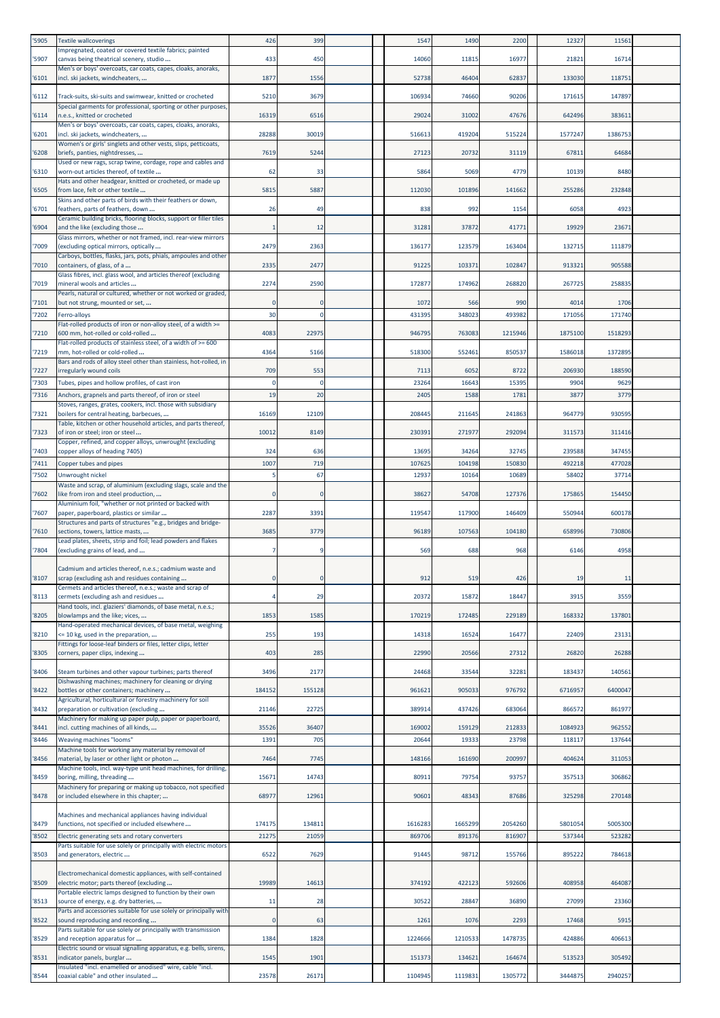| '5905 | <b>Textile wallcoverings</b>                                                                                          | 426        | 399      | 1547    | 1490    | 2200    | 12327   | 11561   |  |
|-------|-----------------------------------------------------------------------------------------------------------------------|------------|----------|---------|---------|---------|---------|---------|--|
|       | Impregnated, coated or covered textile fabrics; painted                                                               |            |          |         |         |         |         |         |  |
| '5907 | canvas being theatrical scenery, studio<br>Men's or boys' overcoats, car coats, capes, cloaks, anoraks,               | 433        | 450      | 14060   | 11815   | 16977   | 21821   | 16714   |  |
| 6101  | incl. ski jackets, windcheaters,                                                                                      | 1877       | 1556     | 52738   | 46404   | 62837   | 133030  | 118751  |  |
| '6112 | Track-suits, ski-suits and swimwear, knitted or crocheted                                                             | 5210       | 3679     | 106934  | 74660   | 90206   | 171615  | 147897  |  |
|       | Special garments for professional, sporting or other purposes,                                                        |            |          |         |         |         |         |         |  |
| 6114  | n.e.s., knitted or crocheted<br>Men's or boys' overcoats, car coats, capes, cloaks, anoraks,                          | 16319      | 6516     | 29024   | 31002   | 47676   | 642496  | 383611  |  |
| 6201  | ncl. ski jackets, windcheaters,                                                                                       | 28288      | 30019    | 516613  | 419204  | 515224  | 1577247 | 138675  |  |
|       | Women's or girls' singlets and other vests, slips, petticoats,                                                        |            |          |         |         |         |         |         |  |
| '6208 | briefs, panties, nightdresses,<br>Used or new rags, scrap twine, cordage, rope and cables and                         | 7619       | 5244     | 27123   | 20732   | 31119   | 67811   | 64684   |  |
| 6310  | worn-out articles thereof, of textile                                                                                 | 62         | 33       | 5864    | 5069    | 4779    | 10139   | 8480    |  |
| '6505 | Hats and other headgear, knitted or crocheted, or made up<br>from lace, felt or other textile                         | 5815       | 5887     | 112030  | 101896  | 141662  | 255286  | 232848  |  |
|       | Skins and other parts of birds with their feathers or down,                                                           |            |          |         |         |         |         |         |  |
| 6701  | feathers, parts of feathers, down                                                                                     | 26         | 49       | 838     | 992     | 1154    | 6058    | 4923    |  |
| '6904 | Ceramic building bricks, flooring blocks, support or filler tiles<br>and the like (excluding those                    |            | 12       | 31281   | 37872   | 41771   | 19929   | 23671   |  |
|       | Glass mirrors, whether or not framed, incl. rear-view mirrors                                                         |            |          |         |         |         |         |         |  |
| 7009  | excluding optical mirrors, optically<br>Carboys, bottles, flasks, jars, pots, phials, ampoules and other              | 2479       | 2363     | 136177  | 123579  | 163404  | 132715  | 111879  |  |
| 7010  | containers, of glass, of a                                                                                            | 2335       | 2477     | 91225   | 103371  | 102847  | 913321  | 905588  |  |
| 7019  | Glass fibres, incl. glass wool, and articles thereof (excluding<br>mineral wools and articles                         | 2274       | 2590     | 172877  | 174962  | 268820  | 267725  | 258835  |  |
|       | Pearls, natural or cultured, whether or not worked or graded,                                                         |            |          |         |         |         |         |         |  |
| 7101  | but not strung, mounted or set,                                                                                       |            |          | 1072    | 566     | 990     | 4014    | 1706    |  |
| '7202 | Ferro-alloys<br>Flat-rolled products of iron or non-alloy steel, of a width >=                                        | 30         |          | 431395  | 348023  | 493982  | 171056  | 171740  |  |
| 7210  | 600 mm, hot-rolled or cold-rolled                                                                                     | 4083       | 22975    | 946795  | 763083  | 1215946 | 1875100 | 1518293 |  |
|       | Flat-rolled products of stainless steel, of a width of >= 600                                                         |            |          |         |         |         |         |         |  |
| 7219  | mm, hot-rolled or cold-rolled<br>Bars and rods of alloy steel other than stainless, hot-rolled, in                    | 4364       | 5166     | 518300  | 552461  | 850537  | 1586018 | 1372895 |  |
| 7227  | rregularly wound coils                                                                                                | 709        | 553      | 7113    | 6052    | 8722    | 206930  | 188590  |  |
| 7303  | Tubes, pipes and hollow profiles, of cast iron                                                                        | $\epsilon$ | $\Omega$ | 23264   | 16643   | 15395   | 9904    | 9629    |  |
| 7316  | Anchors, grapnels and parts thereof, of iron or steel<br>Stoves, ranges, grates, cookers, incl. those with subsidiary | 19         | 20       | 2405    | 1588    | 1781    | 3877    | 3779    |  |
| 7321  | boilers for central heating, barbecues,                                                                               | 16169      | 12109    | 208445  | 211645  | 241863  | 964779  | 930595  |  |
|       | Table, kitchen or other household articles, and parts thereof,                                                        |            |          |         |         |         |         |         |  |
| 7323  | of iron or steel; iron or steel<br>Copper, refined, and copper alloys, unwrought (excluding                           | 10012      | 8149     | 230391  | 271977  | 292094  | 311573  | 311416  |  |
| 7403  | copper alloys of heading 7405)                                                                                        | 324        | 636      | 13695   | 34264   | 32745   | 239588  | 347455  |  |
| 7411  | Copper tubes and pipes                                                                                                | 1007       | 719      | 107625  | 104198  | 15083   | 492218  | 477028  |  |
| 7502  | Unwrought nickel                                                                                                      |            | 67       | 12937   | 10164   | 10689   | 58402   | 37714   |  |
| 7602  | Waste and scrap, of aluminium (excluding slags, scale and the<br>like from iron and steel production,                 |            |          | 38627   | 54708   | 127376  | 175865  | 154450  |  |
|       | Aluminium foil, "whether or not printed or backed with                                                                |            |          |         |         |         |         |         |  |
| 7607  | paper, paperboard, plastics or similar<br>Structures and parts of structures "e.g., bridges and bridge-               | 2287       | 3391     | 119547  | 117900  | 146409  | 550944  | 600178  |  |
| '7610 | sections, towers, lattice masts,                                                                                      | 3685       | 3779     | 96189   | 107563  | 104180  | 658996  | 730806  |  |
| '7804 | Lead plates, sheets, strip and foil; lead powders and flakes<br>(excluding grains of lead, and                        |            |          | 569     | 688     | 968     | 6146    | 4958    |  |
|       |                                                                                                                       |            |          |         |         |         |         |         |  |
|       | Cadmium and articles thereof, n.e.s.; cadmium waste and                                                               |            |          |         |         |         |         |         |  |
| '8107 | scrap (excluding ash and residues containing<br>Cermets and articles thereof, n.e.s.; waste and scrap of              |            |          | 912     | 519     | 426     | 19      | 11      |  |
| 8113  | cermets (excluding ash and residues                                                                                   |            | 29       | 20372   | 15872   | 18447   | 3915    | 3559    |  |
| '8205 | Hand tools, incl. glaziers' diamonds, of base metal, n.e.s.;<br>blowlamps and the like; vices,                        | 1853       | 1585     | 170219  | 172485  | 229189  | 168332  | 137801  |  |
|       | Hand-operated mechanical devices, of base metal, weighing                                                             |            |          |         |         |         |         |         |  |
| '8210 | <= 10 kg, used in the preparation,<br>Fittings for loose-leaf binders or files, letter clips, letter                  | 255        | 193      | 14318   | 16524   | 16477   | 22409   | 23131   |  |
| '8305 | corners, paper clips, indexing                                                                                        | 403        | 285      | 22990   | 20566   | 27312   | 26820   | 26288   |  |
|       |                                                                                                                       |            |          |         |         |         |         |         |  |
| 8406  | Steam turbines and other vapour turbines; parts thereof<br>Dishwashing machines; machinery for cleaning or drying     | 3496       | 2177     | 24468   | 33544   | 32281   | 183437  | 140561  |  |
| '8422 | bottles or other containers; machinery                                                                                | 184152     | 155128   | 961621  | 905033  | 976792  | 6716957 | 6400047 |  |
| 8432  | Agricultural, horticultural or forestry machinery for soil<br>preparation or cultivation (excluding                   | 21146      | 22725    | 389914  | 437426  | 683064  | 866572  | 861977  |  |
|       | Machinery for making up paper pulp, paper or paperboard,                                                              |            |          |         |         |         |         |         |  |
| 8441  | incl. cutting machines of all kinds,                                                                                  | 35526      | 36407    | 169002  | 159129  | 212833  | 1084923 | 962552  |  |
| 8446  | Weaving machines "looms"<br>Machine tools for working any material by removal of                                      | 1391       | 705      | 20644   | 19333   | 23798   | 118117  | 137644  |  |
| 8456  | material, by laser or other light or photon                                                                           | 7464       | 7745     | 148166  | 161690  | 200997  | 404624  | 311053  |  |
| '8459 | Machine tools, incl. way-type unit head machines, for drilling,<br>boring, milling, threading                         | 15671      | 14743    | 80911   | 79754   | 93757   | 357513  | 306862  |  |
|       | Machinery for preparing or making up tobacco, not specified                                                           |            |          |         |         |         |         |         |  |
| '8478 | or included elsewhere in this chapter;                                                                                | 68977      | 12961    | 90601   | 48343   | 87686   | 325298  | 270148  |  |
|       | Machines and mechanical appliances having individual                                                                  |            |          |         |         |         |         |         |  |
| '8479 | functions, not specified or included elsewhere                                                                        | 174175     | 134811   | 1616283 | 1665299 | 2054260 | 5801054 | 5005300 |  |
| '8502 | Electric generating sets and rotary converters                                                                        | 21275      | 21059    | 869706  | 891376  | 816907  | 537344  | 523282  |  |
| '8503 | Parts suitable for use solely or principally with electric motors<br>and generators, electric                         | 6522       | 7629     | 91445   | 98712   | 155766  | 895222  | 784618  |  |
|       |                                                                                                                       |            |          |         |         |         |         |         |  |
| '8509 | Electromechanical domestic appliances, with self-contained<br>electric motor; parts thereof (excluding                | 19989      | 14613    | 374192  | 422123  | 592606  | 408958  | 464087  |  |
|       | Portable electric lamps designed to function by their own                                                             |            |          |         |         |         |         |         |  |
| '8513 | source of energy, e.g. dry batteries,<br>Parts and accessories suitable for use solely or principally with            | 11         | 28       | 30522   | 28847   | 36890   | 27099   | 23360   |  |
| '8522 | sound reproducing and recording                                                                                       | $\epsilon$ | 63       | 1261    | 1076    | 2293    | 17468   | 5915    |  |
| '8529 | Parts suitable for use solely or principally with transmission                                                        | 1384       | 1828     |         | 1210533 | 1478735 | 424886  | 406613  |  |
|       | and reception apparatus for<br>Electric sound or visual signalling apparatus, e.g. bells, sirens,                     |            |          | 1224666 |         |         |         |         |  |
| '8531 | indicator panels, burglar                                                                                             | 1545       | 1901     | 151373  | 134621  | 164674  | 513523  | 305492  |  |
|       |                                                                                                                       |            |          |         |         |         |         |         |  |
| '8544 | Insulated "incl. enamelled or anodised" wire, cable "incl.<br>coaxial cable" and other insulated                      | 23578      | 26171    | 1104945 | 1119831 | 1305772 | 3444875 | 2940257 |  |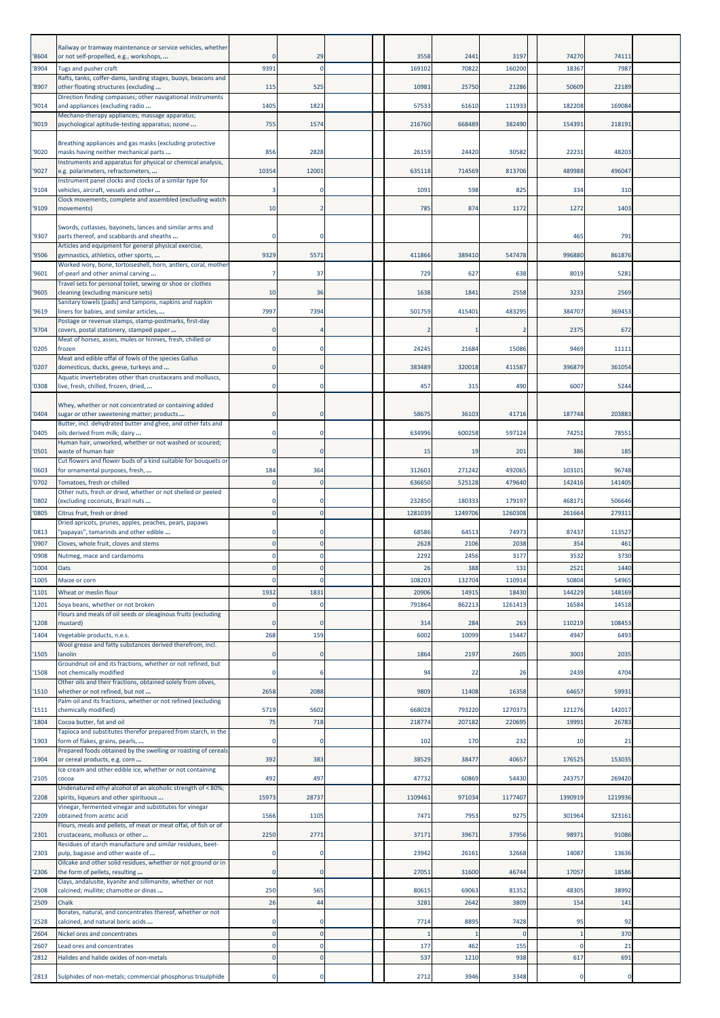| '8604          | Railway or tramway maintenance or service vehicles, whether<br>or not self-propelled, e.g., workshops, |       | 29                   |  | 3558            | 2441            | 3197            | 74270           | 74111            |  |
|----------------|--------------------------------------------------------------------------------------------------------|-------|----------------------|--|-----------------|-----------------|-----------------|-----------------|------------------|--|
| 8904           | Tugs and pusher craft                                                                                  | 9391  | n                    |  | 169102          | 70822           | 160200          | 18367           | 7987             |  |
|                | Rafts, tanks, coffer-dams, landing stages, buoys, beacons and                                          |       |                      |  |                 |                 |                 |                 |                  |  |
| 8907           | other floating structures (excluding<br>Direction finding compasses; other navigational instruments    | 115   | 525                  |  | 10981           | 25750           | 21286           | 50609           | 22189            |  |
| '9014          | and appliances (excluding radio                                                                        | 1405  | 1823                 |  | 57533           | 61610           | 111933          | 182208          | 169084           |  |
|                | Mechano-therapy appliances; massage apparatus;                                                         |       |                      |  |                 |                 |                 |                 |                  |  |
| '9019          | psychological aptitude-testing apparatus; ozone                                                        | 755   | 1574                 |  | 216760          | 668489          | 382490          | 154391          | 218191           |  |
|                | Breathing appliances and gas masks (excluding protective                                               |       |                      |  |                 |                 |                 |                 |                  |  |
| '9020          | masks having neither mechanical parts<br>Instruments and apparatus for physical or chemical analysis,  | 856   | 2828                 |  | 26159           | 24420           | 30582           | 22231           | 48203            |  |
| '9027          | e.g. polarimeters, refractometers,                                                                     | 10354 | 12001                |  | 635118          | 714569          | 813706          | 489988          | 496047           |  |
| '9104          | Instrument panel clocks and clocks of a similar type for<br>vehicles, aircraft, vessels and other      |       |                      |  | 1091            | 598             | 825             | 334             | 310              |  |
|                | Clock movements, complete and assembled (excluding watch                                               |       |                      |  |                 |                 |                 |                 |                  |  |
| '9109          | movements)                                                                                             | 10    |                      |  | 785             | 874             | 1172            | 1272            | 1403             |  |
|                | Swords, cutlasses, bayonets, lances and similar arms and                                               |       |                      |  |                 |                 |                 |                 |                  |  |
| '9307          | parts thereof, and scabbards and sheaths                                                               |       | O                    |  |                 |                 |                 | 465             | 791              |  |
| '9506          | Articles and equipment for general physical exercise,<br>gymnastics, athletics, other sports,          | 9329  | 5571                 |  | 411866          | 389410          | 547478          | 996880          | 861876           |  |
|                | Worked ivory, bone, tortoiseshell, horn, antlers, coral, mother                                        |       |                      |  |                 |                 |                 |                 |                  |  |
| '9601          | of-pearl and other animal carving<br>Travel sets for personal toilet, sewing or shoe or clothes        |       | 37                   |  | 729             | 627             | 638             | 8019            | 5281             |  |
| '9605          | cleaning (excluding manicure sets)                                                                     | 10    | 36                   |  | 1638            | 1841            | 2558            | 3233            | 2569             |  |
|                | Sanitary towels (pads) and tampons, napkins and napkin                                                 |       |                      |  |                 |                 | 483295          | 384707          | 369453           |  |
| '9619          | liners for babies, and similar articles,<br>Postage or revenue stamps, stamp-postmarks, first-day      | 7997  | 7394                 |  | 501759          | 415401          |                 |                 |                  |  |
| 9704           | covers, postal stationery, stamped paper                                                               |       |                      |  |                 |                 |                 | 2375            | 672              |  |
| '0205          | Meat of horses, asses, mules or hinnies, fresh, chilled or<br>frozen                                   |       | $\Omega$             |  | 24245           | 21684           | 15086           | 9469            | 11111            |  |
|                | Meat and edible offal of fowls of the species Gallus                                                   |       |                      |  |                 |                 |                 |                 |                  |  |
| '0207          | domesticus, ducks, geese, turkeys and<br>Aquatic invertebrates other than crustaceans and molluscs,    |       | $\Omega$             |  | 383489          | 320018          | 411587          | 396879          | 361054           |  |
| '0308          | live, fresh, chilled, frozen, dried,                                                                   |       |                      |  | 457             | 315             | 490             | 6007            | 5244             |  |
|                |                                                                                                        |       |                      |  |                 |                 |                 |                 |                  |  |
| '0404          | Whey, whether or not concentrated or containing added<br>sugar or other sweetening matter; products    |       | $\Omega$             |  | 58675           | 36103           | 41716           | 187748          | 203883           |  |
|                | Butter, incl. dehydrated butter and ghee, and other fats and                                           |       |                      |  |                 |                 |                 |                 |                  |  |
| '0405          | oils derived from milk; dairy<br>Human hair, unworked, whether or not washed or scoured;               |       | $\Omega$             |  | 634996          | 600258          | 597124          | 74251           | 78551            |  |
| '0501          | waste of human hair                                                                                    |       |                      |  | 15              | 19              | 201             | 386             | 185              |  |
| '0603          | Cut flowers and flower buds of a kind suitable for bouquets or<br>for ornamental purposes, fresh,      | 184   | 364                  |  | 312601          | 271242          | 492065          | 103101          | 96748            |  |
| 0702           | Tomatoes, fresh or chilled                                                                             |       | $\mathbf{0}$         |  | 636650          | 525128          | 479640          | 142416          | 141405           |  |
|                | Other nuts, fresh or dried, whether or not shelled or peeled                                           |       |                      |  |                 |                 |                 |                 |                  |  |
| '0802          | (excluding coconuts, Brazil nuts<br>Citrus fruit, fresh or dried                                       |       | $\Omega$             |  | 232850          | 180333          | 179197          | 468171          | 506646<br>279311 |  |
| '0805          | Dried apricots, prunes, apples, peaches, pears, papaws                                                 |       |                      |  | 1281039         | 1249706         | 1260308         | 261664          |                  |  |
| '0813          | 'papayas", tamarinds and other edible                                                                  |       |                      |  | 68586           | 64513           | 74973           | 87437           | 113527           |  |
| '0907          | Cloves, whole fruit, cloves and stems                                                                  |       | $\Omega$             |  | 2628            | 2106            | 2038            | 354             | 461              |  |
| '0908          | Nutmeg, mace and cardamoms                                                                             |       |                      |  | 2292            | 2456            | 3177            | 3532            | 3730             |  |
| 1004           | Oats                                                                                                   |       | $\mathbf 0$          |  | 26              | 388             | 131             | 2521            | 1440<br>54965    |  |
| '1005<br>'1101 | Maize or corn<br>Wheat or meslin flour                                                                 | 1932  | 1831                 |  | 108203<br>20906 | 132704<br>14915 | 110914<br>18430 | 50804<br>144229 | 148169           |  |
| 1201           | Soya beans, whether or not broken                                                                      |       | $\Omega$             |  | 791864          | 862213          | 1261413         | 16584           | 14518            |  |
|                | Flours and meals of oil seeds or oleaginous fruits (excluding                                          |       |                      |  |                 |                 |                 |                 |                  |  |
| 1208           | mustard)                                                                                               |       | $\Omega$             |  | 314             | 284             | 263             | 110219          | 108453           |  |
| 1404           | Vegetable products, n.e.s.<br>Wool grease and fatty substances derived therefrom, incl.                | 268   | 159                  |  | 6002            | 10099           | 15447           | 4947            | 6493             |  |
| '1505          | lanolin                                                                                                |       | $\Omega$             |  | 1864            | 2197            | 2605            | 3003            | 2035             |  |
| 1508           | Groundnut oil and its fractions, whether or not refined, but<br>not chemically modified                |       | 6                    |  | 94              | 22              | 26              | 2439            | 4704             |  |
|                | Other oils and their fractions, obtained solely from olives,                                           |       |                      |  |                 |                 |                 |                 |                  |  |
| 1510           | whether or not refined, but not<br>Palm oil and its fractions, whether or not refined (excluding       | 2658  | 2088                 |  | 9809            | 11408           | 16358           | 64657           | 59931            |  |
| 1511           | chemically modified)                                                                                   | 5719  | 5602                 |  | 668028          | 793220          | 1270373         | 121276          | 142017           |  |
| 1804           | Cocoa butter, fat and oil                                                                              | 75    | 718                  |  | 218774          | 207182          | 220695          | 19991           | 26783            |  |
| '1903          | Tapioca and substitutes therefor prepared from starch, in the<br>form of flakes, grains, pearls,       |       | $\Omega$             |  | 102             | 170             | 232             | 10              | 21               |  |
|                | Prepared foods obtained by the swelling or roasting of cereals                                         |       |                      |  |                 |                 |                 |                 |                  |  |
| 1904           | or cereal products, e.g. corn<br>Ice cream and other edible ice, whether or not containing             | 392   | 383                  |  | 38529           | 38477           | 40657           | 176525          | 153035           |  |
| 2105           | cocoa                                                                                                  | 492   | 497                  |  | 47732           | 60869           | 54430           | 243757          | 269420           |  |
|                | Undenatured ethyl alcohol of an alcoholic strength of < 80%;                                           |       |                      |  |                 |                 |                 | 1390919         | 1219936          |  |
| 2208           | spirits, liqueurs and other spirituous<br>Vinegar, fermented vinegar and substitutes for vinegar       | 1597  | 28737                |  | 1109461         | 971034          | 1177407         |                 |                  |  |
| 2209           | obtained from acetic acid                                                                              | 1566  | 1105                 |  | 7471            | 7953            | 9275            | 301964          | 323161           |  |
| 2301           | Flours, meals and pellets, of meat or meat offal, of fish or of<br>crustaceans, molluscs or other      | 2250  | 2771                 |  | 37171           | 39671           | 37956           | 98971           | 91086            |  |
|                | Residues of starch manufacture and similar residues, beet-                                             |       |                      |  |                 |                 |                 |                 |                  |  |
| '2303          | pulp, bagasse and other waste of<br>Oilcake and other solid residues, whether or not ground or in      |       | 0                    |  | 23942           | 26161           | 32668           | 14087           | 13636            |  |
| '2306          | the form of pellets, resulting                                                                         |       | $\mathbf{0}$         |  | 27051           | 31600           | 46744           | 17057           | 18586            |  |
| 2508           | Clays, andalusite, kyanite and sillimanite, whether or not<br>calcined; mullite; chamotte or dinas     | 250   | 565                  |  | 80615           | 69063           | 81352           | 48305           | 38992            |  |
| '2509          | Chalk                                                                                                  | 26    | 44                   |  | 3281            | 2642            | 3809            | 154             | 141              |  |
|                | Borates, natural, and concentrates thereof, whether or not                                             |       |                      |  |                 |                 |                 |                 |                  |  |
| '2528          | calcined, and natural boric acids                                                                      |       | $\Omega$             |  | 7714            | 8895            | 7428            | 95              | 92               |  |
| 2604           | Nickel ores and concentrates                                                                           |       | 0                    |  |                 |                 | $\Omega$        | c               | 370              |  |
| 2607<br>2812   | Lead ores and concentrates<br>Halides and halide oxides of non-metals                                  |       | $\Omega$<br>$\Omega$ |  | 177<br>537      | 462<br>1210     | 155<br>938      | 617             | 21<br>691        |  |
|                |                                                                                                        |       |                      |  |                 |                 |                 |                 |                  |  |
| '2813          | Sulphides of non-metals; commercial phosphorus trisulphide                                             |       | 0                    |  | 2712            | 3946            | 3348            | C               |                  |  |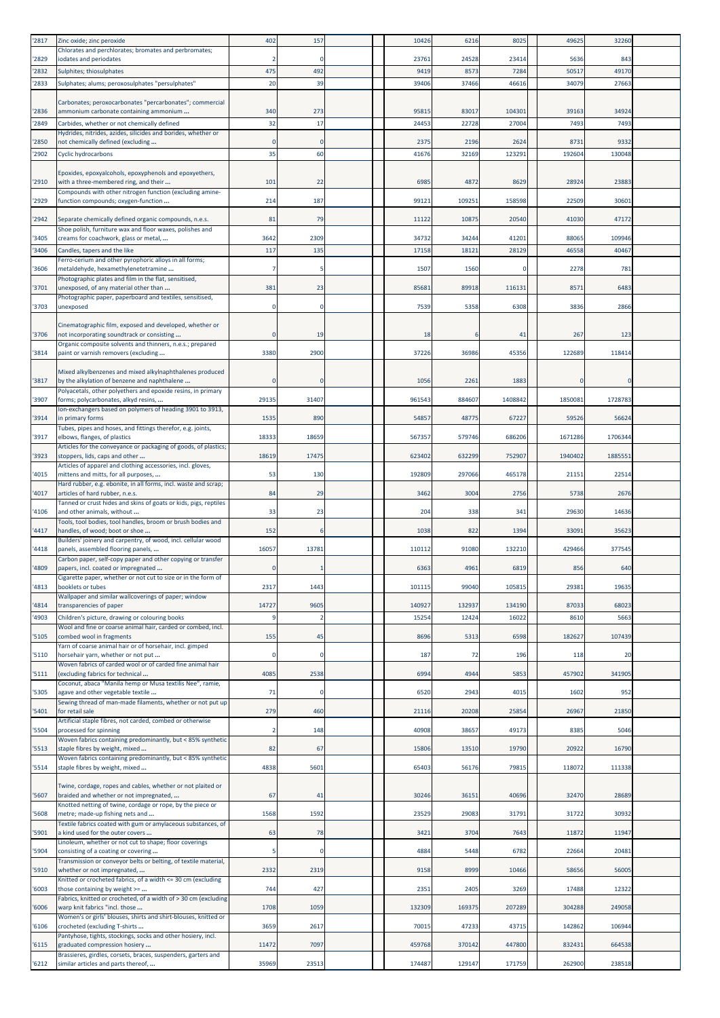| '2817 | Zinc oxide; zinc peroxide                                                                                      | 402         | 157      | 10426  | 6216   | 8025    | 4962     | 32260   |  |
|-------|----------------------------------------------------------------------------------------------------------------|-------------|----------|--------|--------|---------|----------|---------|--|
| '2829 | Chlorates and perchlorates; bromates and perbromates;<br>iodates and periodates                                |             | $\Omega$ | 23761  | 24528  | 23414   | 5636     | 843     |  |
| '2832 | Sulphites; thiosulphates                                                                                       | 475         | 492      | 9419   | 8573   | 7284    | 50517    | 49170   |  |
| '2833 | Sulphates; alums; peroxosulphates "persulphates"                                                               | 20          | 39       | 39406  | 37466  | 46616   | 34079    | 27663   |  |
| '2836 | Carbonates; peroxocarbonates "percarbonates"; commercial<br>ammonium carbonate containing ammonium             | 340         | 273      | 95815  | 83017  | 104301  | 39163    | 34924   |  |
| '2849 | Carbides, whether or not chemically defined                                                                    | 32          | 17       | 24453  | 22728  | 27004   | 7493     | 7493    |  |
| '2850 | Hydrides, nitrides, azides, silicides and borides, whether or<br>not chemically defined (excluding             |             |          | 2375   | 2196   | 2624    | 873      | 9332    |  |
| '2902 | <b>Cyclic hydrocarbons</b>                                                                                     | 35          | 60       | 41676  | 32169  | 123291  | 19260    | 130048  |  |
|       | Epoxides, epoxyalcohols, epoxyphenols and epoxyethers,                                                         |             |          |        |        |         |          |         |  |
| '2910 | with a three-membered ring, and their<br>Compounds with other nitrogen function (excluding amine-              | 101         | 22       | 6985   | 487    | 8629    | 28924    | 23883   |  |
| '2929 | function compounds; oxygen-function                                                                            | 214         | 187      | 99121  | 109251 | 158598  | 22509    | 30601   |  |
| '2942 | Separate chemically defined organic compounds, n.e.s.                                                          | 81          | 79       | 11122  | 10875  | 20540   | 41030    | 47172   |  |
| '3405 | Shoe polish, furniture wax and floor waxes, polishes and<br>creams for coachwork, glass or metal,              | 3642        | 2309     | 34732  | 34244  | 41201   | 88065    | 109946  |  |
| '3406 | Candles, tapers and the like                                                                                   | 117         | 135      | 17158  | 18121  | 28129   | 4655     | 40467   |  |
| '3606 | Ferro-cerium and other pyrophoric alloys in all forms;<br>metaldehyde, hexamethylenetetramine                  |             |          | 1507   | 1560   |         | 2278     | 781     |  |
| '3701 | Photographic plates and film in the flat, sensitised,<br>unexposed, of any material other than                 | 381         | 23       | 85681  | 89918  | 116131  | 8571     | 6483    |  |
|       | Photographic paper, paperboard and textiles, sensitised,                                                       |             |          |        |        |         |          |         |  |
| '3703 | unexposed                                                                                                      | $\Omega$    | $\Omega$ | 7539   | 5358   | 6308    | 3836     | 2866    |  |
| '3706 | Cinematographic film, exposed and developed, whether or<br>not incorporating soundtrack or consisting          |             | 19       | 18     |        | 41      | 267      | 123     |  |
|       | Organic composite solvents and thinners, n.e.s.; prepared                                                      |             |          |        |        |         |          |         |  |
| '3814 | paint or varnish removers (excluding                                                                           | 3380        | 2900     | 37226  | 36986  | 45356   | 122689   | 118414  |  |
| '3817 | Mixed alkylbenzenes and mixed alkylnaphthalenes produced<br>by the alkylation of benzene and naphthalene       |             | $\Omega$ | 1056   | 2261   | 1883    | $\Omega$ |         |  |
| '3907 | Polyacetals, other polyethers and epoxide resins, in primary<br>forms; polycarbonates, alkyd resins,           | 29135       | 31407    | 961543 | 884607 | 1408842 | 1850081  | 1728783 |  |
| '3914 | lon-exchangers based on polymers of heading 3901 to 3913,<br>in primary forms                                  | 1535        | 890      | 54857  | 48775  | 67227   | 59526    | 56624   |  |
| '3917 | Tubes, pipes and hoses, and fittings therefor, e.g. joints,                                                    | 18333       | 18659    | 567357 | 579746 | 686206  | 1671286  | 1706344 |  |
|       | elbows, flanges, of plastics<br>Articles for the conveyance or packaging of goods, of plastics;                |             |          |        |        |         |          |         |  |
| '3923 | stoppers, lids, caps and other<br>Articles of apparel and clothing accessories, incl. gloves,                  | 18619       | 17475    | 623402 | 632299 | 752907  | 1940402  | 1885551 |  |
| '4015 | mittens and mitts, for all purposes,<br>Hard rubber, e.g. ebonite, in all forms, incl. waste and scrap;        | 53          | 130      | 192809 | 297066 | 465178  | 21151    | 22514   |  |
| '4017 | articles of hard rubber, n.e.s.                                                                                | 84          | 29       | 3462   | 3004   | 2756    | 5738     | 2676    |  |
| '4106 | Tanned or crust hides and skins of goats or kids, pigs, reptiles<br>and other animals, without                 | 33          | 23       | 204    | 338    | 341     | 29630    | 14636   |  |
| '4417 | Tools, tool bodies, tool handles, broom or brush bodies and<br>handles, of wood; boot or shoe                  | 152         |          | 1038   | 822    | 1394    | 33091    | 35623   |  |
| '4418 | Builders' joinery and carpentry, of wood, incl. cellular wood<br>panels, assembled flooring panels,            | 16057       | 13781    | 110112 | 91080  | 132210  | 429466   | 377545  |  |
|       | Carbon paper, self-copy paper and other copying or transfer                                                    |             |          |        |        |         |          |         |  |
| '4809 | papers, incl. coated or impregnated<br>ligarette paper, whether or not cut to size or in the form of           | 0           |          | 6363   | 4961   | 6819    | 856      | 640     |  |
| '4813 | booklets or tubes<br>Wallpaper and similar wallcoverings of paper; window                                      | 2317        | 1443     | 101115 | 99040  | 105815  | 29381    | 19635   |  |
| '4814 | transparencies of paper                                                                                        | 14727       | 9605     | 140927 | 132937 | 134190  | 87033    | 68023   |  |
| '4903 | Children's picture, drawing or colouring books<br>Wool and fine or coarse animal hair, carded or combed, incl. |             |          | 1525   | 12424  | 16022   | 8610     | 5663    |  |
| '5105 | combed wool in fragments<br>Yarn of coarse animal hair or of horsehair, incl. gimped                           | 155         | 45       | 8696   | 5313   | 6598    | 182627   | 107439  |  |
| '5110 | horsehair yarn, whether or not put                                                                             | $\mathbf 0$ | 0        | 187    | 72     | 196     | 118      | 20      |  |
| '5111 | Woven fabrics of carded wool or of carded fine animal hair<br>(excluding fabrics for technical                 | 4085        | 2538     | 6994   | 4944   | 5853    | 457902   | 341905  |  |
| '5305 | Coconut, abaca "Manila hemp or Musa textilis Nee", ramie,<br>agave and other vegetable textile                 | 71          | $\Omega$ | 6520   | 2943   | 4015    | 1602     | 952     |  |
| '5401 | Sewing thread of man-made filaments, whether or not put up<br>for retail sale                                  | 279         | 460      | 21116  | 20208  | 25854   | 26967    | 21850   |  |
| '5504 | Artificial staple fibres, not carded, combed or otherwise<br>processed for spinning                            |             | 148      | 40908  | 38657  | 49173   | 8385     | 5046    |  |
|       | Woven fabrics containing predominantly, but < 85% synthetic                                                    |             |          |        |        |         |          |         |  |
| '5513 | staple fibres by weight, mixed<br>Woven fabrics containing predominantly, but < 85% synthetic                  | 82          | 67       | 15806  | 13510  | 19790   | 20922    | 16790   |  |
| '5514 | staple fibres by weight, mixed                                                                                 | 4838        | 5601     | 65403  | 56176  | 79815   | 118072   | 111338  |  |
| '5607 | Twine, cordage, ropes and cables, whether or not plaited or<br>braided and whether or not impregnated,         | 67          | 41       | 30246  | 36151  | 40696   | 32470    | 28689   |  |
|       | Knotted netting of twine, cordage or rope, by the piece or                                                     |             |          |        |        |         |          |         |  |
| '5608 | metre; made-up fishing nets and<br>Textile fabrics coated with gum or amylaceous substances, of                | 1568        | 1592     | 23529  | 29083  | 31791   | 31722    | 30932   |  |
| '5901 | a kind used for the outer covers<br>Linoleum, whether or not cut to shape; floor coverings                     | 63          | 78       | 3421   | 3704   | 7643    | 11872    | 11947   |  |
| '5904 | consisting of a coating or covering<br>Transmission or conveyor belts or belting, of textile material,         |             | 0        | 4884   | 5448   | 6782    | 22664    | 20481   |  |
| '5910 | whether or not impregnated,                                                                                    | 2332        | 2319     | 9158   | 8999   | 10466   | 58656    | 56005   |  |
| '6003 | Knitted or crocheted fabrics, of a width <= 30 cm (excluding<br>those containing by weight >=                  | 744         | 427      | 2351   | 2405   | 3269    | 17488    | 12322   |  |
| '6006 | Fabrics, knitted or crocheted, of a width of > 30 cm (excluding<br>warp knit fabrics "incl. those              | 1708        | 1059     | 132309 | 169375 | 207289  | 304288   | 249058  |  |
|       | Women's or girls' blouses, shirts and shirt-blouses, knitted or                                                |             |          |        |        |         |          |         |  |
| '6106 | crocheted (excluding T-shirts<br>Pantyhose, tights, stockings, socks and other hosiery, incl.                  | 3659        | 2617     | 70015  | 47233  | 43715   | 142862   | 106944  |  |
| '6115 | graduated compression hosiery<br>Brassieres, girdles, corsets, braces, suspenders, garters and                 | 11472       | 7097     | 459768 | 370142 | 447800  | 832431   | 664538  |  |
| '6212 | similar articles and parts thereof,                                                                            | 35969       | 23513    | 174487 | 129147 | 171759  | 262900   | 238518  |  |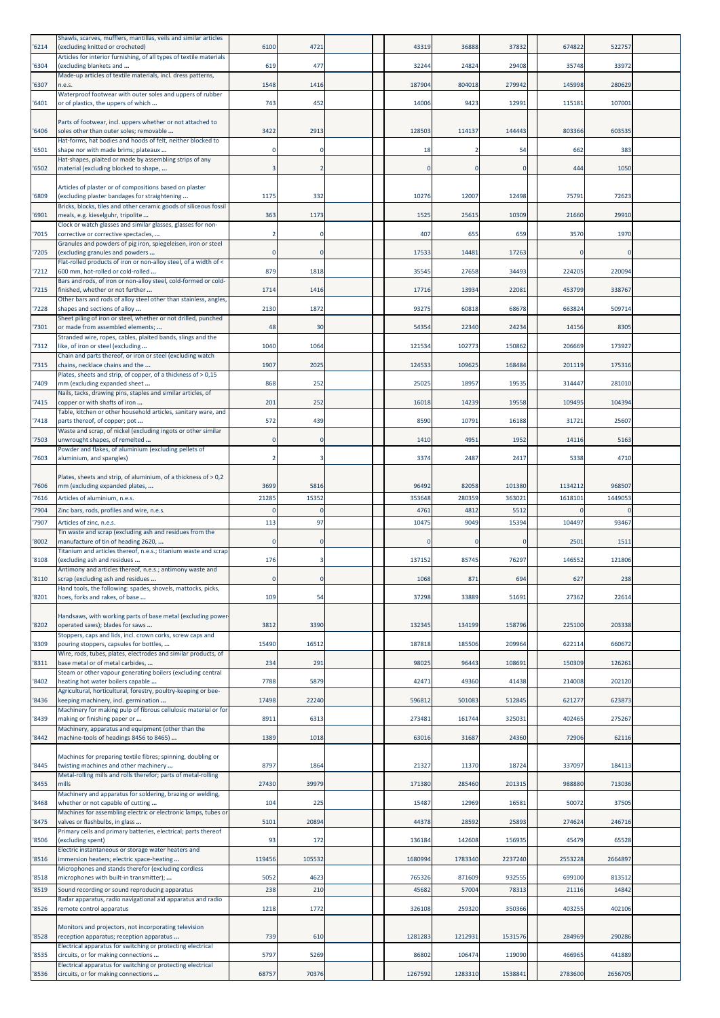| '6214          | Shawls, scarves, mufflers, mantillas, veils and similar articles<br>(excluding knitted or crocheted)               | 6100   | 4721                  | 43319          | 36888          | 37832          | 674822   | 522757  |  |
|----------------|--------------------------------------------------------------------------------------------------------------------|--------|-----------------------|----------------|----------------|----------------|----------|---------|--|
| '6304          | Articles for interior furnishing, of all types of textile materials<br>(excluding blankets and                     | 619    | 477                   | 32244          | 24824          | 29408          | 35748    | 33972   |  |
| '6307          | Made-up articles of textile materials, incl. dress patterns,<br>n.e.s.                                             | 1548   | 1416                  | 187904         | 804018         | 279942         | 145998   | 280629  |  |
| '6401          | Waterproof footwear with outer soles and uppers of rubber<br>or of plastics, the uppers of which                   | 743    | 452                   | 14006          | 9423           | 12991          | 115181   | 107001  |  |
|                | Parts of footwear, incl. uppers whether or not attached to                                                         |        |                       |                |                |                |          |         |  |
| '6406          | soles other than outer soles; removable<br>Hat-forms, hat bodies and hoods of felt, neither blocked to             | 3422   | 2913                  | 128503         | 114137         | 144443         | 803366   | 603535  |  |
| '6501          | shape nor with made brims; plateaux<br>Hat-shapes, plaited or made by assembling strips of any                     |        | $\mathbf 0$           | 18             |                | 54             | 662      | 383     |  |
| '6502          | material (excluding blocked to shape,                                                                              |        |                       |                | $\mathbf 0$    | $\Omega$       | 444      | 1050    |  |
|                | Articles of plaster or of compositions based on plaster                                                            |        |                       |                |                |                |          |         |  |
| '6809          | (excluding plaster bandages for straightening<br>Bricks, blocks, tiles and other ceramic goods of siliceous fossil | 1175   | 332                   | 10276          | 12007          | 12498          | 75791    | 72623   |  |
| '6901          | meals, e.g. kieselguhr, tripolite<br>Clock or watch glasses and similar glasses, glasses for non-                  | 363    | 1173                  | 1525           | 25615          | 10309          | 21660    | 29910   |  |
| '7015          | corrective or corrective spectacles,<br>Granules and powders of pig iron, spiegeleisen, iron or steel              |        | $\mathbf 0$           | 407            | 655            | 659            | 3570     | 1970    |  |
| '7205          | (excluding granules and powders<br>Flat-rolled products of iron or non-alloy steel, of a width of <                |        | $\mathbf 0$           | 17533          | 14481          | 17263          | $\Omega$ |         |  |
| '7212          | 600 mm, hot-rolled or cold-rolled<br>Bars and rods, of iron or non-alloy steel, cold-formed or cold-               | 879    | 1818                  | 35545          | 27658          | 34493          | 224205   | 220094  |  |
| '7215          | finished, whether or not further<br>Other bars and rods of alloy steel other than stainless, angles,               | 1714   | 1416                  | 17716          | 13934          | 22081          | 453799   | 338767  |  |
| '7228          | shapes and sections of alloy<br>Sheet piling of iron or steel, whether or not drilled, punched                     | 2130   | 1872                  | 93275          | 60818          | 68678          | 663824   | 509714  |  |
| '7301          | or made from assembled elements;                                                                                   | 48     | 30                    | 54354          | 22340          | 24234          | 14156    | 8305    |  |
| '7312          | Stranded wire, ropes, cables, plaited bands, slings and the<br>like, of iron or steel (excluding                   | 1040   | 1064                  | 121534         | 102773         | 150862         | 206669   | 173927  |  |
| '7315          | Chain and parts thereof, or iron or steel (excluding watch<br>chains, necklace chains and the                      | 1907   | 2025                  | 124533         | 109625         | 168484         | 201119   | 175316  |  |
| '7409          | Plates, sheets and strip, of copper, of a thickness of > 0,15<br>mm (excluding expanded sheet                      | 868    | 252                   | 25025          | 18957          | 19535          | 314447   | 281010  |  |
| '7415          | Nails, tacks, drawing pins, staples and similar articles, of<br>copper or with shafts of iron                      | 201    | 252                   | 16018          | 14239          | 19558          | 109495   | 104394  |  |
| '7418          | Table, kitchen or other household articles, sanitary ware, and<br>parts thereof, of copper; pot                    | 572    | 439                   | 8590           | 10791          | 16188          | 31721    | 25607   |  |
| '7503          | Waste and scrap, of nickel (excluding ingots or other similar<br>unwrought shapes, of remelted                     |        | 0                     | 1410           | 4951           | 1952           | 14116    | 5163    |  |
| '7603          | Powder and flakes, of aluminium (excluding pellets of<br>aluminium, and spangles)                                  |        | 3                     | 3374           | 2487           | 2417           | 5338     | 4710    |  |
|                | Plates, sheets and strip, of aluminium, of a thickness of > 0,2                                                    |        |                       |                |                |                |          |         |  |
| '7606          | mm (excluding expanded plates,                                                                                     | 3699   | 5816                  | 96492          | 82058          | 101380         | 1134212  | 968507  |  |
| '7616<br>'7904 | Articles of aluminium, n.e.s.<br>Zinc bars, rods, profiles and wire, n.e.s.                                        | 21285  | 15352<br>$\mathbf{0}$ | 353648<br>4761 | 280359<br>4812 | 363021<br>5512 | 1618101  | 1449053 |  |
| '7907          | Articles of zinc, n.e.s.                                                                                           | 113    | 97                    | 10475          | 9049           | 15394          | 104497   | 93467   |  |
| '8002          | Tin waste and scrap (excluding ash and residues from the<br>manufacture of tin of heading 2620,                    |        | $\mathbf 0$           |                | 0              | $\Omega$       | 2501     | 1511    |  |
| '8108          | Titanium and articles thereof, n.e.s.; titanium waste and scrap<br>(excluding ash and residues                     | 176    | 3                     | 137152         | 85745          | 76297          | 146552   | 121806  |  |
| '8110          | Antimony and articles thereof, n.e.s.; antimony waste and<br>scrap (excluding ash and residues                     |        | $\pmb{0}$             | 1068           | 871            | 694            | 627      | 238     |  |
| '8201          | Hand tools, the following: spades, shovels, mattocks, picks,<br>hoes, forks and rakes, of base                     | 109    | 54                    | 37298          | 33889          | 51691          | 27362    | 22614   |  |
|                | Handsaws, with working parts of base metal (excluding power-                                                       |        |                       |                |                |                |          |         |  |
| '8202          | operated saws); blades for saws<br>Stoppers, caps and lids, incl. crown corks, screw caps and                      | 3812   | 3390                  | 132345         | 134199         | 158796         | 225100   | 203338  |  |
| '8309          | pouring stoppers, capsules for bottles,                                                                            | 15490  | 16512                 | 187818         | 185506         | 209964         | 622114   | 660672  |  |
| '8311          | Wire, rods, tubes, plates, electrodes and similar products, of<br>base metal or of metal carbides,                 | 234    | 291                   | 98025          | 96443          | 108691         | 150309   | 126261  |  |
| '8402          | Steam or other vapour generating boilers (excluding central<br>heating hot water boilers capable                   | 7788   | 5879                  | 42471          | 49360          | 41438          | 214008   | 202120  |  |
| '8436          | Agricultural, horticultural, forestry, poultry-keeping or bee-<br>keeping machinery, incl. germination             | 17498  | 22240                 | 596812         | 501083         | 512845         | 621277   | 623873  |  |
| '8439          | Machinery for making pulp of fibrous cellulosic material or for<br>making or finishing paper or                    | 8911   | 6313                  | 273481         | 161744         | 325031         | 402465   | 275267  |  |
| '8442          | Machinery, apparatus and equipment (other than the<br>machine-tools of headings 8456 to 8465)                      | 1389   | 1018                  | 63016          | 31687          | 24360          | 72906    | 62116   |  |
|                | Machines for preparing textile fibres; spinning, doubling or                                                       |        |                       |                |                |                |          |         |  |
| '8445          | twisting machines and other machinery<br>Metal-rolling mills and rolls therefor; parts of metal-rolling            | 8797   | 1864                  | 21327          | 11370          | 18724          | 337097   | 184113  |  |
| '8455          | mills<br>Machinery and apparatus for soldering, brazing or welding,                                                | 27430  | 39979                 | 171380         | 285460         | 201315         | 988880   | 713036  |  |
| '8468          | whether or not capable of cutting<br>Machines for assembling electric or electronic lamps, tubes or                | 104    | 225                   | 15487          | 12969          | 16581          | 50072    | 37505   |  |
| '8475          | valves or flashbulbs, in glass                                                                                     | 5101   | 20894                 | 44378          | 28592          | 25893          | 274624   | 246716  |  |
| '8506          | Primary cells and primary batteries, electrical; parts thereof<br>(excluding spent)                                | 93     | 172                   | 136184         | 142608         | 156935         | 45479    | 65528   |  |
| '8516          | Electric instantaneous or storage water heaters and<br>immersion heaters; electric space-heating                   | 119456 | 105532                | 1680994        | 1783340        | 2237240        | 2553228  | 2664897 |  |
| '8518          | Microphones and stands therefor (excluding cordless<br>microphones with built-in transmitter);                     | 5052   | 4623                  | 765326         | 871609         | 932555         | 699100   | 813512  |  |
| '8519          | Sound recording or sound reproducing apparatus<br>Radar apparatus, radio navigational aid apparatus and radio      | 238    | 210                   | 45682          | 57004          | 78313          | 21116    | 14842   |  |
| '8526          | remote control apparatus                                                                                           | 1218   | 1772                  | 326108         | 259320         | 350366         | 403255   | 402106  |  |
| '8528          | Monitors and projectors, not incorporating television<br>reception apparatus; reception apparatus                  | 739    | 610                   | 1281283        | 1212931        | 1531576        | 284969   | 290286  |  |
| '8535          | Electrical apparatus for switching or protecting electrical<br>circuits, or for making connections                 | 5797   | 5269                  | 86802          | 106474         | 119090         | 466965   | 441889  |  |
| '8536          | Electrical apparatus for switching or protecting electrical<br>circuits, or for making connections                 | 68757  | 70376                 | 1267592        | 1283310        | 1538841        | 2783600  | 2656705 |  |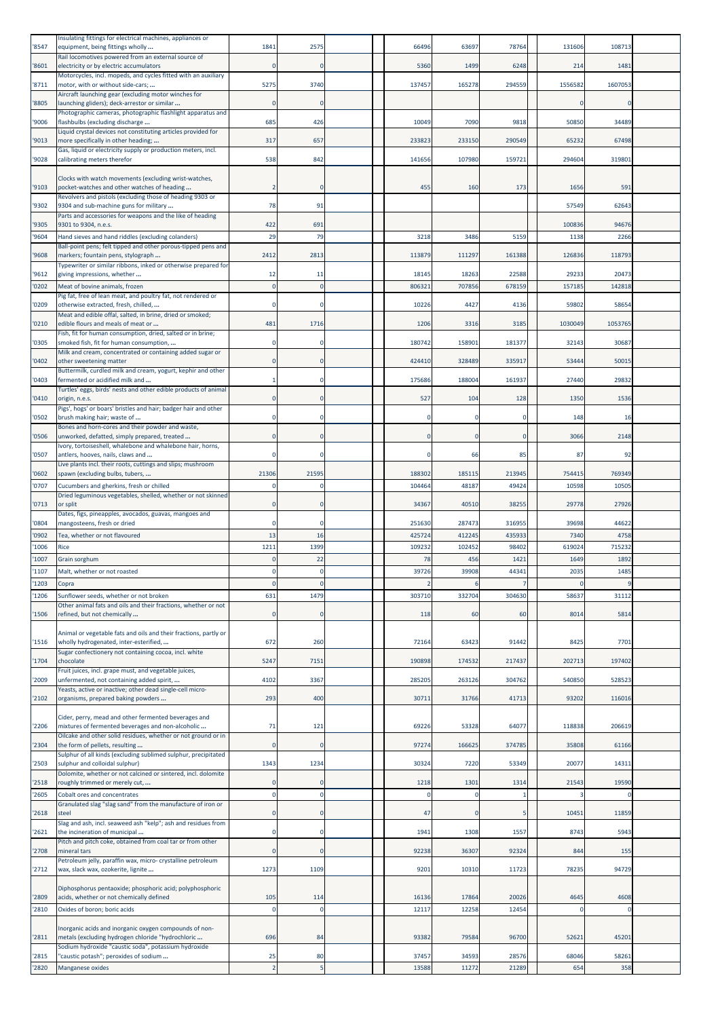| '8547         | Insulating fittings for electrical machines, appliances or<br>equipment, being fittings wholly                                                                      | 1841  | 2575         | 66496        | 63697         | 78764         | 131606         | 108713         |  |
|---------------|---------------------------------------------------------------------------------------------------------------------------------------------------------------------|-------|--------------|--------------|---------------|---------------|----------------|----------------|--|
| '8601         | Rail locomotives powered from an external source of<br>electricity or by electric accumulators                                                                      |       | 0            | 5360         | 1499          | 6248          | 214            | 1481           |  |
| 8711          | Motorcycles, incl. mopeds, and cycles fitted with an auxiliary<br>motor, with or without side-cars;                                                                 | 5275  | 3740         | 137457       | 165278        | 294559        | 1556582        | 1607053        |  |
| 8805          | Aircraft launching gear (excluding motor winches for<br>launching gliders); deck-arrestor or similar                                                                |       | $\Omega$     |              |               |               | $\Omega$       |                |  |
| '9006         | Photographic cameras, photographic flashlight apparatus and<br>flashbulbs (excluding discharge                                                                      | 685   | 426          | 10049        | 7090          | 9818          | 50850          | 34489          |  |
| '9013         | Liquid crystal devices not constituting articles provided for<br>more specifically in other heading;                                                                | 317   | 657          | 233823       | 233150        | 290549        | 65232          | 67498          |  |
|               | Gas, liquid or electricity supply or production meters, incl.                                                                                                       |       |              |              |               |               |                |                |  |
| '9028         | calibrating meters therefor                                                                                                                                         | 538   | 842          | 141656       | 107980        | 159721        | 294604         | 319801         |  |
| '9103         | Clocks with watch movements (excluding wrist-watches,<br>pocket-watches and other watches of heading                                                                |       | $\Omega$     | 455          | 160           | 173           | 1656           | 591            |  |
| '9302         | Revolvers and pistols (excluding those of heading 9303 or<br>9304 and sub-machine guns for military<br>Parts and accessories for weapons and the like of heading    | 78    | 91           |              |               |               | 57549          | 62643          |  |
| '9305         | 9301 to 9304, n.e.s.                                                                                                                                                | 422   | 691          |              |               |               | 100836         | 94676          |  |
| 9604          | Hand sieves and hand riddles (excluding colanders)<br>Ball-point pens; felt tipped and other porous-tipped pens and                                                 | 29    | 79           | 3218         | 3486          | 5159          | 1138           | 2266           |  |
| '9608         | markers; fountain pens, stylograph<br>Typewriter or similar ribbons, inked or otherwise prepared for                                                                | 2412  | 2813         | 113879       | 111297        | 161388        | 126836         | 118793         |  |
| '9612         | giving impressions, whether                                                                                                                                         | 12    | 11           | 18145        | 18263         | 22588         | 29233          | 20473          |  |
| '0202         | Meat of bovine animals, frozen<br>Pig fat, free of lean meat, and poultry fat, not rendered or                                                                      |       | $\Omega$     | 806321       | 707856        | 678159        | 15718          | 142818         |  |
| '0209         | otherwise extracted, fresh, chilled,<br>Meat and edible offal, salted, in brine, dried or smoked;                                                                   |       |              | 10226        | 4427          | 4136          | 59802          | 58654          |  |
| 0210          | edible flours and meals of meat or<br>Fish, fit for human consumption, dried, salted or in brine;                                                                   | 481   | 1716         | 1206         | 3316          | 3185          | 1030049        | 1053765        |  |
| '0305         | smoked fish, fit for human consumption,<br>Milk and cream, concentrated or containing added sugar or                                                                |       | O            | 180742       | 158901        | 181377        | 32143          | 30687          |  |
| 0402          | other sweetening matter<br>Buttermilk, curdled milk and cream, yogurt, kephir and other                                                                             |       | 0            | 424410       | 328489        | 335917        | 53444          | 50015          |  |
| '0403         | fermented or acidified milk and                                                                                                                                     |       |              | 175686       | 188004        | 161937        | 27440          | 29832          |  |
| '0410         | Turtles' eggs, birds' nests and other edible products of animal<br>origin, n.e.s.                                                                                   |       | $\Omega$     | 527          | 104           | 128           | 1350           | 1536           |  |
| '0502         | Pigs', hogs' or boars' bristles and hair; badger hair and other<br>brush making hair; waste of                                                                      |       |              |              |               | -0            | 148            | 16             |  |
| '0506         | Bones and horn-cores and their powder and waste,<br>unworked, defatted, simply prepared, treated                                                                    |       | 0            |              |               | 0             | 3066           | 2148           |  |
| '0507         | Ivory, tortoiseshell, whalebone and whalebone hair, horns,<br>antlers, hooves, nails, claws and                                                                     |       | O            | O            | 66            | 85            | 87             | 92             |  |
| '0602         | Live plants incl. their roots, cuttings and slips; mushroom<br>spawn (excluding bulbs, tubers,                                                                      | 21306 | 21595        | 188302       | 185115        | 213945        | 754415         | 769349         |  |
| '0707         | Cucumbers and gherkins, fresh or chilled                                                                                                                            |       | c            | 104464       | 48187         | 49424         | 10598          | 10505          |  |
| '0713         | Dried leguminous vegetables, shelled, whether or not skinned<br>or split                                                                                            |       |              | 34367        | 40510         | 38255         | 29778          | 27926          |  |
| '0804         | Dates, figs, pineapples, avocados, guavas, mangoes and<br>mangosteens, fresh or dried                                                                               |       | $\Omega$     | 251630       | 287473        | 316955        | 39698          | 44622          |  |
| '0902         | Tea, whether or not flavoured                                                                                                                                       | 13    | 16           | 425724       | 412245        | 435933        | 7340           | 4758           |  |
| '1006<br>1007 | Rice<br>Grain sorghum                                                                                                                                               | 1211  | 1399<br>22   | 109232<br>78 | 102452<br>456 | 98402<br>1421 | 619024<br>1649 | 715232<br>1892 |  |
| 1107          | Malt, whether or not roasted                                                                                                                                        |       | $\mathbf 0$  | 39726        | 39908         | 44341         | 2035           | 1485           |  |
| 1203          | Copra                                                                                                                                                               |       | $\mathbf{0}$ |              |               |               | $\Omega$       | ¢              |  |
| 1206          | Sunflower seeds, whether or not broken<br>Other animal fats and oils and their fractions, whether or not                                                            | 631   | 1479         | 303710       | 332704        | 304630        | 58637          | 31112          |  |
| 1506          | refined, but not chemically                                                                                                                                         |       | $\Omega$     | 118          | 60            | 60            | 8014           | 5814           |  |
| 1516          | Animal or vegetable fats and oils and their fractions, partly or<br>wholly hydrogenated, inter-esterified,<br>Sugar confectionery not containing cocoa, incl. white | 672   | 260          | 72164        | 63423         | 91442         | 8425           | 7701           |  |
| 1704          | chocolate                                                                                                                                                           | 5247  | 7151         | 190898       | 174532        | 217437        | 202713         | 197402         |  |
| 2009          | Fruit juices, incl. grape must, and vegetable juices,<br>unfermented, not containing added spirit,                                                                  | 4102  | 3367         | 285205       | 263126        | 304762        | 540850         | 528523         |  |
| 2102          | Yeasts, active or inactive; other dead single-cell micro-<br>organisms, prepared baking powders                                                                     | 293   | 400          | 30711        | 31766         | 41713         | 93202          | 116016         |  |
| 2206          | Cider, perry, mead and other fermented beverages and<br>mixtures of fermented beverages and non-alcoholic                                                           | 71    | 121          | 69226        | 53328         | 64077         | 118838         | 206619         |  |
| 2304          | Oilcake and other solid residues, whether or not ground or in<br>the form of pellets, resulting                                                                     |       | $\mathbf{0}$ | 97274        | 166625        | 374785        | 35808          | 61166          |  |
| '2503         | Sulphur of all kinds (excluding sublimed sulphur, precipitated<br>sulphur and colloidal sulphur)                                                                    | 1343  | 1234         | 30324        | 7220          | 53349         | 20077          | 14311          |  |
|               | Dolomite, whether or not calcined or sintered, incl. dolomite                                                                                                       |       | $\Omega$     | 1218         | 1301          | 1314          | 21543          | 19590          |  |
| '2518<br>2605 | roughly trimmed or merely cut,<br>Cobalt ores and concentrates                                                                                                      |       | $\Omega$     | $\Omega$     | $\Omega$      |               |                |                |  |
| 2618          | Granulated slag "slag sand" from the manufacture of iron or<br>steel                                                                                                |       | $\Omega$     | 47           | $\Omega$      |               | 10451          | 11859          |  |
| 2621          | Slag and ash, incl. seaweed ash "kelp"; ash and residues from<br>the incineration of municipal                                                                      |       | 0            | 1941         | 1308          | 1557          | 8743           | 5943           |  |
| 2708          | Pitch and pitch coke, obtained from coal tar or from other<br>mineral tars                                                                                          |       | $\mathbf{0}$ | 92238        | 36307         | 92324         | 844            | 155            |  |
| '2712         | Petroleum jelly, paraffin wax, micro- crystalline petroleum<br>wax, slack wax, ozokerite, lignite                                                                   | 1273  | 1109         | 9201         | 10310         | 11723         | 78235          | 94729          |  |
|               |                                                                                                                                                                     |       |              |              |               |               |                |                |  |
| '2809         | Diphosphorus pentaoxide; phosphoric acid; polyphosphoric<br>acids, whether or not chemically defined                                                                | 105   | 114          | 16136        | 17864         | 20026         | 4645           | 4608           |  |
| 2810          | Oxides of boron; boric acids                                                                                                                                        |       | $\Omega$     | 12117        | 12258         | 12454         | $\Omega$       | $\Omega$       |  |
| 2811          | Inorganic acids and inorganic oxygen compounds of non-<br>metals (excluding hydrogen chloride "hydrochloric                                                         | 696   | 84           | 93382        | 79584         | 96700         | 52621          | 45201          |  |
| 2815          | Sodium hydroxide "caustic soda", potassium hydroxide<br>"caustic potash"; peroxides of sodium                                                                       | 25    | 80           | 37457        | 34593         | 28576         | 68046          | 58261          |  |
| 2820          | Manganese oxides                                                                                                                                                    |       | 5            | 13588        | 11272         | 21289         | 654            | 358            |  |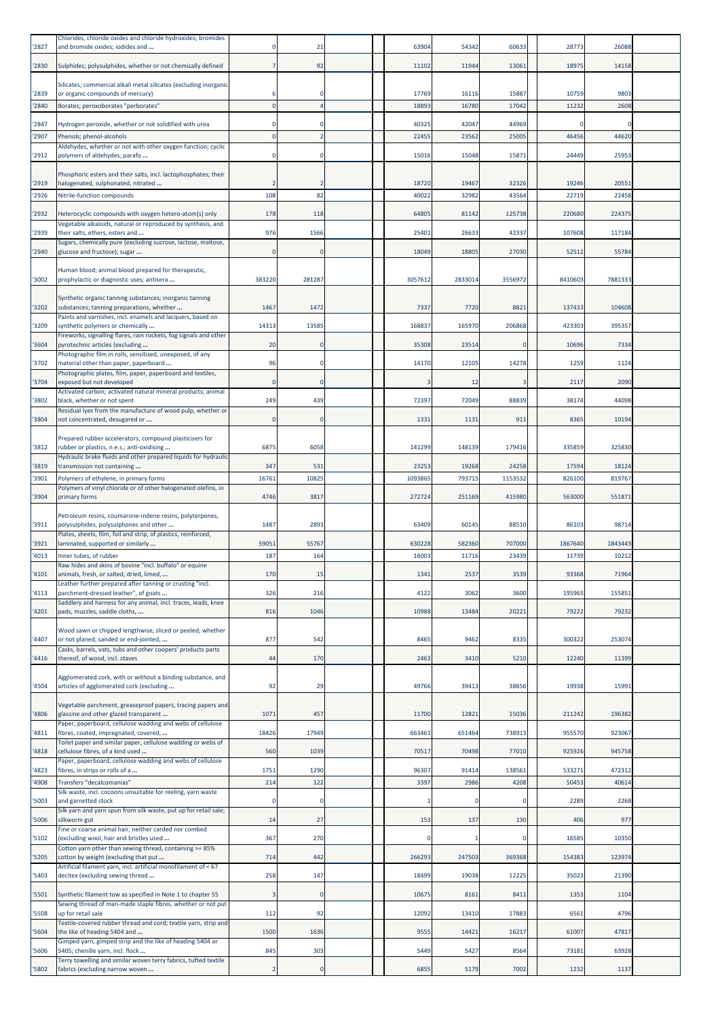| 2827          | Chlorides, chloride oxides and chloride hydroxides; bromides<br>and bromide oxides; iodides and               |              | 21           | 63904            | 54342           | 60633            | 28773           | 26088           |  |
|---------------|---------------------------------------------------------------------------------------------------------------|--------------|--------------|------------------|-----------------|------------------|-----------------|-----------------|--|
| '2830         | Sulphides; polysulphides, whether or not chemically defined                                                   |              | 92           | 11102            | 11944           | 13061            | 18975           | 14158           |  |
|               | Silicates; commercial alkali metal silicates (excluding inorganic                                             |              |              |                  |                 |                  |                 |                 |  |
| '2839<br>2840 | or organic compounds of mercury)<br>Borates; peroxoborates "perborates"                                       |              | O            | 17769<br>18893   | 16116<br>16780  | 15887<br>17042   | 10759<br>11232  | 9803<br>2608    |  |
| 2847          | Hydrogen peroxide, whether or not solidified with urea                                                        |              |              | 40325            | 42047           | 44969            | C               |                 |  |
| '2907         | Phenols; phenol-alcohols                                                                                      |              |              | 22455            | 23562           | 25005            | 46456           | 44620           |  |
| '2912         | Aldehydes, whether or not with other oxygen function; cyclic<br>polymers of aldehydes; parafo                 |              | $\Omega$     | 15016            | 15048           | 15871            | 24449           | 25953           |  |
|               | Phosphoric esters and their salts, incl. lactophosphates; their                                               |              |              |                  |                 |                  |                 |                 |  |
| 2919<br>'2926 | halogenated, sulphonated, nitrated<br>Nitrile-function compounds                                              | 108          | 2<br>82      | 18720<br>40022   | 19467<br>32982  | 32326<br>43564   | 19246<br>22719  | 20551<br>22458  |  |
| '2932         | Heterocyclic compounds with oxygen hetero-atom[s] only                                                        | 178          | 118          | 64805            | 81142           | 125738           | 220680          | 224375          |  |
|               | Vegetable alkaloids, natural or reproduced by synthesis, and                                                  |              |              |                  |                 |                  |                 |                 |  |
| '2939         | their salts, ethers, esters and<br>Sugars, chemically pure (excluding sucrose, lactose, maltose,              | 976          | 1566         | 25401            | 26633           | 42337            | 107608          | 117184          |  |
| '2940         | glucose and fructose); sugar                                                                                  |              | $\Omega$     | 18049            | 18805           | 27030            | 52512           | 55784           |  |
| '3002         | Human blood; animal blood prepared for therapeutic,<br>prophylactic or diagnostic uses; antisera              | 383220       | 281287       | 3057612          | 2833014         | 3556972          | 8410603         | 7881333         |  |
|               | Synthetic organic tanning substances; inorganic tanning                                                       |              |              |                  |                 |                  |                 |                 |  |
| '3202         | substances; tanning preparations, whether<br>Paints and varnishes, incl. enamels and lacquers, based on       | 1467         | 1472         | 7337             | 7720            | 8821             | 137433          | 104608          |  |
| '3209         | synthetic polymers or chemically<br>Fireworks, signalling flares, rain rockets, fog signals and other         | 14313        | 13585        | 168837           | 165970          | 206868           | 423303          | 395357          |  |
| 3604          | pyrotechnic articles (excluding<br>Photographic film in rolls, sensitised, unexposed, of any                  | 20           |              | 35308            | 23514           |                  | 10696           | 7334            |  |
| 3702          | material other than paper, paperboard                                                                         | 96           | $\mathbf 0$  | 14170            | 12105           | 14278            | 1259            | 1124            |  |
| 3704          | Photographic plates, film, paper, paperboard and textiles,<br>exposed but not developed                       |              | $\Omega$     | з                | 12              | 3                | 2117            | 2090            |  |
| '3802         | Activated carbon; activated natural mineral products; animal<br>black, whether or not spent                   | 249          | 439          | 72397            | 72049           | 88839            | 38174           | 44098           |  |
| '3804         | Residual lyes from the manufacture of wood pulp, whether or<br>not concentrated, desugared or                 |              | $\mathbf{0}$ | 1331             | 1131            | 911              | 8365            | 10194           |  |
|               | Prepared rubber accelerators; compound plasticisers for                                                       |              |              |                  |                 |                  |                 |                 |  |
| 3812          | rubber or plastics, n.e.s.; anti-oxidising<br>Hydraulic brake fluids and other prepared liquids for hydraulic | 6875         | 6058         | 141299           | 148139          | 179416           | 335859          | 325830          |  |
| '3819<br>3901 | transmission not containing                                                                                   | 347<br>16761 | 531<br>10825 | 23253<br>1093865 | 19268<br>793715 | 24258<br>1153532 | 17594<br>826100 | 18124<br>819767 |  |
|               | Polymers of ethylene, in primary forms<br>Polymers of vinyl chloride or of other halogenated olefins, in      |              |              |                  |                 |                  |                 |                 |  |
| '3904         | primary forms                                                                                                 | 4746         | 3817         | 272724           | 251169          | 415980           | 563000          | 551871          |  |
| '3911         | Petroleum resins, coumarone-indene resins, polyterpenes,<br>polysulphides, polysulphones and other            | 1487         | 2893         | 63409            | 60145           | 88510            | 86103           | 98714           |  |
| '3921         | Plates, sheets, film, foil and strip, of plastics, reinforced,<br>laminated, supported or similarly           | 59051        | 55767        | 630228           | 582360          | 707000           | 1867640         | 1843443         |  |
| 4013          | Inner tubes, of rubber                                                                                        | 187          | 164          | 16003            | 11716           | 23439            | 11739           | 10212           |  |
| '4101         | Raw hides and skins of bovine "incl. buffalo" or equine<br>animals, fresh, or salted, dried, limed,           | 170          | 15           | 1341             | 2537            | 3539             | 93368           | 71964           |  |
| 4113          | Leather further prepared after tanning or crusting "incl.<br>parchment-dressed leather", of goats             | 326          | 216          | 4122             | 3062            | 3600             | 195965          | 155851          |  |
| 4201          | Saddlery and harness for any animal, incl. traces, leads, knee<br>pads, muzzles, saddle cloths,               | 816          | 1046         | 10988            | 13484           | 20221            | 79222           | 79232           |  |
|               | Wood sawn or chipped lengthwise, sliced or peeled, whether                                                    |              |              |                  |                 |                  |                 |                 |  |
| 4407          | or not planed, sanded or end-jointed,<br>Casks, barrels, vats, tubs and other coopers' products parts         | 877          | 542          | 8465             | 9462            | 8335             | 300322          | 253074          |  |
| 4416          | thereof, of wood, incl. staves                                                                                | 44           | 170          | 2463             | 3410            | 5210             | 12240           | 11399           |  |
| 4504          | Agglomerated cork, with or without a binding substance, and<br>articles of agglomerated cork (excluding       | 92           | 29           | 49766            | 39413           | 38656            | 19938           | 15991           |  |
|               | Vegetable parchment, greaseproof papers, tracing papers and                                                   |              |              |                  |                 |                  |                 |                 |  |
| 4806          | glassine and other glazed transparent<br>Paper, paperboard, cellulose wadding and webs of cellulose           | 1071         | 457          | 11700            | 12821           | 15036            | 211242          | 196382          |  |
| 4811          | fibres, coated, impregnated, covered,                                                                         | 18426        | 17949        | 663461           | 651464          | 738913           | 955570          | 923067          |  |
| 4818          | Toilet paper and similar paper, cellulose wadding or webs of<br>cellulose fibres, of a kind used              | 560          | 1039         | 70517            | 70498           | 77010            | 925926          | 945758          |  |
| 4823          | Paper, paperboard, cellulose wadding and webs of cellulose<br>fibres, in strips or rolls of a                 | 1751         | 1290         | 96307            | 91414           | 138561           | 533271          | 472312          |  |
| 4908          | Transfers "decalcomanias"<br>Silk waste, incl. cocoons unsuitable for reeling, yarn waste                     | 214          | 122          | 3397             | 2986            | 4208             | 50453           | 40614           |  |
| '5003         | and garnetted stock<br>Silk yarn and yarn spun from silk waste, put up for retail sale;                       |              | $\Omega$     |                  |                 | 0                | 2289            | 2268            |  |
| 5006          | silkworm gut<br>Fine or coarse animal hair, neither carded nor combed                                         | 14           | 27           | 153              | 137             | 130              | 406             | 977             |  |
| 5102          | (excluding wool, hair and bristles used                                                                       | 367          | 270          |                  |                 |                  | 16585           | 10350           |  |
| 5205          | Cotton yarn other than sewing thread, containing >= 85%<br>cotton by weight (excluding that put               | 714          | 442          | 266293           | 247503          | 369368           | 154383          | 123974          |  |
| 5403          | Artificial filament yarn, incl. artificial monofilament of < 67<br>decitex (excluding sewing thread           | 258          | 147          | 18499            | 19038           | 12225            | 35023           | 21390           |  |
| '5501         | Synthetic filament tow as specified in Note 1 to chapter 55                                                   |              | $\mathbf{0}$ | 10675            | 8161            | 8411             | 1353            | 1104            |  |
| '5508         | Sewing thread of man-made staple fibres, whether or not put<br>up for retail sale                             | 112          | 92           | 12092            | 13410           | 17883            | 6561            | 4796            |  |
| '5604         | Textile-covered rubber thread and cord; textile yarn, strip and<br>the like of heading 5404 and               | 1500         | 1636         | 9555             | 14421           | 16217            | 61007           | 47817           |  |
| 5606          | Gimped yarn, gimped strip and the like of heading 5404 or<br>5405; chenille yarn, incl. flock                 | 845          | 303          | 5449             | 5427            | 8564             | 73181           | 63928           |  |
| 5802          | Terry towelling and similar woven terry fabrics, tufted textile<br>fabrics (excluding narrow woven            |              | $\bf{0}$     | 6855             | 5179            | 7002             | 1232            | 1137            |  |
|               |                                                                                                               |              |              |                  |                 |                  |                 |                 |  |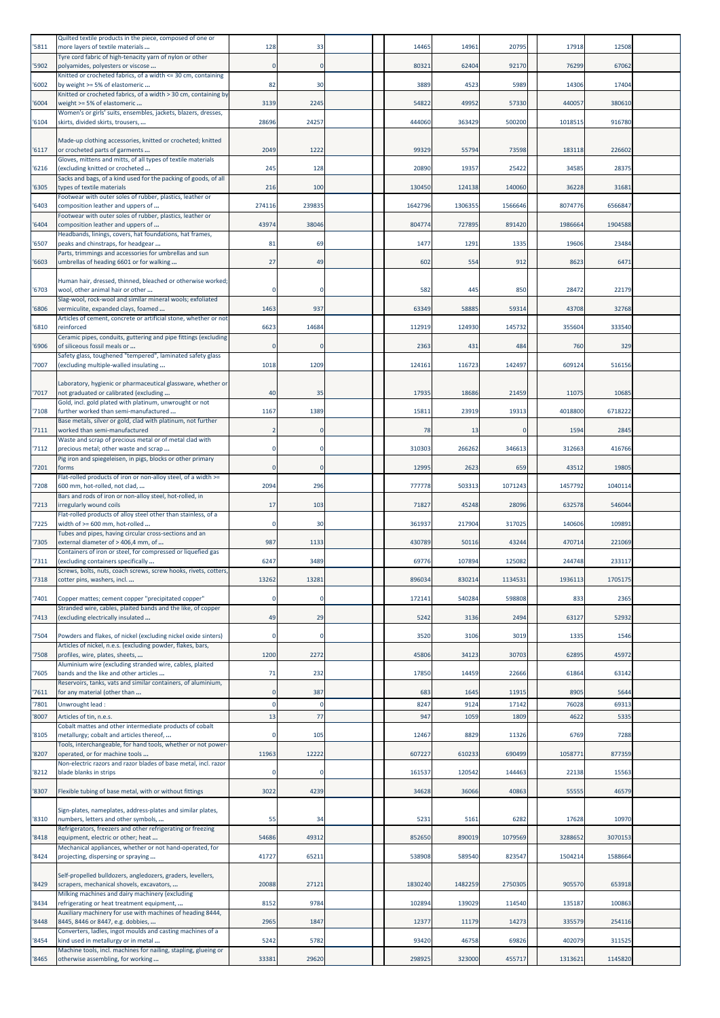| 5811  | Quilted textile products in the piece, composed of one or<br>more layers of textile materials                      | 128    | 33           | 14465   | 14961   | 20795    | 17918   | 12508   |  |
|-------|--------------------------------------------------------------------------------------------------------------------|--------|--------------|---------|---------|----------|---------|---------|--|
|       | Tyre cord fabric of high-tenacity yarn of nylon or other                                                           |        | $\Omega$     |         |         |          |         |         |  |
| 5902  | polyamides, polyesters or viscose<br>Knitted or crocheted fabrics, of a width <= 30 cm, containing                 |        |              | 80321   | 62404   | 92170    | 76299   | 67062   |  |
| 6002  | by weight >= 5% of elastomeric<br>Knitted or crocheted fabrics, of a width > 30 cm, containing by                  | 82     | 30           | 3889    | 4523    | 5989     | 14306   | 17404   |  |
| 6004  | weight >= 5% of elastomeric                                                                                        | 3139   | 2245         | 54822   | 49952   | 57330    | 440057  | 380610  |  |
| 6104  | Women's or girls' suits, ensembles, jackets, blazers, dresses,<br>skirts, divided skirts, trousers,                | 28696  | 24257        | 444060  | 363429  | 500200   | 1018515 | 916780  |  |
|       | Made-up clothing accessories, knitted or crocheted; knitted                                                        |        |              |         |         |          |         |         |  |
| 6117  | or crocheted parts of garments                                                                                     | 2049   | 1222         | 99329   | 55794   | 73598    | 183118  | 226602  |  |
| '6216 | Gloves, mittens and mitts, of all types of textile materials<br>(excluding knitted or crocheted                    | 245    | 128          | 20890   | 19357   | 25422    | 34585   | 28375   |  |
| '6305 | Sacks and bags, of a kind used for the packing of goods, of all<br>types of textile materials                      | 216    | 100          | 130450  | 124138  | 140060   | 36228   | 31681   |  |
|       | Footwear with outer soles of rubber, plastics, leather or                                                          |        |              |         |         |          |         |         |  |
| '6403 | composition leather and uppers of<br>Footwear with outer soles of rubber, plastics, leather or                     | 274116 | 239835       | 1642796 | 1306355 | 1566646  | 8074776 | 6566847 |  |
| 6404  | composition leather and uppers of<br>Headbands, linings, covers, hat foundations, hat frames,                      | 43974  | 38046        | 804774  | 727895  | 891420   | 1986664 | 1904588 |  |
| 6507  | peaks and chinstraps, for headgear                                                                                 | 81     | 69           | 1477    | 1291    | 1335     | 19606   | 23484   |  |
| '6603 | Parts, trimmings and accessories for umbrellas and sun<br>umbrellas of heading 6601 or for walking                 | 27     | 49           | 602     | 554     | 912      | 8623    | 6471    |  |
|       | Human hair, dressed, thinned, bleached or otherwise worked;                                                        |        |              |         |         |          |         |         |  |
| '6703 | wool, other animal hair or other                                                                                   |        | O            | 582     | 445     | 850      | 28472   | 22179   |  |
| 6806  | Slag-wool, rock-wool and similar mineral wools; exfoliated<br>vermiculite, expanded clays, foamed                  | 1463   | 937          | 63349   | 58885   | 59314    | 43708   | 32768   |  |
| 6810  | Articles of cement, concrete or artificial stone, whether or not<br>reinforced                                     | 6623   | 14684        | 112919  | 124930  | 145732   | 355604  | 333540  |  |
|       | Ceramic pipes, conduits, guttering and pipe fittings (excluding                                                    |        |              |         |         |          |         |         |  |
| 6906  | of siliceous fossil meals or<br>Safety glass, toughened "tempered", laminated safety glass                         |        | $\mathbf{0}$ | 2363    | 431     | 484      | 760     | 329     |  |
| '7007 | (excluding multiple-walled insulating                                                                              | 1018   | 1209         | 124161  | 116723  | 142497   | 609124  | 516156  |  |
|       | Laboratory, hygienic or pharmaceutical glassware, whether or                                                       |        |              |         |         |          |         |         |  |
| 7017  | not graduated or calibrated (excluding<br>Gold, incl. gold plated with platinum, unwrought or not                  | 40     | 35           | 17935   | 18686   | 21459    | 11075   | 10685   |  |
| 7108  | further worked than semi-manufactured<br>Base metals, silver or gold, clad with platinum, not further              | 1167   | 1389         | 15811   | 23919   | 19313    | 4018800 | 6718222 |  |
| '7111 | worked than semi-manufactured                                                                                      |        | 0            | 78      | 13      | $\Omega$ | 1594    | 2845    |  |
| '7112 | Waste and scrap of precious metal or of metal clad with<br>precious metal; other waste and scrap                   |        | $\Omega$     | 310303  | 266262  | 346613   | 312663  | 416766  |  |
| '7201 | Pig iron and spiegeleisen, in pigs, blocks or other primary<br>forms                                               |        |              | 12995   | 2623    | 659      | 43512   | 19805   |  |
|       | Flat-rolled products of iron or non-alloy steel, of a width >=                                                     |        |              |         |         |          |         |         |  |
| 7208  | 600 mm, hot-rolled, not clad,<br>Bars and rods of iron or non-alloy steel, hot-rolled, in                          | 2094   | 296          | 777778  | 503313  | 1071243  | 1457792 | 1040114 |  |
| 7213  | irregularly wound coils<br>Flat-rolled products of alloy steel other than stainless, of a                          | 17     | 103          | 71827   | 45248   | 28096    | 632578  | 546044  |  |
| '7225 | width of $>= 600$ mm, hot-rolled                                                                                   |        | 30           | 361937  | 217904  | 317025   | 140606  | 109891  |  |
| '7305 | Tubes and pipes, having circular cross-sections and an<br>external diameter of > 406,4 mm, of                      | 987    | 1133         | 430789  | 50116   | 43244    | 470714  | 221069  |  |
| '7311 | Containers of iron or steel, for compressed or liquefied gas<br>(excluding containers specifically                 | 6247   | 3489         | 69776   | 107894  | 125082   | 244748  | 233117  |  |
|       | Screws, bolts, nuts, coach screws, screw hooks, rivets, cotters,                                                   |        |              |         |         |          |         |         |  |
| 7318  | cotter pins, washers, incl                                                                                         | 13262  | 13281        | 896034  | 830214  | 1134531  | 1936113 | 1705175 |  |
| 7401  | Copper mattes; cement copper "precipitated copper"<br>Stranded wire, cables, plaited bands and the like, of copper |        |              | 172141  | 540284  | 598808   | 833     | 2365    |  |
| 7413  | (excluding electrically insulated                                                                                  | 49     | 29           | 5242    | 3136    | 2494     | 63127   | 52932   |  |
| 7504  | Powders and flakes, of nickel (excluding nickel oxide sinters)                                                     |        | $\mathbf 0$  | 3520    | 3106    | 3019     | 1335    | 1546    |  |
|       | Articles of nickel, n.e.s. (excluding powder, flakes, bars,<br>profiles, wire, plates, sheets,                     | 1200   | 2272         | 45806   | 34123   | 30703    | 62895   | 45972   |  |
| '7508 | Aluminium wire (excluding stranded wire, cables, plaited                                                           |        |              |         |         |          |         |         |  |
| '7605 | bands and the like and other articles<br>Reservoirs, tanks, vats and similar containers, of aluminium,             | 71     | 232          | 17850   | 14459   | 22666    | 61864   | 63142   |  |
| '7611 | for any material (other than                                                                                       |        | 387          | 683     | 1645    | 11915    | 8905    | 5644    |  |
| 7801  | Unwrought lead:                                                                                                    |        | $\Omega$     | 8247    | 9124    | 17142    | 76028   | 69313   |  |
| 8007  | Articles of tin, n.e.s.<br>Cobalt mattes and other intermediate products of cobalt                                 | 13     | 77           | 947     | 1059    | 1809     | 4622    | 5335    |  |
| '8105 | metallurgy; cobalt and articles thereof,<br>Tools, interchangeable, for hand tools, whether or not power-          |        | 105          | 12467   | 8829    | 11326    | 6769    | 7288    |  |
| 8207  | operated, or for machine tools                                                                                     | 11963  | 12222        | 607227  | 610233  | 690499   | 1058771 | 877359  |  |
| 8212  | Non-electric razors and razor blades of base metal, incl. razor<br>blade blanks in strips                          |        |              | 161537  | 120542  | 144463   | 22138   | 15563   |  |
| '8307 | Flexible tubing of base metal, with or without fittings                                                            | 3022   | 4239         | 34628   | 36066   | 40863    | 55555   | 46579   |  |
|       |                                                                                                                    |        |              |         |         |          |         |         |  |
| '8310 | Sign-plates, nameplates, address-plates and similar plates,<br>numbers, letters and other symbols,                 | 55     | 34           | 5231    | 5161    | 6282     | 17628   | 10970   |  |
| 8418  | Refrigerators, freezers and other refrigerating or freezing<br>equipment, electric or other; heat                  | 54686  | 49312        | 852650  | 890019  | 1079569  | 3288652 | 3070153 |  |
| 8424  | Mechanical appliances, whether or not hand-operated, for                                                           | 41727  | 65211        | 538908  | 589540  | 823547   | 1504214 | 1588664 |  |
|       | projecting, dispersing or spraying                                                                                 |        |              |         |         |          |         |         |  |
| '8429 | Self-propelled bulldozers, angledozers, graders, levellers,<br>scrapers, mechanical shovels, excavators,           | 20088  | 27121        | 1830240 | 1482259 | 2750305  | 905570  | 653918  |  |
| 8434  | Milking machines and dairy machinery (excluding<br>refrigerating or heat treatment equipment,                      | 8152   | 9784         | 102894  | 139029  | 114540   | 135187  | 100863  |  |
|       | Auxiliary machinery for use with machines of heading 8444,                                                         |        |              |         |         |          |         |         |  |
| 8448  | 8445, 8446 or 8447, e.g. dobbies,<br>Converters, ladles, ingot moulds and casting machines of a                    | 2965   | 1847         | 12377   | 11179   | 14273    | 335579  | 254116  |  |
| 8454  | kind used in metallurgy or in metal                                                                                | 5242   | 5782         | 93420   | 46758   | 69826    | 402079  | 311525  |  |
| '8465 | Machine tools, incl. machines for nailing, stapling, glueing or<br>otherwise assembling, for working               | 33381  | 29620        | 298925  | 323000  | 455717   | 1313621 | 1145820 |  |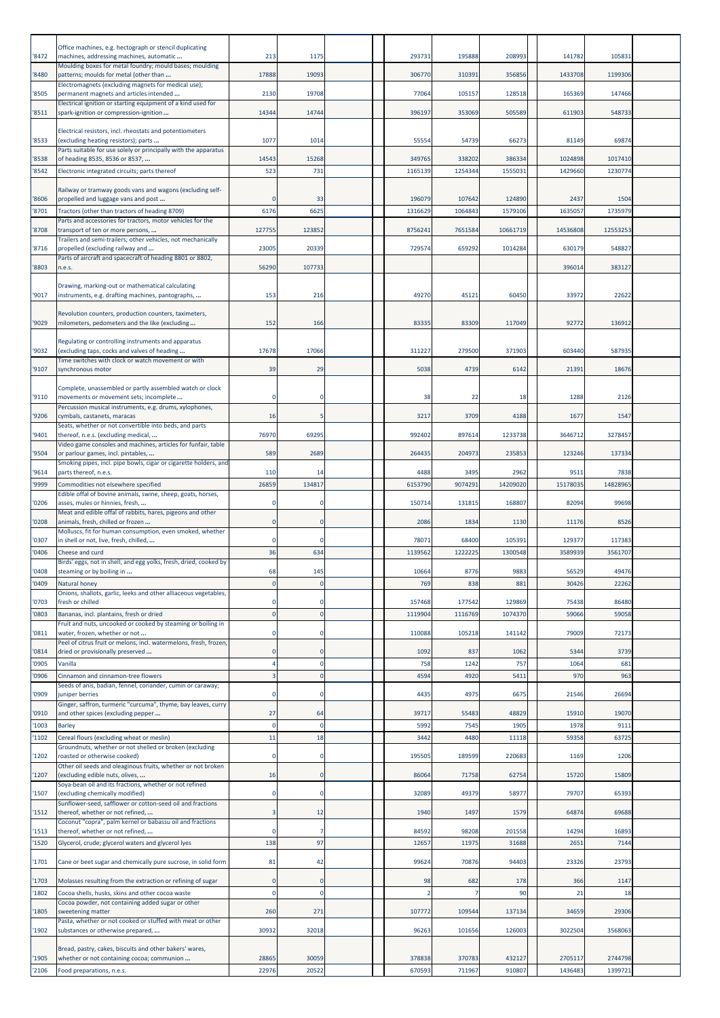| '8472          | Office machines, e.g. hectograph or stencil duplicating<br>machines, addressing machines, automatic                                                                 | 213            | 1175                       | 293731        | 195888        | 208993        | 141782        | 105831        |  |
|----------------|---------------------------------------------------------------------------------------------------------------------------------------------------------------------|----------------|----------------------------|---------------|---------------|---------------|---------------|---------------|--|
| '8480          | Moulding boxes for metal foundry; mould bases; moulding<br>patterns; moulds for metal (other than                                                                   | 17888          | 19093                      | 306770        | 310391        | 356856        | 1433708       | 1199306       |  |
| '8505          | Electromagnets (excluding magnets for medical use);<br>permanent magnets and articles intended                                                                      | 2130           | 19708                      | 77064         | 105157        | 128518        | 165369        | 147466        |  |
|                | Electrical ignition or starting equipment of a kind used for                                                                                                        |                |                            |               |               |               |               |               |  |
| '8511          | spark-ignition or compression-ignition                                                                                                                              | 14344          | 14744                      | 396197        | 353069        | 505589        | 611903        | 548733        |  |
| '8533          | Electrical resistors, incl. rheostats and potentiometers<br>(excluding heating resistors); parts<br>Parts suitable for use solely or principally with the apparatus | 1077           | 1014                       | 55554         | 54739         | 66273         | 81149         | 69874         |  |
| '8538          | of heading 8535, 8536 or 8537,                                                                                                                                      | 14543          | 15268                      | 349765        | 338202        | 386334        | 1024898       | 1017410       |  |
| '8542          | Electronic integrated circuits; parts thereof                                                                                                                       | 523            | 731                        | 1165139       | 1254344       | 1555031       | 1429660       | 1230774       |  |
| '8606          | Railway or tramway goods vans and wagons (excluding self-<br>propelled and luggage vans and post                                                                    |                | 33                         | 196079        | 107642        | 124890        | 2437          | 1504          |  |
| '8701          | Tractors (other than tractors of heading 8709)<br>Parts and accessories for tractors, motor vehicles for the                                                        | 6176           | 6625                       | 1316629       | 1064843       | 1579106       | 1635057       | 1735979       |  |
| '8708          | transport of ten or more persons,                                                                                                                                   | 127755         | 123852                     | 8756241       | 7651584       | 10661719      | 14536808      | 12553253      |  |
| '8716          | Trailers and semi-trailers; other vehicles, not mechanically<br>propelled (excluding railway and                                                                    | 23005          | 20339                      | 729574        | 659292        | 1014284       | 630179        | 548827        |  |
| '8803          | Parts of aircraft and spacecraft of heading 8801 or 8802,<br>n.e.s.                                                                                                 | 56290          | 107733                     |               |               |               | 396014        | 383127        |  |
|                | Drawing, marking-out or mathematical calculating                                                                                                                    |                |                            |               |               |               |               |               |  |
| '9017          | instruments, e.g. drafting machines, pantographs,                                                                                                                   | 153            | 216                        | 49270         | 45121         | 60450         | 33972         | 22622         |  |
| '9029          | Revolution counters, production counters, taximeters,<br>milometers, pedometers and the like (excluding                                                             | 152            | 166                        | 83335         | 83309         | 117049        | 92772         | 136912        |  |
| '9032          | Regulating or controlling instruments and apparatus<br>(excluding taps, cocks and valves of heading                                                                 | 17678          | 17066                      | 311227        | 279500        | 371903        | 603440        | 587935        |  |
| '9107          | Time switches with clock or watch movement or with<br>synchronous motor                                                                                             | 39             | 29                         | 5038          | 4739          | 6142          | 21391         | 18676         |  |
|                | Complete, unassembled or partly assembled watch or clock                                                                                                            |                |                            |               |               |               |               |               |  |
| '9110          | movements or movement sets; incomplete<br>Percussion musical instruments, e.g. drums, xylophones,                                                                   | $\Omega$       | $\Omega$                   | 38            | 22            | 18            | 1288          | 2126          |  |
| '9206          | cymbals, castanets, maracas<br>Seats, whether or not convertible into beds, and parts                                                                               | 16             | -5                         | 3217          | 3709          | 4188          | 1677          | 1547          |  |
| '9401          | thereof, n.e.s. (excluding medical,                                                                                                                                 | 76970          | 69295                      | 992402        | 897614        | 1233738       | 3646712       | 3278457       |  |
| '9504          | Video game consoles and machines, articles for funfair, table<br>or parlour games, incl. pintables,                                                                 | 589            | 2689                       | 264435        | 204973        | 235853        | 12324         | 137334        |  |
| '9614          | Smoking pipes, incl. pipe bowls, cigar or cigarette holders, and<br>parts thereof, n.e.s.                                                                           | 110            | 14                         | 4488          | 3495          | 2962          | 9511          | 7838          |  |
| '9999          | Commodities not elsewhere specified                                                                                                                                 | 26859          | 134817                     | 6153790       | 9074291       | 14209020      | 1517803       | 14828965      |  |
| '0206          | Edible offal of bovine animals, swine, sheep, goats, horses,<br>asses, mules or hinnies, fresh,                                                                     |                | $\Omega$                   | 150714        | 131815        | 168807        | 82094         | 99698         |  |
| '0208          | Meat and edible offal of rabbits, hares, pigeons and other<br>animals, fresh, chilled or frozen                                                                     |                | 0                          | 2086          | 1834          | 1130          | 11176         | 8526          |  |
| '0307          | Molluscs, fit for human consumption, even smoked, whether<br>in shell or not, live, fresh, chilled,                                                                 |                | 0                          | 78071         | 68400         | 105391        | 129377        | 117383        |  |
| '0406          | Cheese and curd<br>Birds' eggs, not in shell, and egg yolks, fresh, dried, cooked by                                                                                | 36             | 634                        | 1139562       | 1222225       | 1300548       | 358993        | 3561707       |  |
| '0408          | steaming or by boiling in                                                                                                                                           | 68             | 145                        | 10664         | 8776          | 9883          | 56529         | 49476         |  |
| '0409          | Natural honey<br>Onions, shallots, garlic, leeks and other alliaceous vegetables,                                                                                   |                |                            | 769           | 838           | 881           | 30426         | 22262         |  |
| '0703          | fresh or chilled                                                                                                                                                    | $\Omega$       | 0                          | 157468        | 177542        | 129869        | 75438         | 86480         |  |
| '0803          | Bananas, incl. plantains, fresh or dried<br>Fruit and nuts, uncooked or cooked by steaming or boiling in                                                            | $\Omega$       | $\mathbf 0$                | 1119904       | 1116769       | 1074370       | 59066         | 59058         |  |
| '0811          | water, frozen, whether or not<br>Peel of citrus fruit or melons, incl. watermelons, fresh, frozen,                                                                  | $\Omega$       | $\Omega$                   | 110088        | 105218        | 141142        | 79009         | 72173         |  |
| '0814          | dried or provisionally preserved                                                                                                                                    |                | $\mathbf 0$                | 1092          | 837           | 1062          | 5344          | 3739          |  |
| '0905<br>'0906 | Vanilla<br>Cinnamon and cinnamon-tree flowers                                                                                                                       |                | $\mathbf 0$<br>$\mathbf 0$ | 758<br>4594   | 1242<br>4920  | 757<br>5411   | 1064<br>970   | 681<br>963    |  |
| '0909          | Seeds of anis, badian, fennel, coriander, cumin or caraway;<br>juniper berries                                                                                      | $\Omega$       | $\mathbf 0$                | 4435          | 4975          | 6675          | 21546         | 26694         |  |
|                | Ginger, saffron, turmeric "curcuma", thyme, bay leaves, curry                                                                                                       |                |                            |               |               |               |               |               |  |
| '0910<br>'1003 | and other spices (excluding pepper<br><b>Barley</b>                                                                                                                 | 27<br>$\Omega$ | 64<br>$\mathbf 0$          | 39717<br>5992 | 55483<br>7545 | 48829<br>1905 | 15910<br>1978 | 19070<br>9111 |  |
| '1102          | Cereal flours (excluding wheat or meslin)                                                                                                                           | 11             | 18                         | 3442          | 4480          | 11118         | 59358         | 63725         |  |
| '1202          | Groundnuts, whether or not shelled or broken (excluding<br>roasted or otherwise cooked)                                                                             | $\Omega$       | $\Omega$                   | 195505        | 189599        | 220683        | 1169          | 1206          |  |
| '1207          | Other oil seeds and oleaginous fruits, whether or not broken<br>(excluding edible nuts, olives,                                                                     | 16             | $\mathbf 0$                | 86064         | 71758         | 62754         | 15720         | 15809         |  |
| '1507          | Soya-bean oil and its fractions, whether or not refined<br>(excluding chemically modified)                                                                          |                |                            | 32089         | 49379         | 58977         | 79707         | 65393         |  |
| '1512          | Sunflower-seed, safflower or cotton-seed oil and fractions<br>thereof, whether or not refined,                                                                      | з              | 12                         | 1940          | 1497          | 1579          | 64874         | 69688         |  |
| '1513          | Coconut "copra", palm kernel or babassu oil and fractions<br>thereof, whether or not refined,                                                                       |                | 7                          | 84592         | 98208         | 201558        | 14294         | 16893         |  |
| '1520          | Glycerol, crude; glycerol waters and glycerol lyes                                                                                                                  | 138            | 97                         | 12657         | 11975         | 31688         | 2651          | 7144          |  |
| '1701          | Cane or beet sugar and chemically pure sucrose, in solid form                                                                                                       | 81             | 42                         | 99624         | 70876         | 94403         | 23326         | 23793         |  |
| '1703          | Molasses resulting from the extraction or refining of sugar                                                                                                         |                |                            | 98            | 682           | 178           | 366           | 1147          |  |
| '1802          | Cocoa shells, husks, skins and other cocoa waste<br>Cocoa powder, not containing added sugar or other                                                               | $\Omega$       | $\Omega$                   |               |               | 90            | 21            | 18            |  |
| '1805          | sweetening matter                                                                                                                                                   | 260            | 271                        | 107772        | 109544        | 137134        | 34659         | 29306         |  |
| '1902          | Pasta, whether or not cooked or stuffed with meat or other<br>substances or otherwise prepared,                                                                     | 30932          | 32018                      | 96263         | 101656        | 126003        | 3022504       | 3568063       |  |
| '1905          | Bread, pastry, cakes, biscuits and other bakers' wares,<br>whether or not containing cocoa; communion                                                               | 28865          | 30059                      | 378838        | 370783        | 432127        | 2705117       | 2744798       |  |
| '2106          | Food preparations, n.e.s.                                                                                                                                           | 22976          | 20522                      | 670593        | 711967        | 910807        | 1436483       | 1399721       |  |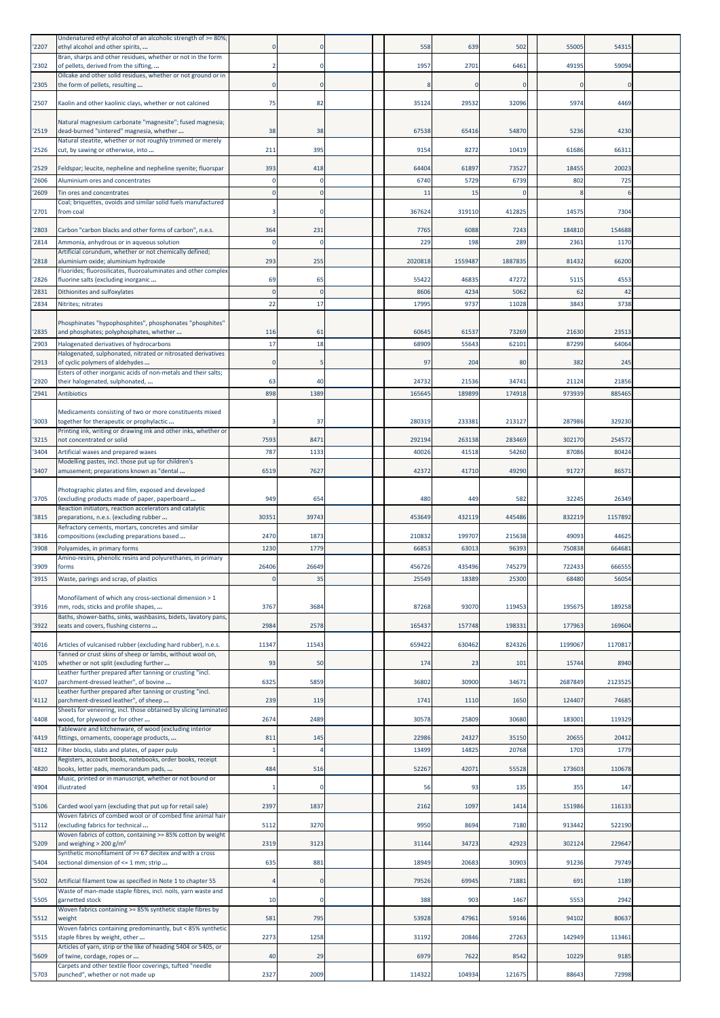| 2207         | Undenatured ethyl alcohol of an alcoholic strength of >= 80%;<br>ethyl alcohol and other spirits,                      |                  |                | 558            | 639            | 502            | 55005         | 54315         |  |
|--------------|------------------------------------------------------------------------------------------------------------------------|------------------|----------------|----------------|----------------|----------------|---------------|---------------|--|
| '2302        | Bran, sharps and other residues, whether or not in the form<br>of pellets, derived from the sifting,                   |                  |                | 1957           | 2701           | 6461           | 49195         | 59094         |  |
| '2305        | Oilcake and other solid residues, whether or not ground or in                                                          | $\Omega$         | $\Omega$       |                | $\circ$        | $\mathbf 0$    | C             | <sup>C</sup>  |  |
|              | the form of pellets, resulting                                                                                         |                  |                |                |                |                |               |               |  |
| '2507        | Kaolin and other kaolinic clays, whether or not calcined                                                               | 75               | 82             | 35124          | 29532          | 32096          | 5974          | 4469          |  |
| 2519         | Natural magnesium carbonate "magnesite"; fused magnesia;<br>dead-burned "sintered" magnesia, whether                   | 38               | 38             | 67538          | 65416          | 54870          | 5236          | 4230          |  |
| '2526        | Natural steatite, whether or not roughly trimmed or merely<br>cut, by sawing or otherwise, into                        | 211              | 395            | 9154           | 8272           | 10419          | 61686         | 6631          |  |
| '2529        | Feldspar; leucite, nepheline and nepheline syenite; fluorspar                                                          | 393              | 418            | 64404          | 61897          | 73527          | 18455         | 20023         |  |
| '2606        | Aluminium ores and concentrates                                                                                        |                  | C              | 6740           | 5729           | 6739           | 802           | 725           |  |
| '2609        | Tin ores and concentrates<br>Coal; briquettes, ovoids and similar solid fuels manufactured                             | ſ                | c              | 11             | 15             | $\Omega$       |               |               |  |
| 2701         | from coal                                                                                                              |                  | C              | 367624         | 319110         | 412825         | 14575         | 7304          |  |
| 2803         | Carbon "carbon blacks and other forms of carbon", n.e.s.                                                               | 364              | 231            | 7765           | 6088           | 7243           | 184810        | 154688        |  |
| 2814         | Ammonia, anhydrous or in aqueous solution<br>Artificial corundum, whether or not chemically defined;                   |                  | C              | 229            | 198            | 289            | 2361          | 1170          |  |
| 2818         | aluminium oxide; aluminium hydroxide<br>Fluorides; fluorosilicates, fluoroaluminates and other complex                 | 293              | 255            | 2020818        | 1559487        | 1887835        | 81432         | 66200         |  |
| 2826         | fluorine salts (excluding inorganic                                                                                    | 69               | 65             | 55422          | 46835          | 47272          | 5115          | 4553          |  |
| 2831<br>2834 | Dithionites and sulfoxylates<br>Nitrites; nitrates                                                                     | $\epsilon$<br>22 | $\Omega$<br>17 | 8606<br>17995  | 4234<br>9737   | 5062<br>11028  | 62<br>3843    | 42<br>3738    |  |
|              | Phosphinates "hypophosphites", phosphonates "phosphites"                                                               |                  |                |                |                |                |               |               |  |
| '2835        | and phosphates; polyphosphates, whether                                                                                | 116              | 61             | 60645          | 61537          | 73269          | 21630         | 23513         |  |
| '2903        | Halogenated derivatives of hydrocarbons<br>Halogenated, sulphonated, nitrated or nitrosated derivatives                | 17               | 18             | 68909          | 55643          | 62101          | 87299         | 64064         |  |
| 2913         | of cyclic polymers of aldehydes<br>Esters of other inorganic acids of non-metals and their salts;                      |                  |                | 97             | 204            | 80             | 382           | 245           |  |
| '2920        | their halogenated, sulphonated,                                                                                        | 63               | 40             | 24732          | 21536          | 34741          | 21124         | 21856         |  |
| 2941         | <b>Antibiotics</b>                                                                                                     | 898              | 1389           | 165645         | 189899         | 174918         | 973939        | 885465        |  |
| '3003        | Medicaments consisting of two or more constituents mixed<br>together for therapeutic or prophylactic                   |                  | 37             | 280319         | 233381         | 213127         | 287986        | 329230        |  |
| 3215         | Printing ink, writing or drawing ink and other inks, whether or<br>not concentrated or solid                           | 7593             | 847            | 292194         | 263138         | 283469         | 302170        | 254572        |  |
| 3404         | Artificial waxes and prepared waxes                                                                                    | 787              | 1133           | 40026          | 41518          | 54260          | 87086         | 80424         |  |
| 3407         | Modelling pastes, incl. those put up for children's<br>amusement; preparations known as "dental                        | 6519             | 7627           | 42372          | 41710          | 49290          | 91727         | 8657          |  |
|              | Photographic plates and film, exposed and developed                                                                    |                  |                |                |                |                |               |               |  |
| 3705         | (excluding products made of paper, paperboard<br>Reaction initiators, reaction accelerators and catalytic              | 949              | 654            | 480            | 449            | 582            | 32245         | 26349         |  |
| '3815        | preparations, n.e.s. (excluding rubber                                                                                 | 30351            | 39743          | 453649         | 432119         | 445486         | 832219        | 1157892       |  |
| 3816         | Refractory cements, mortars, concretes and similar<br>compositions (excluding preparations based                       | 2470             | 1873           | 210832         | 199707         | 215638         | 49093         | 44625         |  |
| '3908        | Polyamides, in primary forms<br>Amino-resins, phenolic resins and polyurethanes, in primary                            | 1230             | 1779           | 66853          | 63013          | 96393          | 750838        | 664681        |  |
| '3909        | forms                                                                                                                  | 26406            | 26649          | 456726         | 435496         | 745279         | 722433        | 666555        |  |
| '3915        | Waste, parings and scrap, of plastics                                                                                  | 0                | 35             | 25549          | 18389          | 25300          | 68480         | 56054         |  |
| '3916        | Monofilament of which any cross-sectional dimension > 1<br>mm, rods, sticks and profile shapes,                        | 3767             | 3684           | 87268          | 93070          | 119453         | 195675        | 189258        |  |
| '3922        | Baths, shower-baths, sinks, washbasins, bidets, lavatory pans,<br>seats and covers, flushing cisterns                  | 2984             | 2578           | 165437         | 157748         | 198331         | 177963        | 169604        |  |
| 4016         | Articles of vulcanised rubber (excluding hard rubber), n.e.s.                                                          | 11347            | 11543          | 659422         | 630462         | 824326         | 1199067       | 1170817       |  |
| 4105         | Tanned or crust skins of sheep or lambs, without wool on,<br>whether or not split (excluding further                   | 93               | 50             | 174            | 23             | 101            | 15744         | 8940          |  |
|              | Leather further prepared after tanning or crusting "incl.                                                              |                  |                |                |                |                |               |               |  |
| 4107         | parchment-dressed leather", of bovine<br>Leather further prepared after tanning or crusting "incl.                     | 6325             | 5859           | 36802          | 30900          | 34671          | 2687849       | 2123525       |  |
| 4112         | parchment-dressed leather", of sheep<br>Sheets for veneering, incl. those obtained by slicing laminated                | 239              | 119            | 1741           | 1110           | 1650           | 124407        | 74685         |  |
| 4408         | wood, for plywood or for other<br>Tableware and kitchenware, of wood (excluding interior                               | 2674             | 2489           | 30578          | 25809          | 30680          | 183001        | 119329        |  |
| 4419<br>4812 | fittings, ornaments, cooperage products,<br>Filter blocks, slabs and plates, of paper pulp                             | 811              | 145            | 22986<br>13499 | 24327<br>14825 | 35150<br>20768 | 20655<br>1703 | 20412<br>1779 |  |
|              | Registers, account books, notebooks, order books, receipt                                                              |                  |                |                |                |                |               |               |  |
| 4820         | books, letter pads, memorandum pads,<br>Music, printed or in manuscript, whether or not bound or                       | 484              | 516            | 52267          | 42071          | 55528          | 173603        | 110678        |  |
| 4904         | illustrated                                                                                                            |                  | C.             | 56             | 93             | 135            | 355           | 147           |  |
| '5106        | Carded wool yarn (excluding that put up for retail sale)<br>Woven fabrics of combed wool or of combed fine animal hair | 2397             | 1837           | 2162           | 1097           | 1414           | 151986        | 116133        |  |
| '5112        | (excluding fabrics for technical<br>Woven fabrics of cotton, containing >= 85% cotton by weight                        | 5112             | 3270           | 9950           | 8694           | 7180           | 913442        | 522190        |  |
| '5209        | and weighing $> 200$ g/m <sup>2</sup>                                                                                  | 2319             | 3123           | 31144          | 34723          | 42923          | 302124        | 229647        |  |
| 5404         | Synthetic monofilament of >= 67 decitex and with a cross<br>sectional dimension of <= 1 mm; strip                      | 635              | 881            | 18949          | 20683          | 30903          | 91236         | 79749         |  |
| '5502        | Artificial filament tow as specified in Note 1 to chapter 55                                                           |                  |                | 79526          | 69945          | 71881          | 691           | 1189          |  |
| '5505        | Waste of man-made staple fibres, incl. noils, yarn waste and<br>garnetted stock                                        | 10               | C.             | 388            | 903            | 1467           | 5553          | 2942          |  |
| '5512        | Woven fabrics containing >= 85% synthetic staple fibres by<br>weight                                                   | 581              | 795            | 53928          | 47961          | 59146          | 94102         | 80637         |  |
| '5515        | Woven fabrics containing predominantly, but < 85% synthetic<br>staple fibres by weight, other                          | 2273             | 1258           | 31192          | 20846          | 27263          | 142949        | 113461        |  |
|              | Articles of yarn, strip or the like of heading 5404 or 5405, or                                                        |                  |                |                |                |                |               |               |  |
| '5609        | of twine, cordage, ropes or<br>Carpets and other textile floor coverings, tufted "needle                               | 40               | 29             | 6979           | 7622           | 8542           | 10229         | 9185          |  |
|              |                                                                                                                        | 2327             | 2009           |                |                |                |               | 72998         |  |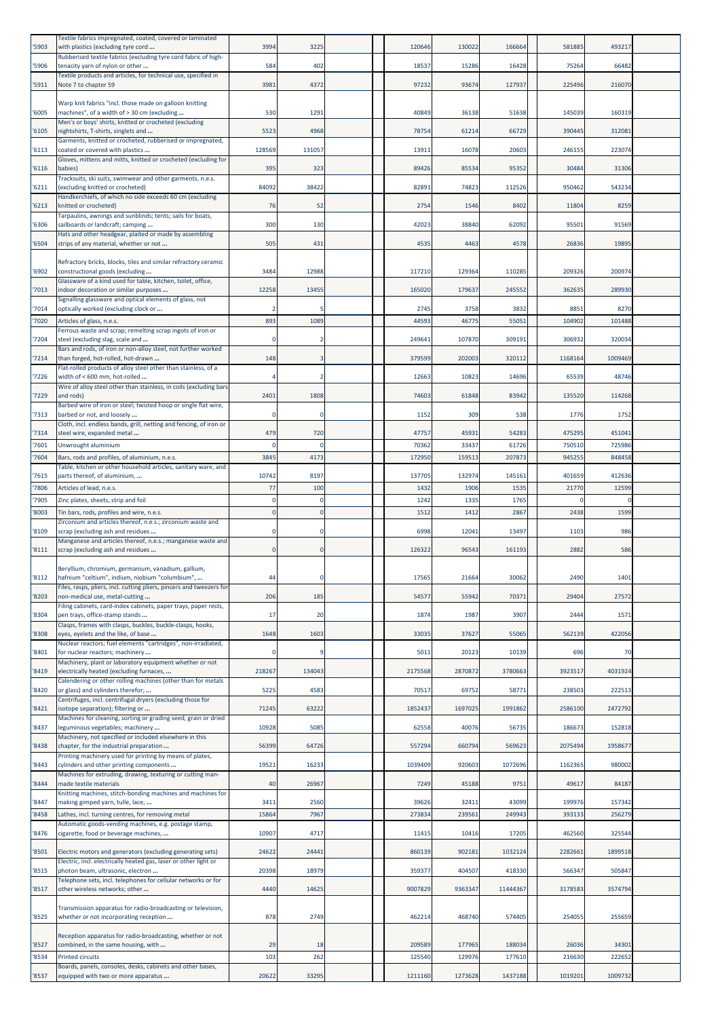| 5903           | Textile fabrics impregnated, coated, covered or laminated<br>with plastics (excluding tyre cord                                                                               | 3994          | 3225                    | 120646          | 130022          | 166664          | 581885          | 493217           |  |
|----------------|-------------------------------------------------------------------------------------------------------------------------------------------------------------------------------|---------------|-------------------------|-----------------|-----------------|-----------------|-----------------|------------------|--|
| '5906          | Rubberised textile fabrics (excluding tyre cord fabric of high-<br>tenacity yarn of nylon or other                                                                            | 584           | 402                     | 18537           | 15286           | 16428           | 75264           | 66482            |  |
| '5911          | Textile products and articles, for technical use, specified in<br>Note 7 to chapter 59                                                                                        | 3981          | 4372                    | 97232           | 93674           | 127937          | 225496          | 216070           |  |
| 6005           | Warp knit fabrics "incl. those made on galloon knitting<br>machines", of a width of > 30 cm (excluding                                                                        | 530           | 1291                    | 40849           | 36138           | 51638           | 145039          | 160319           |  |
| '6105          | Men's or boys' shirts, knitted or crocheted (excluding<br>nightshirts, T-shirts, singlets and                                                                                 | 5523          | 4968                    | 78754           | 61214           | 66729           | 390445          | 312081           |  |
| 6113           | Garments, knitted or crocheted, rubberised or impregnated,<br>coated or covered with plastics                                                                                 | 128569        | 131057                  | 13911           | 16078           | 20603           | 246155          | 223074           |  |
| 6116           | Gloves, mittens and mitts, knitted or crocheted (excluding for<br>babies)                                                                                                     | 395           | 323                     | 89426           | 85534           | 95352           | 30484           | 31306            |  |
| 6211           | Tracksuits, ski suits, swimwear and other garments, n.e.s.<br>(excluding knitted or crocheted)                                                                                | 84092         | 38422                   | 82891           | 74823           | 112526          | 950462          | 543234           |  |
|                | Handkerchiefs, of which no side exceeds 60 cm (excluding                                                                                                                      |               |                         |                 |                 |                 |                 |                  |  |
| 6213           | (nitted or crocheted)<br>Tarpaulins, awnings and sunblinds; tents; sails for boats,                                                                                           | 76            | 52                      | 2754            | 1546            | 8402            | 11804           | 8259             |  |
| '6306          | sailboards or landcraft; camping<br>Hats and other headgear, plaited or made by assembling                                                                                    | 300           | 130                     | 42023           | 38840           | 62092           | 95501           | 91569            |  |
| '6504          | strips of any material, whether or not                                                                                                                                        | 505           | 431                     | 4535            | 4463            | 4578            | 26836           | 19895            |  |
| '6902          | Refractory bricks, blocks, tiles and similar refractory ceramic<br>constructional goods (excluding                                                                            | 3484          | 12988                   | 117210          | 129364          | 110285          | 209326          | 200974           |  |
| 7013           | Glassware of a kind used for table, kitchen, toilet, office,<br>indoor decoration or similar purposes                                                                         | 12258         | 13455                   | 165020          | 179637          | 245552          | 362635          | 289930           |  |
| '7014          | Signalling glassware and optical elements of glass, not<br>optically worked (excluding clock or                                                                               |               |                         | 2745            | 3758            | 3832            | 8851            | 8270             |  |
| '7020          | Articles of glass, n.e.s.<br>Ferrous waste and scrap; remelting scrap ingots of iron or                                                                                       | 893           | 1089                    | 44593           | 46775           | 55051           | 104902          | 101488           |  |
| 7204           | steel (excluding slag, scale and                                                                                                                                              |               | 2                       | 249641          | 107870          | 309191          | 306932          | 320034           |  |
| 7214           | Bars and rods, of iron or non-alloy steel, not further worked<br>than forged, hot-rolled, hot-drawn                                                                           | 148           | в                       | 379599          | 202003          | 320112          | 1168164         | 1009469          |  |
| 7226           | Flat-rolled products of alloy steel other than stainless, of a<br>width of < 600 mm, hot-rolled                                                                               |               | 2                       | 12663           | 10823           | 14696           | 65539           | 48746            |  |
| 7229           | Wire of alloy steel other than stainless, in coils (excluding bars<br>and rods)                                                                                               | 2401          | 1808                    | 74603           | 61848           | 83942           | 135520          | 114268           |  |
| '7313          | Barbed wire of iron or steel; twisted hoop or single flat wire,<br>barbed or not, and loosely                                                                                 |               | C                       | 1152            | 309             | 538             | 1776            | 1752             |  |
| '7314          | Cloth, incl. endless bands, grill, netting and fencing, of iron or<br>steel wire, expanded metal                                                                              | 479           | 720                     | 47757           | 45931           | 54283           | 475295          | 451041           |  |
| '7601          | Unwrought aluminium                                                                                                                                                           |               | C                       | 70362           | 33437           | 61726           | 750510          | 725986           |  |
| 7604           | Bars, rods and profiles, of aluminium, n.e.s.                                                                                                                                 | 3845          | 4173                    | 172950          | 159513          | 207873          | 945255          | 848458           |  |
| '7615          | Table, kitchen or other household articles, sanitary ware, and<br>parts thereof, of aluminium,                                                                                | 10742         | 8197                    | 137705          | 132974          | 145161          | 401659          | 412636           |  |
| 7806           | Articles of lead, n.e.s.                                                                                                                                                      | 77            | 100                     | 1432            | 1906            | 1535            | 21770           | 12599            |  |
| '7905<br>'8003 | Zinc plates, sheets, strip and foil<br>Tin bars, rods, profiles and wire, n.e.s.                                                                                              |               | -0<br>$\Omega$          | 1242<br>1512    | 1335<br>1412    | 1765<br>2867    | 2438            | 1599             |  |
|                | Zirconium and articles thereof, n.e.s.; zirconium waste and                                                                                                                   |               |                         |                 |                 |                 |                 |                  |  |
| '8109<br>8111  | scrap (excluding ash and residues<br>Manganese and articles thereof, n.e.s.; manganese waste and<br>scrap (excluding ash and residues                                         |               | $\Omega$<br>$\mathbf 0$ | 6998<br>126322  | 12041<br>96543  | 13497<br>161193 | 1103<br>2882    | 986<br>586       |  |
|                |                                                                                                                                                                               |               |                         |                 |                 |                 |                 |                  |  |
| '8112          | Beryllium, chromium, germanium, vanadium, gallium,<br>hafnium "celtium", indium, niobium "columbium",<br>Files, rasps, pliers, incl. cutting pliers, pincers and tweezers for | 44            | 0                       | 17565           | 21664           | 30062           | 2490            | 1401             |  |
| '8203          | non-medical use, metal-cutting<br>Filing cabinets, card-index cabinets, paper trays, paper rests,                                                                             | 206           | 185                     | 54577           | 55942           | 70371           | 29404           | 27572            |  |
| '8304          | pen trays, office-stamp stands                                                                                                                                                | 17            | 20                      | 1874            | 1987            | 3907            | 2444            | 1571             |  |
| '8308          | Clasps, frames with clasps, buckles, buckle-clasps, hooks,<br>eyes, eyelets and the like, of base                                                                             | 1648          | 1603                    | 33035           | 37627           | 55065           | 562139          | 422056           |  |
| 8401           | Nuclear reactors; fuel elements "cartridges", non-irradiated,<br>for nuclear reactors; machinery                                                                              |               | q                       | 5011            | 20123           | 10139           | 696             | 70               |  |
| 8419           | Machinery, plant or laboratory equipment whether or not<br>electrically heated (excluding furnaces,                                                                           | 218267        | 134043                  | 2175568         | 2870872         | 3780663         | 3923517         | 4031924          |  |
| '8420          | Calendering or other rolling machines (other than for metals<br>or glass) and cylinders therefor;                                                                             | 5225          | 4583                    | 70517           | 69752           | 58771           | 238503          | 222513           |  |
| 8421           | Centrifuges, incl. centrifugal dryers (excluding those for<br>isotope separation); filtering or                                                                               | 71245         | 63222                   | 1852437         | 1697025         | 1991862         | 2586100         | 2472792          |  |
| '8437          | Machines for cleaning, sorting or grading seed, grain or dried<br>eguminous vegetables; machinery                                                                             | 10928         | 5085                    | 62558           | 40076           | 56735           | 186673          | 152818           |  |
| '8438          | Machinery, not specified or included elsewhere in this<br>chapter, for the industrial preparation                                                                             | 56399         | 64726                   | 557294          | 660794          | 569623          | 2075494         | 1958677          |  |
|                | Printing machinery used for printing by means of plates,                                                                                                                      |               |                         |                 |                 |                 |                 |                  |  |
| 8443           | cylinders and other printing components<br>Machines for extruding, drawing, texturing or cutting man-                                                                         | 19521         | 16233                   | 1039409         | 920603          | 1072696         | 1162365         | 980002           |  |
| '8444          | made textile materials<br><b>Knitting machines, stitch-bonding machines and machines for</b>                                                                                  | 40            | 26967                   | 7249            | 45188           | 9751            | 49617           | 84187            |  |
| '8447<br>8458  | making gimped yarn, tulle, lace,                                                                                                                                              | 3411<br>15864 | 2560<br>7967            | 39626<br>273834 | 32411<br>239561 | 43099<br>249943 | 199976<br>39313 | 157342<br>256279 |  |
|                | Lathes, incl. turning centres, for removing metal<br>Automatic goods-vending machines, e.g. postage stamp,                                                                    |               |                         |                 |                 |                 |                 |                  |  |
| '8476          | cigarette, food or beverage machines,                                                                                                                                         | 10907         | 4717                    | 11415           | 10416           | 17205           | 462560          | 325544           |  |
| 8501           | Electric motors and generators (excluding generating sets)<br>Electric, incl. electrically heated gas, laser or other light or                                                | 24622         | 24441                   | 860139          | 902181          | 1032124         | 2282661         | 1899518          |  |
| '8515          | photon beam, ultrasonic, electron<br>Felephone sets, incl. telephones for cellular networks or for                                                                            | 20398         | 18979                   | 359377          | 404507          | 418330          | 566347          | 505847           |  |
| '8517          | other wireless networks; other                                                                                                                                                | 4440          | 14625                   | 9007829         | 9363347         | 11444367        | 3178583         | 3574794          |  |
| '8525          | Transmission apparatus for radio-broadcasting or television,<br>whether or not incorporating reception                                                                        | 878           | 2749                    | 462214          | 468740          | 574405          | 254055          | 255659           |  |
| '8527          | Reception apparatus for radio-broadcasting, whether or not                                                                                                                    | 29            |                         | 209589          | 177965          | 188034          | 26036           | 34301            |  |
| '8534          | combined, in the same housing, with<br><b>Printed circuits</b>                                                                                                                | 103           | 18<br>262               | 125540          | 129976          | 177610          | 216630          | 222652           |  |
| '8537          | Boards, panels, consoles, desks, cabinets and other bases,<br>equipped with two or more apparatus                                                                             | 20622         | 33295                   | 1211160         | 1273628         | 1437188         | 1019201         | 1009732          |  |
|                |                                                                                                                                                                               |               |                         |                 |                 |                 |                 |                  |  |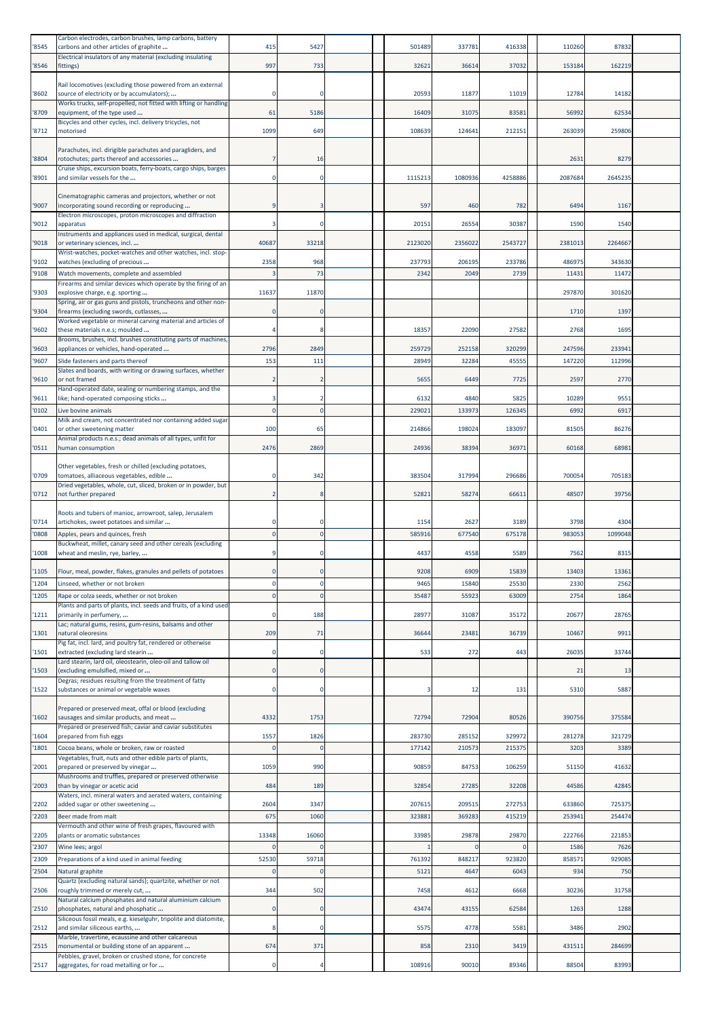| '8545          | Carbon electrodes, carbon brushes, lamp carbons, battery<br>carbons and other articles of graphite                                             | 415         | 5427              | 501489           | 337781           | 416338           | 110260          | 87832            |  |
|----------------|------------------------------------------------------------------------------------------------------------------------------------------------|-------------|-------------------|------------------|------------------|------------------|-----------------|------------------|--|
| '8546          | Electrical insulators of any material (excluding insulating<br>fittings)                                                                       | 997         | 733               | 32621            | 36614            | 37032            | 153184          | 162219           |  |
|                |                                                                                                                                                |             |                   |                  |                  |                  |                 |                  |  |
| '8602          | Rail locomotives (excluding those powered from an external<br>source of electricity or by accumulators);                                       |             | $\Omega$          | 20593            | 11877            | 11019            | 12784           | 14182            |  |
| '8709          | Works trucks, self-propelled, not fitted with lifting or handling<br>equipment, of the type used                                               | 61          | 5186              | 16409            | 31075            | 83581            | 56992           | 62534            |  |
| '8712          | Bicycles and other cycles, incl. delivery tricycles, not<br>motorised                                                                          | 1099        | 649               | 108639           | 124641           | 212151           | 263039          | 259806           |  |
|                |                                                                                                                                                |             |                   |                  |                  |                  |                 |                  |  |
| '8804          | Parachutes, incl. dirigible parachutes and paragliders, and<br>rotochutes; parts thereof and accessories                                       |             | 16                |                  |                  |                  | 2631            | 8279             |  |
| '8901          | Cruise ships, excursion boats, ferry-boats, cargo ships, barges<br>and similar vessels for the                                                 |             |                   | 1115213          | 1080936          | 4258886          | 2087684         | 2645235          |  |
|                |                                                                                                                                                |             |                   |                  |                  |                  |                 |                  |  |
| '9007          | Cinematographic cameras and projectors, whether or not<br>incorporating sound recording or reproducing                                         |             | 3                 | 597              | 460              | 782              | 6494            | 1167             |  |
| '9012          | Electron microscopes, proton microscopes and diffraction<br>apparatus                                                                          |             | $\Omega$          | 20151            | 26554            | 30387            | 1590            | 1540             |  |
| '9018          | Instruments and appliances used in medical, surgical, dental<br>or veterinary sciences, incl                                                   | 40687       | 33218             | 2123020          | 2356022          | 2543727          | 2381013         | 2264667          |  |
|                | Wrist-watches, pocket-watches and other watches, incl. stop-                                                                                   |             |                   |                  |                  |                  |                 |                  |  |
| '9102<br>'9108 | watches (excluding of precious<br>Watch movements, complete and assembled                                                                      | 2358        | 968<br>73         | 237793<br>2342   | 206195<br>2049   | 233786<br>2739   | 486975<br>11431 | 343630<br>11472  |  |
|                | Firearms and similar devices which operate by the firing of an                                                                                 |             |                   |                  |                  |                  |                 |                  |  |
| '9303          | explosive charge, e.g. sporting<br>Spring, air or gas guns and pistols, truncheons and other non-                                              | 11637       | 11870             |                  |                  |                  | 297870          | 301620           |  |
| '9304          | firearms (excluding swords, cutlasses,<br>Worked vegetable or mineral carving material and articles of                                         |             | $\Omega$          |                  |                  |                  | 1710            | 1397             |  |
| '9602          | these materials n.e.s; moulded<br>Brooms, brushes, incl. brushes constituting parts of machines,                                               |             |                   | 18357            | 22090            | 27582            | 2768            | 1695             |  |
| '9603          | appliances or vehicles, hand-operated                                                                                                          | 2796        | 2849              | 259729           | 252158           | 320299           | 247596          | 233941           |  |
| '9607          | Slide fasteners and parts thereof<br>Slates and boards, with writing or drawing surfaces, whether                                              | 153         | 111               | 28949            | 32284            | 45555            | 147220          | 112996           |  |
| '9610          | or not framed                                                                                                                                  |             |                   | 5655             | 6449             | 7725             | 2597            | 2770             |  |
| '9611          | Hand-operated date, sealing or numbering stamps, and the<br>like; hand-operated composing sticks                                               |             | $\overline{2}$    | 6132             | 4840             | 5825             | 10289           | 9551             |  |
| '0102          | Live bovine animals                                                                                                                            | $\mathbf 0$ | $\mathbf 0$       | 229021           | 133973           | 126345           | 6992            | 6917             |  |
| '0401          | Milk and cream, not concentrated nor containing added sugar<br>or other sweetening matter                                                      | 100         | 65                | 214866           | 198024           | 183097           | 81505           | 86276            |  |
| '0511          | Animal products n.e.s.; dead animals of all types, unfit for<br>human consumption                                                              | 2476        | 2869              | 24936            | 38394            | 36971            | 60168           | 68981            |  |
|                | Other vegetables, fresh or chilled (excluding potatoes,                                                                                        |             |                   |                  |                  |                  |                 |                  |  |
| '0709          | tomatoes, alliaceous vegetables, edible                                                                                                        |             | 342               | 383504           | 317994           | 296686           | 700054          | 705183           |  |
| '0712          | Dried vegetables, whole, cut, sliced, broken or in powder, but<br>not further prepared                                                         |             | -8                | 52821            | 58274            | 66611            | 48507           | 39756            |  |
|                |                                                                                                                                                |             |                   |                  |                  |                  |                 |                  |  |
|                |                                                                                                                                                |             |                   |                  |                  |                  |                 |                  |  |
| '0714          | Roots and tubers of manioc, arrowroot, salep, Jerusalem<br>artichokes, sweet potatoes and similar                                              |             |                   | 1154             | 2627             | 3189             | 3798            | 4304             |  |
| '0808          | Apples, pears and quinces, fresh<br>Buckwheat, millet, canary seed and other cereals (excluding                                                | $\Omega$    | $\Omega$          | 585916           | 677540           | 675178           | 983053          | 1099048          |  |
| '1008          | wheat and meslin, rye, barley,                                                                                                                 |             | 0                 | 4437             | 4558             | 5589             | 7562            | 8315             |  |
| '1105          | Flour, meal, powder, flakes, granules and pellets of potatoes                                                                                  | $\Omega$    | $\mathbf 0$       | 9208             | 6909             | 15839            | 13403           | 13361            |  |
| '1204          | Linseed, whether or not broken                                                                                                                 |             | 0                 | 9465             | 15840            | 25530            | 2330            | 2562             |  |
| '1205          | Rape or colza seeds, whether or not broken<br>Plants and parts of plants, incl. seeds and fruits, of a kind used                               | $\Omega$    | $\Omega$          | 35487            | 55923            | 63009            | 2754            | 1864             |  |
| '1211          | primarily in perfumery,                                                                                                                        |             | 188               | 28977            | 31087            | 35172            | 20677           | 28765            |  |
| '1301          | Lac; natural gums, resins, gum-resins, balsams and other<br>natural oleoresins                                                                 | 209         | 71                | 36644            | 23481            | 36739            | 10467           | 9911             |  |
| '1501          | Pig fat, incl. lard, and poultry fat, rendered or otherwise<br>extracted (excluding lard stearin                                               | O           | $\Omega$          | 533              | 272              | 443              | 26035           | 33744            |  |
| '1503          | Lard stearin, lard oil, oleostearin, oleo-oil and tallow oil<br>(excluding emulsified, mixed or                                                |             | $\Omega$          |                  |                  |                  | 21              | 13               |  |
| '1522          | Degras; residues resulting from the treatment of fatty<br>substances or animal or vegetable waxes                                              | $\Omega$    | $\Omega$          | 3                | 12               | 131              | 5310            | 5887             |  |
|                |                                                                                                                                                |             |                   |                  |                  |                  |                 |                  |  |
| '1602          | Prepared or preserved meat, offal or blood (excluding<br>sausages and similar products, and meat                                               | 4332        | 1753              | 72794            | 72904            | 80526            | 39075           | 375584           |  |
| '1604          | Prepared or preserved fish; caviar and caviar substitutes<br>prepared from fish eggs                                                           | 1557        | 1826              | 283730           | 285152           | 329972           | 281278          | 321729           |  |
| '1801          | Cocoa beans, whole or broken, raw or roasted                                                                                                   | n           | $\Omega$          | 177142           | 210573           | 215375           | 3203            | 3389             |  |
| '2001          | Vegetables, fruit, nuts and other edible parts of plants,<br>prepared or preserved by vinegar                                                  | 1059        | 990               | 90859            | 84753            | 106259           | 51150           | 41632            |  |
| '2003          | Mushrooms and truffles, prepared or preserved otherwise                                                                                        | 484         | 189               | 32854            | 27285            | 32208            | 44586           | 42845            |  |
|                | than by vinegar or acetic acid<br>Waters, incl. mineral waters and aerated waters, containing                                                  |             |                   |                  |                  |                  |                 |                  |  |
| '2202<br>'2203 | added sugar or other sweetening<br>Beer made from malt                                                                                         | 2604<br>675 | 3347<br>1060      | 207615<br>323881 | 209515<br>369283 | 272753<br>415219 | 633860<br>25394 | 725375<br>254474 |  |
|                | Vermouth and other wine of fresh grapes, flavoured with                                                                                        |             |                   |                  |                  |                  |                 |                  |  |
| '2205<br>'2307 | plants or aromatic substances<br>Wine lees; argol                                                                                              | 13348       | 16060<br>$\Omega$ | 33985            | 29878            | 29870            | 222766<br>1586  | 221853<br>7626   |  |
|                | Preparations of a kind used in animal feeding                                                                                                  | 52530       | 59718             | 761392           | 848217           | 923820           | 858571          | 929085           |  |
| '2309<br>'2504 | Natural graphite<br>Quartz (excluding natural sands); quartzite, whether or not                                                                | ſ           | $\Omega$          | 5121             | 4647             | 6043             | 934             | 750              |  |
| '2506          | roughly trimmed or merely cut,                                                                                                                 | 344         | 502               | 7458             | 4612             | 6668             | 30236           | 31758            |  |
| '2510          | Natural calcium phosphates and natural aluminium calcium<br>phosphates, natural and phosphatic                                                 | $\Omega$    | $\Omega$          | 43474            | 43155            | 62584            | 1263            | 1288             |  |
| '2512          | Siliceous fossil meals, e.g. kieselguhr, tripolite and diatomite,<br>and similar siliceous earths,                                             |             | $\Omega$          | 5575             | 4778             | 5581             | 3486            | 2902             |  |
| '2515          | Marble, travertine, ecaussine and other calcareous                                                                                             | 674         |                   |                  |                  |                  |                 | 284699           |  |
| '2517          | monumental or building stone of an apparent<br>Pebbles, gravel, broken or crushed stone, for concrete<br>aggregates, for road metalling or for | $\Omega$    | 371               | 858<br>108916    | 2310<br>90010    | 3419<br>89346    | 431511<br>88504 | 83993            |  |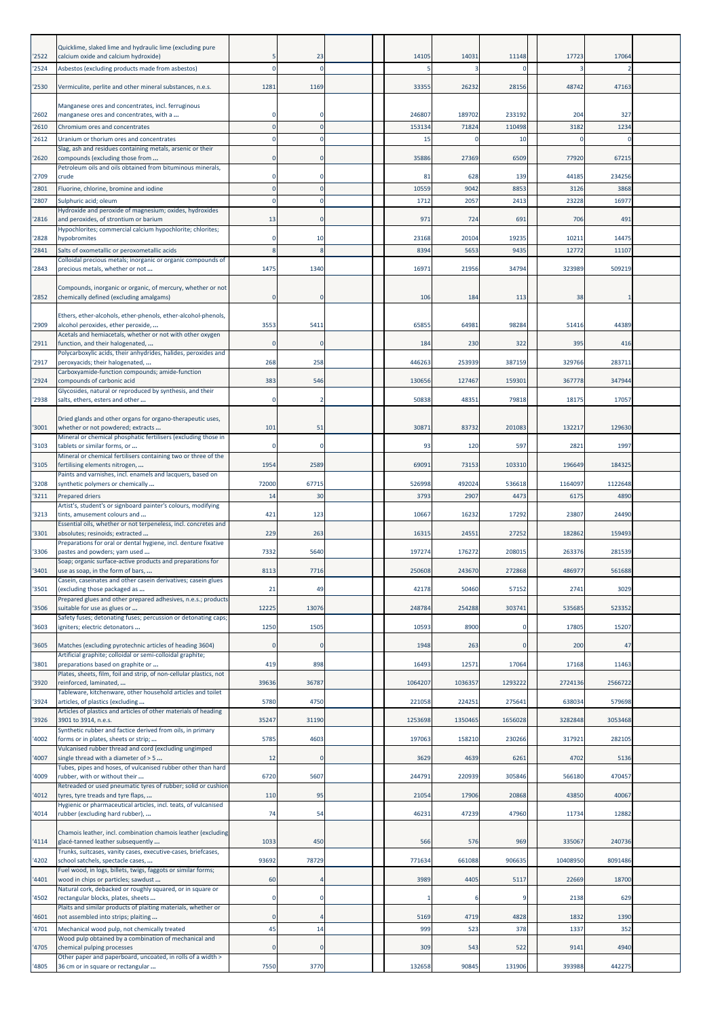| '2522<br>'2524 | Quicklime, slaked lime and hydraulic lime (excluding pure<br>calcium oxide and calcium hydroxide)<br>Asbestos (excluding products made from asbestos)               |                | 23<br>n        | 14105          | 14031          | 11148<br>$\Omega$ | 17723          | 17064           |  |
|----------------|---------------------------------------------------------------------------------------------------------------------------------------------------------------------|----------------|----------------|----------------|----------------|-------------------|----------------|-----------------|--|
| '2530          | Vermiculite, perlite and other mineral substances, n.e.s.                                                                                                           | 1281           | 1169           | 33355          | 26232          | 28156             | 48742          | 47163           |  |
| '2602          | Manganese ores and concentrates, incl. ferruginous<br>manganese ores and concentrates, with a                                                                       |                | $\Omega$       | 246807         | 189702         | 233192            | 204            | 327             |  |
| '2610          | Chromium ores and concentrates                                                                                                                                      |                |                | 153134         | 71824          | 110498            | 3182           | 1234            |  |
| '2612          | Uranium or thorium ores and concentrates<br>Slag, ash and residues containing metals, arsenic or their                                                              |                |                | 15             | 0              | 10                | r              |                 |  |
| '2620          | compounds (excluding those from                                                                                                                                     | $\Omega$       | $\Omega$       | 35886          | 27369          | 6509              | 77920          | 67215           |  |
| '2709          | Petroleum oils and oils obtained from bituminous minerals,<br>crude                                                                                                 |                | $\Omega$       | 81             | 628            | 139               | 44185          | 234256          |  |
| '2801          | Fluorine, chlorine, bromine and iodine                                                                                                                              |                | $\Omega$       | 10559          | 9042           | 8853              | 3126           | 3868            |  |
| '2807          | Sulphuric acid; oleum<br>Hydroxide and peroxide of magnesium; oxides, hydroxides                                                                                    | $\Omega$       | $\Omega$       | 1712           | 2057           | 2413              | 23228          | 16977           |  |
| '2816          | and peroxides, of strontium or barium                                                                                                                               | 13             | $\mathbf 0$    | 971            | 724            | 691               | 706            | 491             |  |
| '2828          | Hypochlorites; commercial calcium hypochlorite; chlorites;<br>hypobromites                                                                                          | $\Omega$       | 10             | 23168          | 20104          | 19235             | 10211          | 14475           |  |
| '2841          | Salts of oxometallic or peroxometallic acids                                                                                                                        |                |                | 8394           | 5653           | 9435              | 12772          | 11107           |  |
| '2843          | Colloidal precious metals; inorganic or organic compounds of<br>precious metals, whether or not                                                                     | 1475           | 1340           | 16971          | 21956          | 34794             | 323989         | 509219          |  |
| '2852          | Compounds, inorganic or organic, of mercury, whether or not<br>chemically defined (excluding amalgams)                                                              | $\Omega$       | $\Omega$       | 106            | 184            | 113               | 38             |                 |  |
| '2909          | Ethers, ether-alcohols, ether-phenols, ether-alcohol-phenols,<br>alcohol peroxides, ether peroxide,                                                                 | 3553           | 5411           | 65855          | 64981          | 98284             | 51416          | 44389           |  |
| '2911          | Acetals and hemiacetals, whether or not with other oxygen<br>function, and their halogenated,                                                                       | $\Omega$       | $\Omega$       | 184            | 230            | 322               | 395            | 416             |  |
| '2917          | Polycarboxylic acids, their anhydrides, halides, peroxides and<br>peroxyacids; their halogenated,                                                                   | 268            | 258            | 446263         | 253939         | 387159            | 329766         | 283711          |  |
| '2924          | Carboxyamide-function compounds; amide-function<br>compounds of carbonic acid                                                                                       | 383            | 546            | 130656         | 127467         | 159301            | 367778         | 347944          |  |
| '2938          | Glycosides, natural or reproduced by synthesis, and their<br>salts, ethers, esters and other                                                                        | $\Omega$       |                | 50838          | 48351          | 79818             | 18175          | 17057           |  |
| '3001          | Dried glands and other organs for organo-therapeutic uses,<br>whether or not powdered; extracts                                                                     | 101            | 51             | 30871          | 83732          | 201083            | 132217         | 129630          |  |
| '3103          | Mineral or chemical phosphatic fertilisers (excluding those in<br>tablets or similar forms, or                                                                      |                | $\Omega$       | 93             | 120            | 597               | 2821           | 1997            |  |
| '3105          | Mineral or chemical fertilisers containing two or three of the<br>fertilising elements nitrogen,                                                                    | 1954           | 2589           | 69091          | 73153          | 103310            | 196649         | 184325          |  |
|                | Paints and varnishes, incl. enamels and lacquers, based on                                                                                                          |                |                |                |                |                   |                |                 |  |
| '3208<br>'3211 | synthetic polymers or chemically<br>Prepared driers                                                                                                                 | 72000<br>14    | 67715<br>30    | 526998<br>3793 | 492024<br>2907 | 536618<br>4473    | 1164097<br>617 | 1122648<br>4890 |  |
|                | Artist's, student's or signboard painter's colours, modifying                                                                                                       |                |                |                |                |                   |                |                 |  |
| '3213          | tints, amusement colours and<br>Essential oils, whether or not terpeneless, incl. concretes and                                                                     | 421            | 123            | 10667          | 16232          | 17292             | 23807          | 24490           |  |
| '3301          | absolutes; resinoids; extracted<br>Preparations for oral or dental hygiene, incl. denture fixative                                                                  | 229            | 263            | 16315          | 24551          | 27252             | 182862         | 159493          |  |
| '3306          | pastes and powders; yarn used<br>Soap; organic surface-active products and preparations for                                                                         | 7332           | 5640           | 197274         | 176272         | 208015            | 263376         | 281539          |  |
| '3401          | use as soap, in the form of bars,                                                                                                                                   | 8113           | 7716           | 250608         | 243670         | 272868            | 486977         | 561688          |  |
| '3501          | Casein, caseinates and other casein derivatives; casein glues<br>(excluding those packaged as                                                                       | 21             | 49             | 42178          | 50460          | 57152             | 2741           | 3029            |  |
| '3506          | Prepared glues and other prepared adhesives, n.e.s.; products<br>suitable for use as glues or                                                                       | 12225          | 13076          | 248784         | 254288         | 303741            | 535685         | 523352          |  |
|                | Safety fuses; detonating fuses; percussion or detonating caps;                                                                                                      |                |                |                |                |                   |                |                 |  |
| '3603          | igniters; electric detonators                                                                                                                                       | 1250           | 1505           | 10593          | 8900           | O                 | 17805          | 15207           |  |
| '3605          | Matches (excluding pyrotechnic articles of heading 3604)<br>Artificial graphite; colloidal or semi-colloidal graphite;                                              |                | 0              | 1948           | 263            | $\Omega$          | 200            | 47              |  |
| '3801          | preparations based on graphite or                                                                                                                                   | 419            | 898            | 16493          | 12571          | 17064             | 17168          | 11463           |  |
| '3920          | Plates, sheets, film, foil and strip, of non-cellular plastics, not<br>reinforced, laminated,                                                                       | 39636          | 36787          | 1064207        | 1036357        | 1293222           | 2724136        | 2566722         |  |
| '3924          | Tableware, kitchenware, other household articles and toilet<br>articles, of plastics (excluding                                                                     | 5780           | 4750           | 221058         | 224251         | 275641            | 638034         | 579698          |  |
|                | Articles of plastics and articles of other materials of heading                                                                                                     |                |                |                |                |                   |                |                 |  |
| '3926          | 3901 to 3914, n.e.s.<br>Synthetic rubber and factice derived from oils, in primary                                                                                  | 35247          | 31190          | 1253698        | 1350465        | 1656028           | 3282848        | 3053468         |  |
| '4002          | forms or in plates, sheets or strip;<br>Vulcanised rubber thread and cord (excluding ungimped                                                                       | 5785           | 4603           | 197063         | 158210         | 230266            | 317921         | 282105          |  |
| '4007          | single thread with a diameter of > 5<br>Tubes, pipes and hoses, of vulcanised rubber other than hard                                                                | 12             |                | 3629           | 4639           | 6261              | 4702           | 5136            |  |
| '4009          | rubber, with or without their<br>Retreaded or used pneumatic tyres of rubber; solid or cushion                                                                      | 6720           | 5607           | 244791         | 220939         | 305846            | 566180         | 470457          |  |
| '4012          | tyres, tyre treads and tyre flaps,<br>Hygienic or pharmaceutical articles, incl. teats, of vulcanised                                                               | 110            | 95             | 21054          | 17906          | 20868             | 43850          | 40067           |  |
| '4014          | rubber (excluding hard rubber),                                                                                                                                     | 74             | 54             | 46231          | 47239          | 47960             | 11734          | 12882           |  |
| '4114          | Chamois leather, incl. combination chamois leather (excluding<br>glacé-tanned leather subsequently<br>Trunks, suitcases, vanity cases, executive-cases, briefcases, | 1033           | 450            | 566            | 576            | 969               | 335067         | 240736          |  |
| '4202          | school satchels, spectacle cases,                                                                                                                                   | 93692          | 78729          | 771634         | 661088         | 906635            | 10408950       | 8091486         |  |
| '4401          | Fuel wood, in logs, billets, twigs, faggots or similar forms;<br>wood in chips or particles; sawdust                                                                | 60             | $\overline{4}$ | 3989           | 4405           | 5117              | 22669          | 18700           |  |
| '4502          | Natural cork, debacked or roughly squared, or in square or<br>rectangular blocks, plates, sheets                                                                    | $\Omega$       | $\Omega$       |                | -6             | q                 | 2138           | 629             |  |
|                | Plaits and similar products of plaiting materials, whether or                                                                                                       |                |                |                |                |                   |                |                 |  |
| '4601<br>'4701 | not assembled into strips; plaiting<br>Mechanical wood pulp, not chemically treated                                                                                 | $\Omega$<br>45 | 14             | 5169<br>999    | 4719<br>523    | 4828<br>378       | 1832<br>1337   | 1390<br>352     |  |
| '4705          | Wood pulp obtained by a combination of mechanical and                                                                                                               | $\Omega$       | $\Omega$       | 309            | 543            | 522               | 9141           | 4940            |  |
|                | chemical pulping processes<br>Other paper and paperboard, uncoated, in rolls of a width >                                                                           |                |                |                |                |                   |                |                 |  |
| '4805          | 36 cm or in square or rectangular                                                                                                                                   | 7550           | 3770           | 132658         | 90845          | 131906            | 393988         | 442275          |  |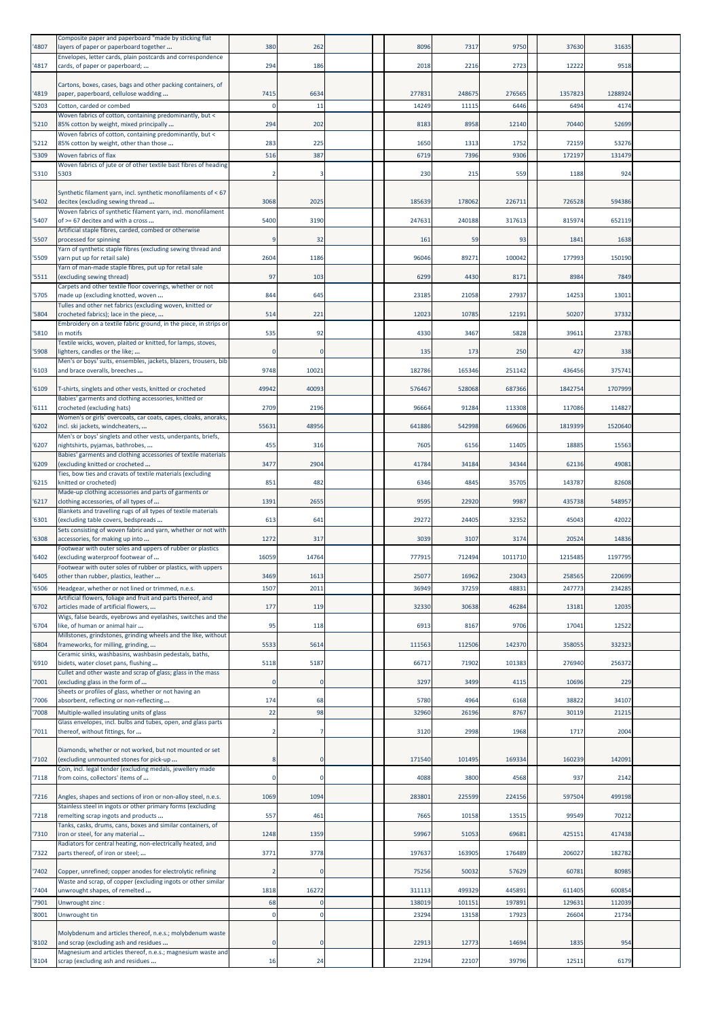| '4807          | Composite paper and paperboard "made by sticking flat<br>layers of paper or paperboard together                               | 380          | 262                     | 8096            | 7317            | 9750            | 37630            | 31635            |  |
|----------------|-------------------------------------------------------------------------------------------------------------------------------|--------------|-------------------------|-----------------|-----------------|-----------------|------------------|------------------|--|
| '4817          | Envelopes, letter cards, plain postcards and correspondence<br>cards, of paper or paperboard;                                 | 294          | 186                     | 2018            | 2216            | 2723            | 12222            | 9518             |  |
|                | Cartons, boxes, cases, bags and other packing containers, of                                                                  |              |                         |                 |                 |                 |                  |                  |  |
| '4819<br>'5203 | paper, paperboard, cellulose wadding<br>Cotton, carded or combed                                                              | 7415<br>n    | 6634<br>11              | 277831<br>14249 | 248675<br>11115 | 276565<br>6446  | 135782<br>6494   | 1288924<br>4174  |  |
|                | Woven fabrics of cotton, containing predominantly, but <                                                                      |              |                         | 8183            |                 |                 |                  | 52699            |  |
| '5210          | 85% cotton by weight, mixed principally<br>Woven fabrics of cotton, containing predominantly, but <                           | 294          | 202                     |                 | 8958            | 12140           | 70440            |                  |  |
| '5212<br>'5309 | 85% cotton by weight, other than those<br>Woven fabrics of flax                                                               | 283<br>516   | 225<br>387              | 1650<br>6719    | 1313<br>7396    | 1752<br>9306    | 72159<br>172197  | 53276<br>131479  |  |
| '5310          | Woven fabrics of jute or of other textile bast fibres of heading<br>5303                                                      |              |                         | 230             | 215             | 559             | 1188             | 924              |  |
|                | Synthetic filament yarn, incl. synthetic monofilaments of < 67                                                                |              |                         |                 |                 |                 |                  |                  |  |
| '5402          | decitex (excluding sewing thread                                                                                              | 3068         | 2025                    | 185639          | 178062          | 226711          | 72652            | 594386           |  |
| '5407          | Woven fabrics of synthetic filament yarn, incl. monofilament<br>of >= 67 decitex and with a cross                             | 5400         | 3190                    | 247631          | 240188          | 317613          | 815974           | 652119           |  |
| '5507          | Artificial staple fibres, carded, combed or otherwise<br>processed for spinning                                               |              | 32                      | 161             | 59              | 93              | 1841             | 1638             |  |
| '5509          | Yarn of synthetic staple fibres (excluding sewing thread and<br>yarn put up for retail sale)                                  | 2604         | 1186                    | 96046           | 89271           | 100042          | 177993           | 150190           |  |
| '5511          | Yarn of man-made staple fibres, put up for retail sale<br>(excluding sewing thread)                                           | 97           | 103                     | 6299            | 4430            | 8171            | 8984             | 7849             |  |
| '5705          | Carpets and other textile floor coverings, whether or not<br>made up (excluding knotted, woven                                | 844          | 645                     | 23185           | 21058           | 27937           | 14253            | 13011            |  |
| '5804          | Tulles and other net fabrics (excluding woven, knitted or<br>crocheted fabrics); lace in the piece,                           | 514          | 221                     | 12023           | 10785           | 12191           | 50207            | 37332            |  |
|                | Embroidery on a textile fabric ground, in the piece, in strips or                                                             |              |                         |                 |                 |                 |                  |                  |  |
| '5810          | in motifs<br>Textile wicks, woven, plaited or knitted, for lamps, stoves,                                                     | 535          | 92                      | 4330            | 3467            | 5828            | 39611            | 23783            |  |
| '5908          | ighters, candles or the like;<br>Men's or boys' suits, ensembles, jackets, blazers, trousers, bib                             |              | $\Omega$                | 135             | 173             | 250             | 427              | 338              |  |
| '6103          | and brace overalls, breeches                                                                                                  | 9748         | 10021                   | 182786          | 165346          | 251142          | 436456           | 375741           |  |
| '6109          | T-shirts, singlets and other vests, knitted or crocheted<br>Babies' garments and clothing accessories, knitted or             | 49942        | 40093                   | 576467          | 528068          | 687366          | 1842754          | 1707999          |  |
| '6111          | crocheted (excluding hats)<br>Women's or girls' overcoats, car coats, capes, cloaks, anoraks,                                 | 2709         | 2196                    | 96664           | 91284           | 113308          | 117086           | 114827           |  |
| '6202          | incl. ski jackets, windcheaters,                                                                                              | 55631        | 48956                   | 641886          | 542998          | 669606          | 1819399          | 1520640          |  |
| '6207          | Men's or boys' singlets and other vests, underpants, briefs,<br>nightshirts, pyjamas, bathrobes,                              | 455          | 316                     | 7605            | 6156            | 11405           | 18885            | 15563            |  |
| '6209          | Babies' garments and clothing accessories of textile materials<br>(excluding knitted or crocheted                             | 3477         | 2904                    | 41784           | 34184           | 34344           | 62136            | 49081            |  |
| '6215          | Ties, bow ties and cravats of textile materials (excluding<br>knitted or crocheted)                                           | 851          | 482                     | 6346            | 4845            | 35705           | 143787           | 82608            |  |
| '6217          | Made-up clothing accessories and parts of garments or<br>clothing accessories, of all types of                                | 1391         | 2655                    | 9595            | 22920           | 9987            | 435738           | 548957           |  |
| '6301          | Blankets and travelling rugs of all types of textile materials                                                                | 613          | 641                     | 29272           | 24405           | 32352           | 45043            | 42022            |  |
|                | (excluding table covers, bedspreads<br>Sets consisting of woven fabric and yarn, whether or not with                          |              |                         |                 |                 |                 |                  |                  |  |
| '6308          | accessories, for making up into<br>Footwear with outer soles and uppers of rubber or plastics                                 | 1272         | 317                     | 3039            | 3107            | 3174            | 20524            | 14836            |  |
| '6402          | (excluding waterproof footwear of<br>Footwear with outer soles of rubber or plastics, with uppers                             | 16059        | 14764                   | 777915          | 712494          | 1011710         | 1215485          | 1197795          |  |
| '6405<br>'6506 | other than rubber, plastics, leather<br>Headgear, whether or not lined or trimmed, n.e.s.                                     | 3469<br>1507 | 1613<br>2011            | 25077<br>36949  | 16962<br>37259  | 23043<br>48831  | 258565<br>247773 | 220699<br>234285 |  |
|                | Artificial flowers, foliage and fruit and parts thereof, and<br>articles made of artificial flowers,                          | 177          | 119                     | 32330           | 30638           | 46284           | 13181            | 12035            |  |
| '6702          | Wigs, false beards, eyebrows and eyelashes, switches and the                                                                  |              |                         |                 |                 |                 |                  |                  |  |
| '6704          | like, of human or animal hair<br>Millstones, grindstones, grinding wheels and the like, without                               | 95           | 118                     | 6913            | 8167            | 9706            | 17041            | 12522            |  |
| '6804          | frameworks, for milling, grinding,<br>Ceramic sinks, washbasins, washbasin pedestals, baths,                                  | 5533         | 5614                    | 111563          | 112506          | 142370          | 358055           | 332323           |  |
| '6910          | bidets, water closet pans, flushing<br>Cullet and other waste and scrap of glass; glass in the mass                           | 5118         | 5187                    | 66717           | 71902           | 101383          | 276940           | 256372           |  |
| '7001          | (excluding glass in the form of<br>Sheets or profiles of glass, whether or not having an                                      | $\Omega$     | $\Omega$                | 3297            | 3499            | 4115            | 10696            | 229              |  |
| '7006          | absorbent, reflecting or non-reflecting                                                                                       | 174          | 68                      | 5780            | 4964            | 6168            | 38822            | 34107            |  |
| '7008          | Multiple-walled insulating units of glass<br>Glass envelopes, incl. bulbs and tubes, open, and glass parts                    | 22           | 98                      | 32960           | 26196           | 8767            | 30119            | 21215            |  |
| '7011          | thereof, without fittings, for                                                                                                |              | $\overline{7}$          | 3120            | 2998            | 1968            | 1717             | 2004             |  |
| '7102          | Diamonds, whether or not worked, but not mounted or set<br>(excluding unmounted stones for pick-up                            |              | $\mathbf 0$             | 171540          | 101495          | 169334          | 160239           | 142091           |  |
| '7118          | Coin, incl. legal tender (excluding medals, jewellery made<br>from coins, collectors' items of                                | $\Omega$     | $\mathbf 0$             | 4088            | 3800            | 4568            | 937              | 2142             |  |
|                |                                                                                                                               |              |                         |                 |                 |                 |                  |                  |  |
| '7216          | Angles, shapes and sections of iron or non-alloy steel, n.e.s.<br>Stainless steel in ingots or other primary forms (excluding | 1069         | 1094                    | 283801          | 225599          | 224156          | 597504           | 499198           |  |
| '7218          | remelting scrap ingots and products<br>Tanks, casks, drums, cans, boxes and similar containers, of                            | 557          | 461                     | 7665            | 10158           | 13515           | 99549            | 70212            |  |
| '7310          | iron or steel, for any material<br>Radiators for central heating, non-electrically heated, and                                | 1248         | 1359                    | 59967           | 51053           | 69681           | 425151           | 417438           |  |
| '7322          | parts thereof, of iron or steel;                                                                                              | 3771         | 3778                    | 197637          | 163905          | 176489          | 206027           | 182782           |  |
| '7402          | Copper, unrefined; copper anodes for electrolytic refining                                                                    |              | $\Omega$                | 75256           | 50032           | 57629           | 60781            | 80985            |  |
| '7404          | Waste and scrap, of copper (excluding ingots or other similar<br>unwrought shapes, of remelted                                | 1818         | 16272                   | 311113          | 499329          | 445891          | 611405           | 600854           |  |
| '7901<br>'8001 | Unwrought zinc:                                                                                                               | 68           | $\mathbf 0$<br>$\Omega$ | 138019<br>23294 | 101151<br>13158 | 197891<br>17923 | 129631<br>26604  | 112039<br>21734  |  |
|                | Unwrought tin                                                                                                                 |              |                         |                 |                 |                 |                  |                  |  |
| '8102          | Molybdenum and articles thereof, n.e.s.; molybdenum waste<br>and scrap (excluding ash and residues                            |              |                         | 22913           | 12773           | 14694           | 1835             | 954              |  |
| '8104          | Magnesium and articles thereof, n.e.s.; magnesium waste and<br>scrap (excluding ash and residues                              | 16           | 24                      | 21294           | 22107           | 39796           | 12511            | 6179             |  |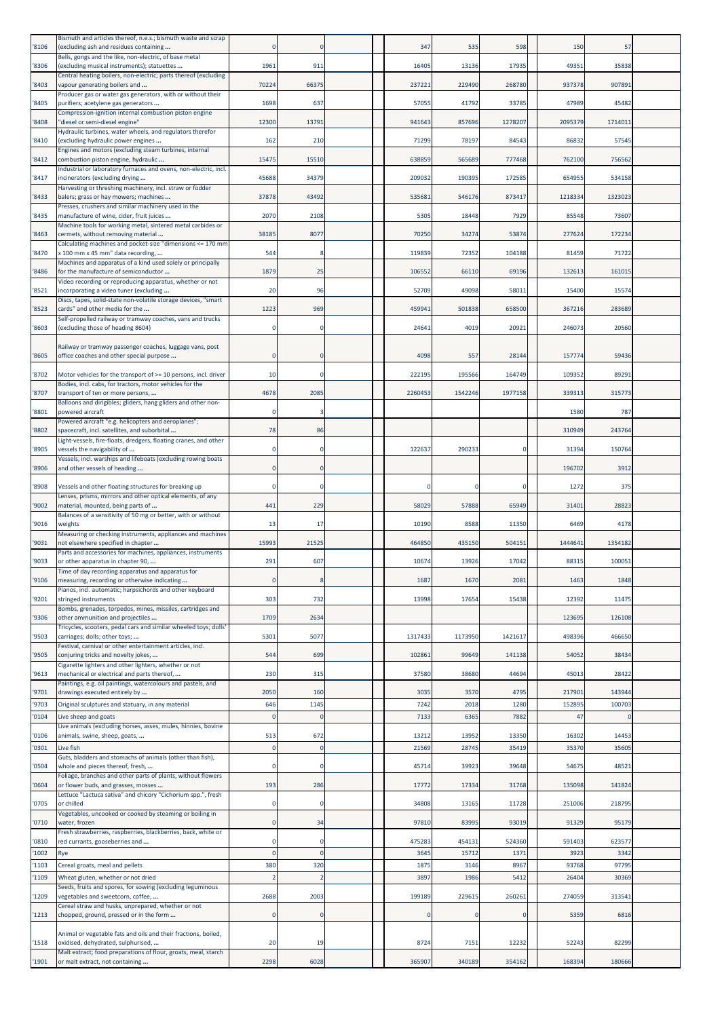| '8106          | Bismuth and articles thereof, n.e.s.; bismuth waste and scrap<br>(excluding ash and residues containing             |                 | $\Omega$            | 347          | 535          | 598          | 150            | 57             |  |
|----------------|---------------------------------------------------------------------------------------------------------------------|-----------------|---------------------|--------------|--------------|--------------|----------------|----------------|--|
| '8306          | Bells, gongs and the like, non-electric, of base metal<br>(excluding musical instruments); statuettes               | 1961            | 911                 | 16405        | 13136        | 17935        | 49351          | 35838          |  |
| '8403          | Central heating boilers, non-electric; parts thereof (excluding<br>vapour generating boilers and                    | 70224           | 66375               | 237221       | 229490       | 268780       | 937378         | 907891         |  |
| '8405          | Producer gas or water gas generators, with or without their<br>purifiers; acetylene gas generators                  | 1698            | 637                 | 57055        | 41792        | 33785        | 47989          | 45482          |  |
| '8408          | Compression-ignition internal combustion piston engine<br>"diesel or semi-diesel engine"                            | 12300           | 13791               | 941643       | 857696       | 1278207      | 2095379        | 1714011        |  |
| '8410          | Hydraulic turbines, water wheels, and regulators therefor<br>(excluding hydraulic power engines                     | 162             | 210                 | 71299        | 78197        | 84543        | 86832          | 57545          |  |
| '8412          | Engines and motors (excluding steam turbines, internal                                                              | 15475           | 15510               | 638859       | 565689       | 777468       | 762100         | 756562         |  |
|                | combustion piston engine, hydraulic<br>Industrial or laboratory furnaces and ovens, non-electric, incl.             |                 |                     |              |              |              |                |                |  |
| '8417          | incinerators (excluding drying<br>Harvesting or threshing machinery, incl. straw or fodder                          | 45688           | 34379               | 209032       | 190395       | 172585       | 654955         | 534158         |  |
| '8433          | balers; grass or hay mowers; machines<br>Presses, crushers and similar machinery used in the                        | 37878           | 43492               | 535681       | 546176       | 873417       | 1218334        | 1323023        |  |
| '8435          | manufacture of wine, cider, fruit juices<br>Machine tools for working metal, sintered metal carbides or             | 2070            | 2108                | 5305         | 18448        | 7929         | 85548          | 73607          |  |
| '8463          | cermets, without removing material<br>Calculating machines and pocket-size "dimensions <= 170 mm                    | 38185           | 8077                | 70250        | 34274        | 53874        | 277624         | 172234         |  |
| '8470          | x 100 mm x 45 mm" data recording,<br>Machines and apparatus of a kind used solely or principally                    | 544             |                     | 119839       | 72352        | 104188       | 81459          | 71722          |  |
| '8486          | for the manufacture of semiconductor<br>Video recording or reproducing apparatus, whether or not                    | 1879            | 25                  | 106552       | 66110        | 69196        | 132613         | 161015         |  |
| '8521          | incorporating a video tuner (excluding<br>Discs, tapes, solid-state non-volatile storage devices, "smart            | 20              | 96                  | 52709        | 49098        | 58011        | 15400          | 15574          |  |
| '8523          | cards" and other media for the<br>Self-propelled railway or tramway coaches, vans and trucks                        | 1223            | 969                 | 459941       | 501838       | 658500       | 367216         | 283689         |  |
| '8603          | (excluding those of heading 8604)                                                                                   |                 | $\Omega$            | 24641        | 4019         | 20921        | 246073         | 20560          |  |
| '8605          | Railway or tramway passenger coaches, luggage vans, post<br>office coaches and other special purpose                | $\Omega$        | $\Omega$            | 4098         | 557          | 28144        | 157774         | 59436          |  |
| '8702          | Motor vehicles for the transport of >= 10 persons, incl. driver                                                     | 10              |                     | 222195       | 195566       | 164749       | 109352         | 89291          |  |
| '8707          | Bodies, incl. cabs, for tractors, motor vehicles for the                                                            | 4678            | 2085                | 2260453      | 1542246      | 1977158      | 339313         | 315773         |  |
|                | transport of ten or more persons,<br>Balloons and dirigibles; gliders, hang gliders and other non-                  |                 |                     |              |              |              |                |                |  |
| '8801          | powered aircraft<br>Powered aircraft "e.g. helicopters and aeroplanes";                                             |                 |                     |              |              |              | 1580           | 787            |  |
| '8802          | spacecraft, incl. satellites, and suborbital<br>Light-vessels, fire-floats, dredgers, floating cranes, and other    | 78              | 86                  |              |              |              | 310949         | 243764         |  |
| '8905          | vessels the navigability of<br>Vessels, incl. warships and lifeboats (excluding rowing boats                        |                 | $\Omega$            | 122637       | 290233       | $\Omega$     | 31394          | 150764         |  |
| '8906          | and other vessels of heading                                                                                        |                 | $\Omega$            |              |              |              | 196702         | 3912           |  |
| '8908          | Vessels and other floating structures for breaking up<br>Lenses, prisms, mirrors and other optical elements, of any |                 | $\Omega$            | -0           |              | 0            | 1272           | 375            |  |
| '9002          | material, mounted, being parts of<br>Balances of a sensitivity of 50 mg or better, with or without                  | 441             | 229                 | 58029        | 57888        | 65949        | 31401          | 28823          |  |
| '9016          | weights<br>Measuring or checking instruments, appliances and machines                                               | 13              | 17                  | 10190        | 8588         | 11350        | 6469           | 4178           |  |
| '9031          | not elsewhere specified in chapter<br>Parts and accessories for machines, appliances, instruments                   | 15993           | 21525               | 464850       | 435150       | 504151       | 1444641        | 1354182        |  |
| '9033          | or other apparatus in chapter 90,<br>Time of day recording apparatus and apparatus for                              | 291             | 607                 | 10674        | 13926        | 17042        | 88315          | 100051         |  |
| '9106          | measuring, recording or otherwise indicating<br>Pianos, incl. automatic; harpsichords and other keyboard            | $\mathbf 0$     | 8                   | 1687         | 1670         | 2081         | 1463           | 1848           |  |
| '9201          | stringed instruments<br>Bombs, grenades, torpedos, mines, missiles, cartridges and                                  | 303             | 732                 | 13998        | 17654        | 15438        | 12392          | 11475          |  |
| '9306          | other ammunition and projectiles<br>Tricycles, scooters, pedal cars and similar wheeled toys; dolls'                | 1709            | 2634                |              |              |              | 123695         | 126108         |  |
| '9503          | carriages; dolls; other toys;<br>Festival, carnival or other entertainment articles, incl.                          | 5301            | 5077                | 1317433      | 1173950      | 1421617      | 498396         | 466650         |  |
| '9505          | conjuring tricks and novelty jokes,                                                                                 | 544             | 699                 | 102861       | 99649        | 141138       | 54052          | 38434          |  |
| '9613          | Cigarette lighters and other lighters, whether or not<br>mechanical or electrical and parts thereof,                | 230             | 315                 | 37580        | 38680        | 44694        | 45013          | 28422          |  |
| '9701          | Paintings, e.g. oil paintings, watercolours and pastels, and<br>drawings executed entirely by                       | 2050            | 160                 | 3035         | 3570         | 4795         | 217901         | 143944         |  |
| '9703<br>'0104 | Original sculptures and statuary, in any material<br>Live sheep and goats                                           | 646<br>$\Omega$ | 1145<br>$\mathbf 0$ | 7242<br>7133 | 2018<br>6365 | 1280<br>7882 | 15289<br>47    | 100703         |  |
| '0106          | Live animals (excluding horses, asses, mules, hinnies, bovine<br>animals, swine, sheep, goats,                      | 513             | 672                 | 13212        | 13952        | 13350        | 16302          | 14453          |  |
| '0301          | Live fish                                                                                                           |                 | $\mathbf 0$         | 21569        | 28745        | 35419        | 35370          | 35605          |  |
| '0504          | Guts, bladders and stomachs of animals (other than fish),<br>whole and pieces thereof, fresh,                       |                 |                     | 45714        | 39923        | 39648        | 54675          | 48521          |  |
| '0604          | Foliage, branches and other parts of plants, without flowers<br>or flower buds, and grasses, mosses                 | 193             | 286                 | 17772        | 17334        | 31768        | 135098         | 141824         |  |
| '0705          | Lettuce "Lactuca sativa" and chicory "Cichorium spp.", fresh<br>or chilled                                          | 0               | 0                   | 34808        | 13165        | 11728        | 251006         | 218795         |  |
| '0710          | Vegetables, uncooked or cooked by steaming or boiling in<br>water, frozen                                           | $\mathbf 0$     | 34                  | 97810        | 83995        | 93019        | 91329          | 95179          |  |
| '0810          | Fresh strawberries, raspberries, blackberries, back, white or<br>red currants, gooseberries and                     | $\Omega$        | $\mathbf 0$         | 475283       | 454131       | 524360       | 591403         | 623577         |  |
| '1002          | Rye                                                                                                                 |                 | $\Omega$            | 3645         | 15712        | 1371         | 3923           | 3342           |  |
| '1103<br>'1109 | Cereal groats, meal and pellets<br>Wheat gluten, whether or not dried                                               | 380             | 320                 | 1875<br>3897 | 3146<br>1986 | 8967<br>5412 | 93768<br>26404 | 97795<br>30369 |  |
| '1209          | Seeds, fruits and spores, for sowing (excluding leguminous<br>vegetables and sweetcorn, coffee,                     | 2688            | 2003                | 199189       | 229615       | 260261       | 274059         | 313541         |  |
| '1213          | Cereal straw and husks, unprepared, whether or not<br>chopped, ground, pressed or in the form                       |                 | $\Omega$            |              |              |              | 5359           | 6816           |  |
|                |                                                                                                                     |                 |                     |              |              |              |                |                |  |
| '1518          | Animal or vegetable fats and oils and their fractions, boiled,<br>oxidised, dehydrated, sulphurised,                | 20              | 19                  | 8724         | 7151         | 12232        | 52243          | 82299          |  |
| '1901          | Malt extract; food preparations of flour, groats, meal, starch<br>or malt extract, not containing                   | 2298            | 6028                | 365907       | 340189       | 354162       | 168394         | 180666         |  |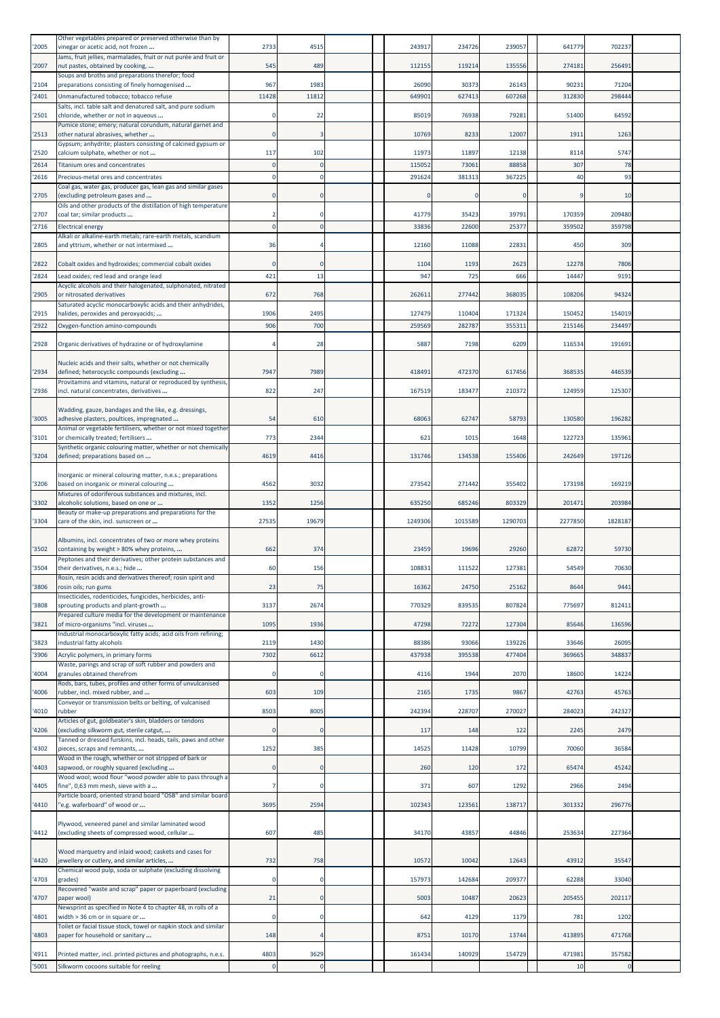| '2005        | Other vegetables prepared or preserved otherwise than by<br>vinegar or acetic acid, not frozen             | 2733  | 4515                | 243917     | 234726      | 239057   | 641779       | 702237                 |  |
|--------------|------------------------------------------------------------------------------------------------------------|-------|---------------------|------------|-------------|----------|--------------|------------------------|--|
| '2007        | Jams, fruit jellies, marmalades, fruit or nut purée and fruit or<br>nut pastes, obtained by cooking,       | 545   | 489                 | 112155     | 119214      | 135556   | 274181       | 256491                 |  |
| 2104         | Soups and broths and preparations therefor; food<br>preparations consisting of finely homogenised          | 967   | 1983                | 26090      | 30373       | 26143    | 9023:        | 71204                  |  |
| 2401         | Unmanufactured tobacco; tobacco refuse                                                                     | 11428 | 11812               | 649901     | 627413      | 607268   | 312830       | 298444                 |  |
| '2501        | Salts, incl. table salt and denatured salt, and pure sodium<br>chloride, whether or not in aqueous         |       | 22                  | 85019      | 76938       | 79281    | 51400        | 64592                  |  |
| '2513        | Pumice stone; emery; natural corundum, natural garnet and<br>other natural abrasives, whether              |       |                     | 10769      | 8233        | 12007    | 1911         | 1263                   |  |
| '2520        | Gypsum; anhydrite; plasters consisting of calcined gypsum or<br>calcium sulphate, whether or not           | 117   | 102                 | 11973      | 11897       | 12138    | 8114         | 5747                   |  |
| 2614         | Titanium ores and concentrates                                                                             |       | $\Omega$            | 115052     | 73061       | 88858    | 307          | 78                     |  |
| 2616         | Precious-metal ores and concentrates<br>Coal gas, water gas, producer gas, lean gas and similar gases      |       | $\Omega$            | 291624     | 381313      | 367225   | 40           | 93                     |  |
| 2705         | (excluding petroleum gases and                                                                             |       | $\Omega$            | $\sqrt{ }$ | $\Omega$    | $\Omega$ | c            | 10                     |  |
| '2707        | Oils and other products of the distillation of high temperature<br>coal tar; similar products              |       |                     | 41779      | 35423       | 39791    | 170359       | 209480                 |  |
| 2716         | <b>Electrical energy</b>                                                                                   |       |                     | 33836      | 22600       | 25377    | 359502       | 359798                 |  |
| 2805         | Alkali or alkaline-earth metals; rare-earth metals, scandium<br>and yttrium, whether or not intermixed     | 36    |                     | 12160      | 11088       | 22831    | 450          | 309                    |  |
|              |                                                                                                            |       | $\Omega$            | 1104       |             | 2623     | 12278        | 7806                   |  |
| 2822<br>2824 | Cobalt oxides and hydroxides; commercial cobalt oxides<br>Lead oxides; red lead and orange lead            | 421   | 13                  | 947        | 1193<br>725 | 666      | 14447        | 9191                   |  |
|              | Acyclic alcohols and their halogenated, sulphonated, nitrated                                              |       |                     |            |             |          |              |                        |  |
| 2905         | or nitrosated derivatives<br>Saturated acyclic monocarboxylic acids and their anhydrides,                  | 672   | 768                 | 262611     | 277442      | 368035   | 108206       | 94324                  |  |
| '2915        | halides, peroxides and peroxyacids;                                                                        | 1906  | 2495                | 127479     | 110404      | 171324   | 150452       | 154019                 |  |
| '2922        | Oxygen-function amino-compounds                                                                            | 906   | 700                 | 259569     | 282787      | 355311   | 215146       | 234497                 |  |
| '2928        | Organic derivatives of hydrazine or of hydroxylamine                                                       |       | 28                  | 5887       | 7198        | 6209     | 116534       | 191691                 |  |
| '2934        | Nucleic acids and their salts, whether or not chemically<br>defined; heterocyclic compounds (excluding     | 7947  | 7989                | 418491     | 472370      | 617456   | 36853        | 446539                 |  |
|              | Provitamins and vitamins, natural or reproduced by synthesis,                                              |       |                     |            |             |          |              |                        |  |
| '2936        | incl. natural concentrates, derivatives                                                                    | 822   | 247                 | 167519     | 183477      | 210372   | 124959       | 125307                 |  |
| '3005        | Wadding, gauze, bandages and the like, e.g. dressings,<br>adhesive plasters, poultices, impregnated        | 54    | 610                 | 68063      | 62747       | 58793    | 130580       | 196282                 |  |
|              | Animal or vegetable fertilisers, whether or not mixed together                                             |       |                     |            |             |          |              |                        |  |
| '3101        | or chemically treated; fertilisers<br>Synthetic organic colouring matter, whether or not chemically        | 773   | 2344                | 621        | 1015        | 1648     | 122723       | 135961                 |  |
| '3204        | defined; preparations based on                                                                             | 4619  | 4416                | 131746     | 134538      | 155406   | 242649       | 197126                 |  |
| '3206        | Inorganic or mineral colouring matter, n.e.s.; preparations<br>based on inorganic or mineral colouring     | 4562  | 3032                | 273542     | 271442      | 355402   | 173198       | 169219                 |  |
| '3302        | Mixtures of odoriferous substances and mixtures, incl.<br>alcoholic solutions, based on one or             | 1352  | 1256                | 635250     | 685246      | 803329   | 201471       | 203984                 |  |
| '3304        | Beauty or make-up preparations and preparations for the<br>care of the skin, incl. sunscreen or            | 27535 | 19679               | 1249306    | 1015589     | 1290703  | 2277850      | 1828187                |  |
|              |                                                                                                            |       |                     |            |             |          |              |                        |  |
|              |                                                                                                            |       |                     |            |             |          |              |                        |  |
| '3502        | Albumins, incl. concentrates of two or more whey proteins<br>containing by weight > 80% whey proteins,     | 662   | 374                 | 23459      | 19696       | 29260    | 62872        | 59730                  |  |
| '3504        | Peptones and their derivatives; other protein substances and<br>their derivatives, n.e.s.; hide            | 60    | 156                 | 108831     | 111522      | 127381   | 54549        | 70630                  |  |
| 3806         | Rosin, resin acids and derivatives thereof; rosin spirit and<br>rosin oils; run gums                       | 23    | 75                  | 16362      | 24750       | 25162    | 8644         | 9441                   |  |
|              | Insecticides, rodenticides, fungicides, herbicides, anti-                                                  |       |                     |            |             |          |              |                        |  |
| 3808         | sprouting products and plant-growth<br>Prepared culture media for the development or maintenance           | 3137  | 2674                | 770329     | 839535      | 807824   | 775697       | 812411                 |  |
| 3821         | of micro-organisms "incl. viruses<br>Industrial monocarboxylic fatty acids; acid oils from refining;       | 1095  | 1936                | 47298      | 72272       | 127304   | 85646        | 136596                 |  |
| 3823         | industrial fatty alcohols                                                                                  | 2119  | 1430                | 88386      | 93066       | 139226   | 33646        | 26095                  |  |
| '3906        | Acrylic polymers, in primary forms                                                                         | 7302  | 6612                | 437938     | 395538      | 477404   | 369665       | 348837                 |  |
| 4004         | Waste, parings and scrap of soft rubber and powders and<br>granules obtained therefrom                     |       | $\Omega$            | 4116       | 1944        | 2070     | 18600        | 14224                  |  |
| 4006         | Rods, bars, tubes, profiles and other forms of unvulcanised<br>rubber, incl. mixed rubber, and             | 603   | 109                 | 2165       | 1735        | 9867     | 42763        | 45763                  |  |
| 4010         | Conveyor or transmission belts or belting, of vulcanised<br>rubber                                         | 8503  | 8005                | 242394     | 228707      | 270027   | 284023       | 242327                 |  |
|              | Articles of gut, goldbeater's skin, bladders or tendons                                                    |       |                     |            |             |          |              |                        |  |
| 4206         | (excluding silkworm gut, sterile catgut,<br>Tanned or dressed furskins, incl. heads, tails, paws and other |       | $\Omega$            | 117        | 148         | 122      | 2245         | 2479                   |  |
| 4302         | pieces, scraps and remnants,                                                                               | 1252  | 385                 | 14525      | 11428       | 10799    | 70060        | 36584                  |  |
| 4403         | Wood in the rough, whether or not stripped of bark or<br>sapwood, or roughly squared (excluding            |       | $\mathbf{0}$        | 260        | 120         | 172      | 65474        | 45242                  |  |
| 4405         | Wood wool; wood flour "wood powder able to pass through a<br>fine", 0,63 mm mesh, sieve with a             |       | $\Omega$            | 371        | 607         | 1292     | 2966         | 2494                   |  |
| '4410        | Particle board, oriented strand board "OSB" and similar board<br>"e.g. waferboard" of wood or              | 3695  | 2594                | 102343     | 123561      | 138717   | 301332       | 296776                 |  |
|              |                                                                                                            |       |                     |            |             |          |              |                        |  |
| 4412         | Plywood, veneered panel and similar laminated wood<br>(excluding sheets of compressed wood, cellular       | 607   | 485                 | 34170      | 43857       | 44846    | 253634       | 227364                 |  |
| 4420         | Wood marquetry and inlaid wood; caskets and cases for<br>jewellery or cutlery, and similar articles,       | 732   | 758                 | 10572      | 10042       | 12643    | 43912        | 35547                  |  |
| 4703         | Chemical wood pulp, soda or sulphate (excluding dissolving<br>grades)                                      |       | 0                   | 157973     | 142684      | 209377   | 62288        | 33040                  |  |
| 4707         | Recovered "waste and scrap" paper or paperboard (excluding<br>paper wool)                                  | 21    | $\mathbf 0$         | 5003       | 10487       | 20623    | 205455       | 202117                 |  |
|              | Newsprint as specified in Note 4 to chapter 48, in rolls of a                                              |       |                     |            |             |          |              |                        |  |
| 4801         | width > 36 cm or in square or<br>Toilet or facial tissue stock, towel or napkin stock and similar          |       | $\Omega$            | 642        | 4129        | 1179     | 781          | 1202                   |  |
| 4803         | paper for household or sanitary                                                                            | 148   |                     | 8751       | 10170       | 13744    | 413895       | 471768                 |  |
| 4911<br>5001 | Printed matter, incl. printed pictures and photographs, n.e.s.<br>Silkworm cocoons suitable for reeling    | 4803  | 3629<br>$\mathbf 0$ | 161434     | 140929      | 154729   | 471981<br>10 | 357582<br>$\mathbf{0}$ |  |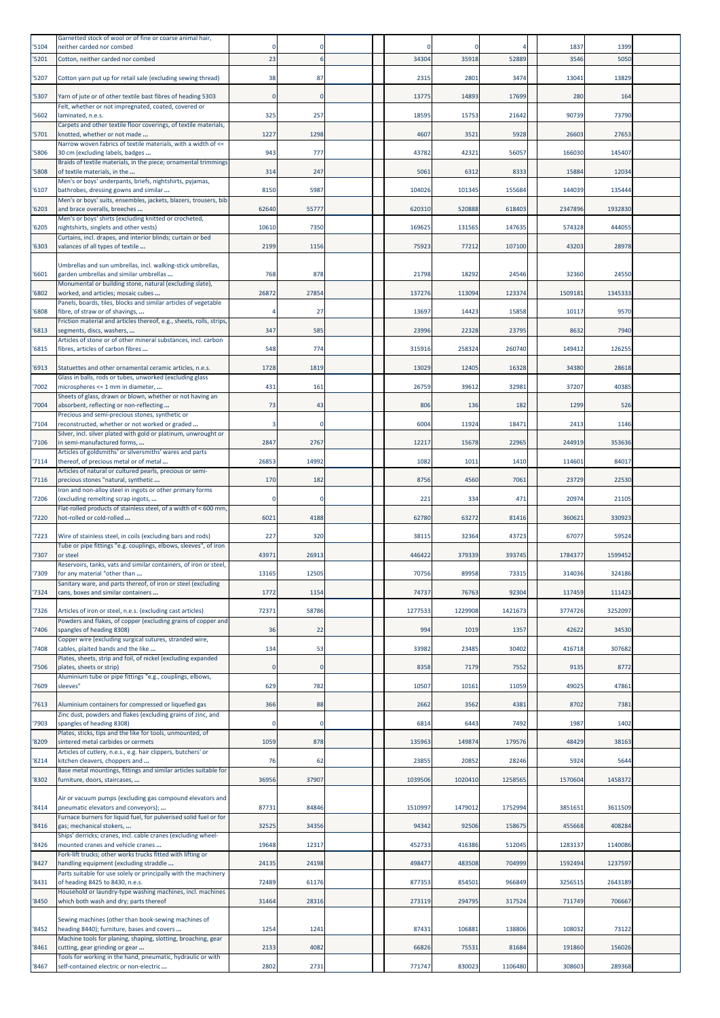| 5104  | Garnetted stock of wool or of fine or coarse animal hair,<br>neither carded nor combed                                          |       |             |         |         |         | 1837    | 1399    |  |
|-------|---------------------------------------------------------------------------------------------------------------------------------|-------|-------------|---------|---------|---------|---------|---------|--|
| 5201  | Cotton, neither carded nor combed                                                                                               | 23    | 6           | 34304   | 35918   | 52889   | 3546    | 5050    |  |
|       |                                                                                                                                 |       |             |         |         |         |         |         |  |
| 5207  | Cotton yarn put up for retail sale (excluding sewing thread)                                                                    | 38    | 87          | 2315    | 2801    | 3474    | 13041   | 13829   |  |
| '5307 | Yarn of jute or of other textile bast fibres of heading 5303                                                                    |       | $\Omega$    | 13775   | 14893   | 17699   | 280     | 164     |  |
| 5602  | Felt, whether or not impregnated, coated, covered or<br>laminated, n.e.s.                                                       | 325   | 257         | 18595   | 15753   | 21642   | 90739   | 73790   |  |
|       | Carpets and other textile floor coverings, of textile materials,                                                                |       |             |         |         |         |         |         |  |
| 5701  | knotted, whether or not made<br>Narrow woven fabrics of textile materials, with a width of <=                                   | 1227  | 1298        | 4607    | 3521    | 5928    | 26603   | 27653   |  |
| '5806 | 30 cm (excluding labels, badges                                                                                                 | 943   | 777         | 43782   | 42321   | 56057   | 166030  | 145407  |  |
| 5808  | Braids of textile materials, in the piece; ornamental trimmings<br>of textile materials, in the                                 | 314   | 247         | 5061    | 6312    | 8333    | 15884   | 12034   |  |
| '6107 | Men's or boys' underpants, briefs, nightshirts, pyjamas,<br>bathrobes, dressing gowns and similar                               | 8150  | 5987        | 104026  | 101345  | 155684  | 144039  | 135444  |  |
|       | Men's or boys' suits, ensembles, jackets, blazers, trousers, bib                                                                |       |             |         |         |         |         |         |  |
| 6203  | and brace overalls, breeches<br>Men's or boys' shirts (excluding knitted or crocheted,                                          | 62640 | 55777       | 620310  | 520888  | 618403  | 2347896 | 1932830 |  |
| 6205  | nightshirts, singlets and other vests)                                                                                          | 10610 | 7350        | 169625  | 131565  | 147635  | 574328  | 444055  |  |
| 6303  | Curtains, incl. drapes, and interior blinds; curtain or bed<br>valances of all types of textile                                 | 2199  | 1156        | 75923   | 77212   | 107100  | 43203   | 28978   |  |
|       |                                                                                                                                 |       |             |         |         |         |         |         |  |
| '6601 | Umbrellas and sun umbrellas, incl. walking-stick umbrellas,<br>garden umbrellas and similar umbrellas                           | 768   | 878         | 21798   | 18292   | 24546   | 32360   | 24550   |  |
| 6802  | Monumental or building stone, natural (excluding slate),<br>worked, and articles; mosaic cubes                                  | 2687  | 27854       | 137276  | 113094  | 123374  | 1509181 | 1345333 |  |
|       | Panels, boards, tiles, blocks and similar articles of vegetable                                                                 |       |             |         |         |         |         |         |  |
| 6808  | fibre, of straw or of shavings,<br>Friction material and articles thereof, e.g., sheets, rolls, strips,                         |       | 27          | 13697   | 14423   | 15858   | 10117   | 9570    |  |
| 6813  | segments, discs, washers,                                                                                                       | 347   | 585         | 23996   | 22328   | 23795   | 8632    | 7940    |  |
| '6815 | Articles of stone or of other mineral substances, incl. carbon<br>fibres, articles of carbon fibres                             | 548   | 774         | 315916  | 258324  | 260740  | 149412  | 126255  |  |
| '6913 | Statuettes and other ornamental ceramic articles, n.e.s.                                                                        | 1728  | 1819        | 13029   | 12405   | 16328   | 34380   | 28618   |  |
|       | Glass in balls, rods or tubes, unworked (excluding glass                                                                        |       |             |         |         |         |         |         |  |
| '7002 | microspheres <= 1 mm in diameter,<br>Sheets of glass, drawn or blown, whether or not having an                                  | 431   | 161         | 26759   | 39612   | 32981   | 37207   | 40385   |  |
| '7004 | absorbent, reflecting or non-reflecting                                                                                         | 73    | 43          | 806     | 136     | 182     | 1299    | 526     |  |
| 7104  | Precious and semi-precious stones, synthetic or<br>reconstructed, whether or not worked or graded                               |       | $\Omega$    | 6004    | 11924   | 18471   | 2413    | 1146    |  |
| 7106  | Silver, incl. silver plated with gold or platinum, unwrought or<br>in semi-manufactured forms,                                  | 2847  | 2767        | 12217   | 15678   | 22965   | 244919  | 353636  |  |
|       | Articles of goldsmiths' or silversmiths' wares and parts                                                                        |       |             |         |         |         |         |         |  |
| '7114 | thereof, of precious metal or of metal<br>Articles of natural or cultured pearls, precious or semi-                             | 2685  | 14992       | 1082    | 1011    | 1410    | 114601  | 84017   |  |
| '7116 | precious stones "natural, synthetic                                                                                             | 170   | 182         | 8756    | 4560    | 7061    | 23729   | 22530   |  |
| '7206 | Iron and non-alloy steel in ingots or other primary forms<br>(excluding remelting scrap ingots,                                 |       | O           | 221     | 334     | 471     | 20974   | 21105   |  |
| '7220 | Flat-rolled products of stainless steel, of a width of < 600 mm,<br>hot-rolled or cold-rolled                                   | 6021  | 4188        | 62780   | 63272   | 81416   | 360621  | 330923  |  |
|       |                                                                                                                                 |       |             |         |         |         |         |         |  |
| 7223  | Wire of stainless steel, in coils (excluding bars and rods)<br>Tube or pipe fittings "e.g. couplings, elbows, sleeves", of iron | 227   | 320         | 38115   | 32364   | 43723   | 67077   | 59524   |  |
| '7307 | or steel                                                                                                                        | 4397  | 26913       | 446422  | 379339  | 393745  | 1784377 | 1599452 |  |
| '7309 | Reservoirs, tanks, vats and similar containers, of iron or steel,<br>for any material "other than                               | 13165 | 12505       | 70756   | 89958   | 73315   | 314036  | 324186  |  |
| '7324 | Sanitary ware, and parts thereof, of iron or steel (excluding<br>cans, boxes and similar containers                             | 1772  | 1154        | 74737   | 76763   | 92304   | 117459  | 111423  |  |
|       |                                                                                                                                 |       |             |         |         |         |         |         |  |
| '7326 | Articles of iron or steel, n.e.s. (excluding cast articles)<br>Powders and flakes, of copper (excluding grains of copper and    | 72371 | 58786       | 1277533 | 1229908 | 1421673 | 3774726 | 3252097 |  |
| '7406 | spangles of heading 8308)                                                                                                       | 36    | 22          | 994     | 1019    | 1357    | 42622   | 34530   |  |
| 7408  | Copper wire (excluding surgical sutures, stranded wire,<br>cables, plaited bands and the like                                   | 134   | 53          | 33982   | 23485   | 30402   | 416718  | 307682  |  |
|       | Plates, sheets, strip and foil, of nickel (excluding expanded                                                                   |       | $\mathbf 0$ | 8358    | 7179    | 7552    | 9135    | 8772    |  |
| 7506  | plates, sheets or strip)<br>Aluminium tube or pipe fittings "e.g., couplings, elbows,                                           |       |             |         |         |         |         |         |  |
| 7609  | sleeves"                                                                                                                        | 629   | 782         | 10507   | 10161   | 11059   | 49025   | 47861   |  |
| 7613  | Aluminium containers for compressed or liquefied gas                                                                            | 366   | 88          | 2662    | 3562    | 4381    | 8702    | 7381    |  |
| '7903 | Zinc dust, powders and flakes (excluding grains of zinc, and<br>spangles of heading 8308)                                       |       | $\mathbf 0$ | 6814    | 6443    | 7492    | 1987    | 1402    |  |
| 8209  | Plates, sticks, tips and the like for tools, unmounted, of<br>sintered metal carbides or cermets                                | 1059  | 878         | 135963  | 149874  | 179576  | 48429   | 38163   |  |
|       | Articles of cutlery, n.e.s., e.g. hair clippers, butchers' or                                                                   |       |             |         |         |         |         |         |  |
| 8214  | kitchen cleavers, choppers and<br>Base metal mountings, fittings and similar articles suitable for                              | 76    | 62          | 23855   | 20852   | 28246   | 5924    | 5644    |  |
| 8302  | furniture, doors, staircases,                                                                                                   | 36956 | 37907       | 1039506 | 1020410 | 1258565 | 1570604 | 1458372 |  |
|       | Air or vacuum pumps (excluding gas compound elevators and                                                                       |       |             |         |         |         |         |         |  |
| '8414 | pneumatic elevators and conveyors);<br>Furnace burners for liquid fuel, for pulverised solid fuel or for                        | 87731 | 84846       | 1510997 | 1479012 | 1752994 | 3851651 | 3611509 |  |
| 8416  | gas; mechanical stokers,                                                                                                        | 32525 | 34356       | 94342   | 92506   | 158675  | 455668  | 408284  |  |
| 8426  | Ships' derricks; cranes, incl. cable cranes (excluding wheel-<br>mounted cranes and vehicle cranes                              | 19648 | 12317       | 452733  | 416386  | 512045  | 1283137 | 1140086 |  |
|       | Fork-lift trucks; other works trucks fitted with lifting or                                                                     |       |             |         |         |         |         |         |  |
| 8427  | handling equipment (excluding straddle<br>Parts suitable for use solely or principally with the machinery                       | 24135 | 24198       | 498477  | 483508  | 704999  | 1592494 | 1237597 |  |
| 8431  | of heading 8425 to 8430, n.e.s.<br>Household or laundry-type washing machines, incl. machines                                   | 72489 | 61176       | 877353  | 854501  | 966849  | 3256515 | 2643189 |  |
| '8450 | which both wash and dry; parts thereof                                                                                          | 31464 | 28316       | 273119  | 294795  | 317524  | 711749  | 706667  |  |
|       | Sewing machines (other than book-sewing machines of                                                                             |       |             |         |         |         |         |         |  |
| '8452 | heading 8440); furniture, bases and covers                                                                                      | 1254  | 1241        | 87431   | 106881  | 138806  | 108032  | 73122   |  |
| '8461 | Machine tools for planing, shaping, slotting, broaching, gear<br>cutting, gear grinding or gear                                 | 2133  | 4082        | 66826   | 75531   | 81684   | 191860  | 156026  |  |
| '8467 | Tools for working in the hand, pneumatic, hydraulic or with<br>self-contained electric or non-electric                          | 2802  | 2731        | 771747  | 830023  | 1106480 | 308603  | 289368  |  |